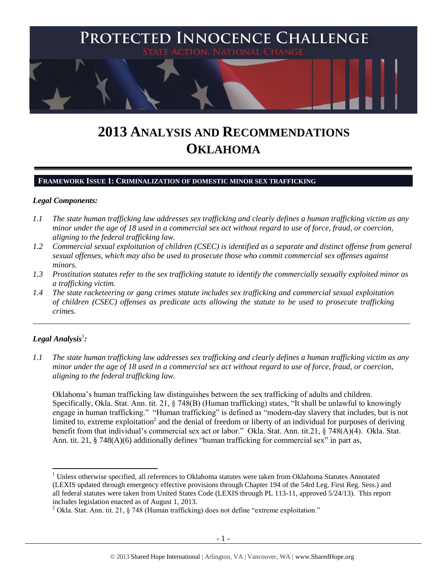

# **2013 ANALYSIS AND RECOMMENDATIONS OKLAHOMA**

#### **FRAMEWORK ISSUE 1: CRIMINALIZATION OF DOMESTIC MINOR SEX TRAFFICKING**

#### *Legal Components:*

- *1.1 The state human trafficking law addresses sex trafficking and clearly defines a human trafficking victim as any minor under the age of 18 used in a commercial sex act without regard to use of force, fraud, or coercion, aligning to the federal trafficking law.*
- *1.2 Commercial sexual exploitation of children (CSEC) is identified as a separate and distinct offense from general sexual offenses, which may also be used to prosecute those who commit commercial sex offenses against minors.*
- *1.3 Prostitution statutes refer to the sex trafficking statute to identify the commercially sexually exploited minor as a trafficking victim.*

\_\_\_\_\_\_\_\_\_\_\_\_\_\_\_\_\_\_\_\_\_\_\_\_\_\_\_\_\_\_\_\_\_\_\_\_\_\_\_\_\_\_\_\_\_\_\_\_\_\_\_\_\_\_\_\_\_\_\_\_\_\_\_\_\_\_\_\_\_\_\_\_\_\_\_\_\_\_\_\_\_\_\_\_\_\_\_\_\_\_\_\_\_\_

*1.4 The state racketeering or gang crimes statute includes sex trafficking and commercial sexual exploitation of children (CSEC) offenses as predicate acts allowing the statute to be used to prosecute trafficking crimes.* 

## $\bm{L}$ egal Analysis $^1$ :

 $\overline{\phantom{a}}$ 

*1.1 The state human trafficking law addresses sex trafficking and clearly defines a human trafficking victim as any minor under the age of 18 used in a commercial sex act without regard to use of force, fraud, or coercion, aligning to the federal trafficking law.*

Oklahoma's human trafficking law distinguishes between the sex trafficking of adults and children. Specifically, Okla. Stat. Ann. tit. 21, § 748(B) (Human trafficking) states, "It shall be unlawful to knowingly engage in human trafficking." "Human trafficking" is defined as "modern-day slavery that includes, but is not limited to, extreme exploitation<sup>2</sup> and the denial of freedom or liberty of an individual for purposes of deriving benefit from that individual's commercial sex act or labor." Okla. Stat. Ann. tit.21, § 748(A)(4). Okla. Stat. Ann. tit. 21,  $\S$  748(A)(6) additionally defines "human trafficking for commercial sex" in part as,

<sup>&</sup>lt;sup>1</sup> Unless otherwise specified, all references to Oklahoma statutes were taken from Oklahoma Statutes Annotated (LEXIS updated through emergency effective provisions through Chapter 194 of the 54rd Leg. First Reg. Sess.) and all federal statutes were taken from United States Code (LEXIS through PL 113-11, approved 5/24/13). This report includes legislation enacted as of August 1, 2013.

 $2$  Okla. Stat. Ann. tit. 21, § 748 (Human trafficking) does not define "extreme exploitation."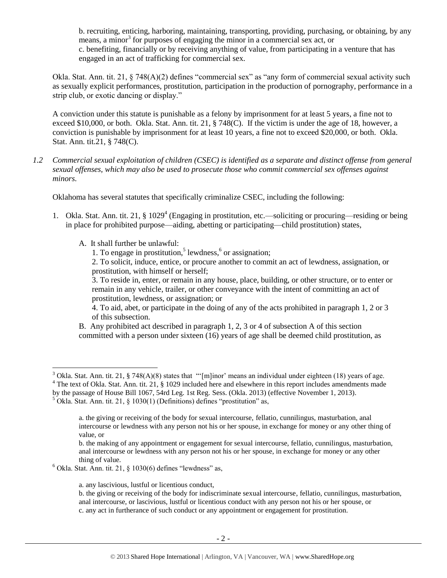b. recruiting, enticing, harboring, maintaining, transporting, providing, purchasing, or obtaining, by any means, a minor<sup>3</sup> for purposes of engaging the minor in a commercial sex act, or c. benefiting, financially or by receiving anything of value, from participating in a venture that has engaged in an act of trafficking for commercial sex.

Okla. Stat. Ann. tit. 21, § 748(A)(2) defines "commercial sex" as "any form of commercial sexual activity such as sexually explicit performances, prostitution, participation in the production of pornography, performance in a strip club, or exotic dancing or display."

A conviction under this statute is punishable as a felony by imprisonment for at least 5 years, a fine not to exceed \$10,000, or both. Okla. Stat. Ann. tit. 21, § 748(C). If the victim is under the age of 18, however, a conviction is punishable by imprisonment for at least 10 years, a fine not to exceed \$20,000, or both. Okla. Stat. Ann. tit.21, § 748(C).

*1.2 Commercial sexual exploitation of children (CSEC) is identified as a separate and distinct offense from general sexual offenses, which may also be used to prosecute those who commit commercial sex offenses against minors.*

Oklahoma has several statutes that specifically criminalize CSEC, including the following:

1. Okla. Stat. Ann. tit. 21, § 1029<sup>4</sup> (Engaging in prostitution, etc.—soliciting or procuring—residing or being in place for prohibited purpose—aiding, abetting or participating—child prostitution) states,

A. It shall further be unlawful:

 $\overline{\phantom{a}}$ 

<span id="page-1-0"></span>1. To engage in prostitution,<sup>5</sup> lewdness, $6$  or assignation;

2. To solicit, induce, entice, or procure another to commit an act of lewdness, assignation, or prostitution, with himself or herself;

3. To reside in, enter, or remain in any house, place, building, or other structure, or to enter or remain in any vehicle, trailer, or other conveyance with the intent of committing an act of prostitution, lewdness, or assignation; or

4. To aid, abet, or participate in the doing of any of the acts prohibited in paragraph 1, 2 or 3 of this subsection.

B. Any prohibited act described in paragraph 1, 2, 3 or 4 of subsection A of this section committed with a person under sixteen (16) years of age shall be deemed child prostitution, as

<sup>&</sup>lt;sup>3</sup> Okla. Stat. Ann. tit. 21, § 748(A)(8) states that "'[m]inor' means an individual under eighteen (18) years of age. <sup>4</sup> The text of Okla. Stat. Ann. tit. 21, § 1029 included here and elsewhere in this report includes amendments made

by the passage of House Bill 1067, 54rd Leg. 1st Reg. Sess. (Okla. 2013) (effective November 1, 2013).

<sup>5</sup> Okla. Stat. Ann. tit. 21, § 1030(1) (Definitions) defines "prostitution" as,

a. the giving or receiving of the body for sexual intercourse, fellatio, cunnilingus, masturbation, anal intercourse or lewdness with any person not his or her spouse, in exchange for money or any other thing of value, or

b. the making of any appointment or engagement for sexual intercourse, fellatio, cunnilingus, masturbation, anal intercourse or lewdness with any person not his or her spouse, in exchange for money or any other thing of value.

 $6$  Okla. Stat. Ann. tit. 21, § 1030(6) defines "lewdness" as,

a. any lascivious, lustful or licentious conduct,

b. the giving or receiving of the body for indiscriminate sexual intercourse, fellatio, cunnilingus, masturbation, anal intercourse, or lascivious, lustful or licentious conduct with any person not his or her spouse, or c. any act in furtherance of such conduct or any appointment or engagement for prostitution.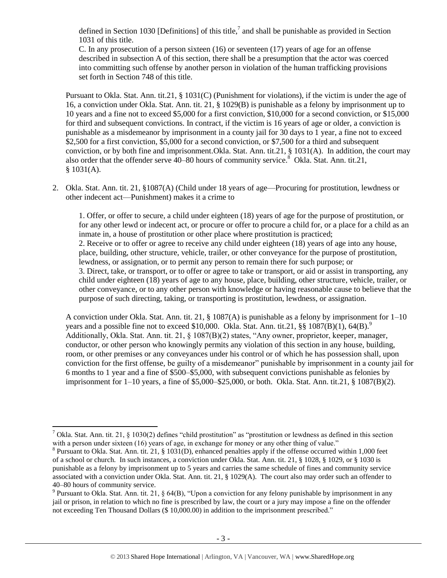<span id="page-2-0"></span>defined in Section 1030 [Definitions] of this title,<sup>7</sup> and shall be punishable as provided in Section 1031 of this title.

C. In any prosecution of a person sixteen (16) or seventeen (17) years of age for an offense described in subsection A of this section, there shall be a presumption that the actor was coerced into committing such offense by another person in violation of the human trafficking provisions set forth in Section 748 of this title.

Pursuant to Okla. Stat. Ann. tit.21, § 1031(C) (Punishment for violations), if the victim is under the age of 16, a conviction under Okla. Stat. Ann. tit. 21, § 1029(B) is punishable as a felony by imprisonment up to 10 years and a fine not to exceed \$5,000 for a first conviction, \$10,000 for a second conviction, or \$15,000 for third and subsequent convictions. In contract, if the victim is 16 years of age or older, a conviction is punishable as a misdemeanor by imprisonment in a county jail for 30 days to 1 year, a fine not to exceed \$2,500 for a first conviction, \$5,000 for a second conviction, or \$7,500 for a third and subsequent conviction, or by both fine and imprisonment.Okla. Stat. Ann. tit.21, § 1031(A). In addition, the court may also order that the offender serve  $40-80$  hours of community service.<sup>8</sup> Okla. Stat. Ann. tit.21,  $$1031(A).$ 

2. Okla. Stat. Ann. tit. 21, §1087(A) (Child under 18 years of age—Procuring for prostitution, lewdness or other indecent act—Punishment) makes it a crime to

<span id="page-2-1"></span>1. Offer, or offer to secure, a child under eighteen (18) years of age for the purpose of prostitution, or for any other lewd or indecent act, or procure or offer to procure a child for, or a place for a child as an inmate in, a house of prostitution or other place where prostitution is practiced; 2. Receive or to offer or agree to receive any child under eighteen (18) years of age into any house, place, building, other structure, vehicle, trailer, or other conveyance for the purpose of prostitution, lewdness, or assignation, or to permit any person to remain there for such purpose; or 3. Direct, take, or transport, or to offer or agree to take or transport, or aid or assist in transporting, any child under eighteen (18) years of age to any house, place, building, other structure, vehicle, trailer, or other conveyance, or to any other person with knowledge or having reasonable cause to believe that the purpose of such directing, taking, or transporting is prostitution, lewdness, or assignation.

<span id="page-2-2"></span>A conviction under Okla. Stat. Ann. tit. 21, § 1087(A) is punishable as a felony by imprisonment for 1–10 years and a possible fine not to exceed \$10,000. Okla. Stat. Ann. tit.21,  $\S$ § 1087(B)(1), 64(B).<sup>9</sup> Additionally, Okla. Stat. Ann. tit. 21, § 1087(B)(2) states, "Any owner, proprietor, keeper, manager, conductor, or other person who knowingly permits any violation of this section in any house, building, room, or other premises or any conveyances under his control or of which he has possession shall, upon conviction for the first offense, be guilty of a misdemeanor" punishable by imprisonment in a county jail for 6 months to 1 year and a fine of \$500–\$5,000, with subsequent convictions punishable as felonies by imprisonment for 1–10 years, a fine of \$5,000–\$25,000, or both. Okla. Stat. Ann. tit.21, § 1087(B)(2).

l <sup>7</sup> Okla. Stat. Ann. tit. 21, § 1030(2) defines "child prostitution" as "prostitution or lewdness as defined in this section with a person under sixteen (16) years of age, in exchange for money or any other thing of value."

 $8$  Pursuant to Okla. Stat. Ann. tit. 21, § 1031(D), enhanced penalties apply if the offense occurred within 1,000 feet of a school or church. In such instances, a conviction under Okla. Stat. Ann. tit. 21, § 1028, § 1029, or § 1030 is punishable as a felony by imprisonment up to 5 years and carries the same schedule of fines and community service associated with a conviction under Okla. Stat. Ann. tit. 21, § 1029(A). The court also may order such an offender to 40–80 hours of community service.

<sup>&</sup>lt;sup>9</sup> Pursuant to Okla. Stat. Ann. tit. 21, § 64(B), "Upon a conviction for any felony punishable by imprisonment in any jail or prison, in relation to which no fine is prescribed by law, the court or a jury may impose a fine on the offender not exceeding Ten Thousand Dollars (\$ 10,000.00) in addition to the imprisonment prescribed."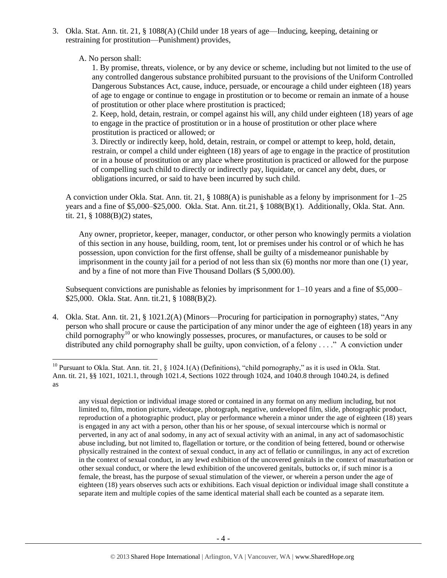3. Okla. Stat. Ann. tit. 21, § 1088(A) (Child under 18 years of age—Inducing, keeping, detaining or restraining for prostitution—Punishment) provides,

A. No person shall:

 $\overline{\phantom{a}}$ 

1. By promise, threats, violence, or by any device or scheme, including but not limited to the use of any controlled dangerous substance prohibited pursuant to the provisions of the Uniform Controlled Dangerous Substances Act, cause, induce, persuade, or encourage a child under eighteen (18) years of age to engage or continue to engage in prostitution or to become or remain an inmate of a house of prostitution or other place where prostitution is practiced;

2. Keep, hold, detain, restrain, or compel against his will, any child under eighteen (18) years of age to engage in the practice of prostitution or in a house of prostitution or other place where prostitution is practiced or allowed; or

3. Directly or indirectly keep, hold, detain, restrain, or compel or attempt to keep, hold, detain, restrain, or compel a child under eighteen (18) years of age to engage in the practice of prostitution or in a house of prostitution or any place where prostitution is practiced or allowed for the purpose of compelling such child to directly or indirectly pay, liquidate, or cancel any debt, dues, or obligations incurred, or said to have been incurred by such child.

A conviction under Okla. Stat. Ann. tit. 21, § 1088(A) is punishable as a felony by imprisonment for 1–25 years and a fine of \$5,000–\$25,000. Okla. Stat. Ann. tit.21, § 1088(B)(1). Additionally, Okla. Stat. Ann. tit. 21, § 1088(B)(2) states,

Any owner, proprietor, keeper, manager, conductor, or other person who knowingly permits a violation of this section in any house, building, room, tent, lot or premises under his control or of which he has possession, upon conviction for the first offense, shall be guilty of a misdemeanor punishable by imprisonment in the county jail for a period of not less than six (6) months nor more than one (1) year, and by a fine of not more than Five Thousand Dollars (\$ 5,000.00).

Subsequent convictions are punishable as felonies by imprisonment for  $1-10$  years and a fine of \$5,000– \$25,000. Okla. Stat. Ann. tit.21, § 1088(B)(2).

<span id="page-3-0"></span>4. Okla. Stat. Ann. tit. 21, § 1021.2(A) (Minors—Procuring for participation in pornography) states, "Any person who shall procure or cause the participation of any minor under the age of eighteen (18) years in any child pornography<sup>10</sup> or who knowingly possesses, procures, or manufactures, or causes to be sold or distributed any child pornography shall be guilty, upon conviction, of a felony . . . ." A conviction under

any visual depiction or individual image stored or contained in any format on any medium including, but not limited to, film, motion picture, videotape, photograph, negative, undeveloped film, slide, photographic product, reproduction of a photographic product, play or performance wherein a minor under the age of eighteen (18) years is engaged in any act with a person, other than his or her spouse, of sexual intercourse which is normal or perverted, in any act of anal sodomy, in any act of sexual activity with an animal, in any act of sadomasochistic abuse including, but not limited to, flagellation or torture, or the condition of being fettered, bound or otherwise physically restrained in the context of sexual conduct, in any act of fellatio or cunnilingus, in any act of excretion in the context of sexual conduct, in any lewd exhibition of the uncovered genitals in the context of masturbation or other sexual conduct, or where the lewd exhibition of the uncovered genitals, buttocks or, if such minor is a female, the breast, has the purpose of sexual stimulation of the viewer, or wherein a person under the age of eighteen (18) years observes such acts or exhibitions. Each visual depiction or individual image shall constitute a separate item and multiple copies of the same identical material shall each be counted as a separate item.

<sup>&</sup>lt;sup>10</sup> Pursuant to Okla. Stat. Ann. tit. 21, § 1024.1(A) (Definitions), "child pornography," as it is used in Okla. Stat. Ann. tit. 21, §§ 1021, 1021.1, through 1021.4, Sections 1022 through 1024, and 1040.8 through 1040.24, is defined as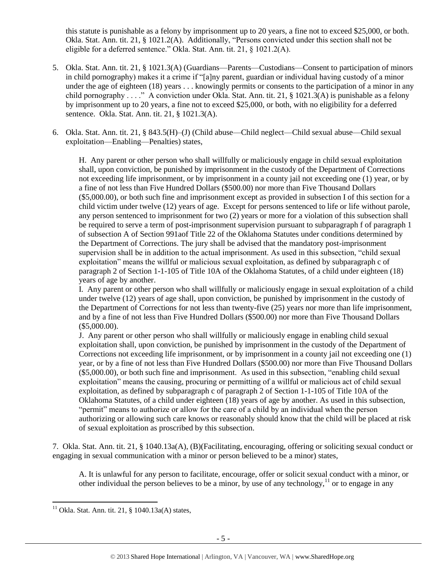this statute is punishable as a felony by imprisonment up to 20 years, a fine not to exceed \$25,000, or both. Okla. Stat. Ann. tit. 21, § 1021.2(A). Additionally, "Persons convicted under this section shall not be eligible for a deferred sentence." Okla. Stat. Ann. tit. 21, § 1021.2(A).

- 5. Okla. Stat. Ann. tit. 21, § 1021.3(A) (Guardians—Parents—Custodians—Consent to participation of minors in child pornography) makes it a crime if "[a]ny parent, guardian or individual having custody of a minor under the age of eighteen (18) years . . . knowingly permits or consents to the participation of a minor in any child pornography . . . ." A conviction under Okla. Stat. Ann. tit. 21, § 1021.3(A) is punishable as a felony by imprisonment up to 20 years, a fine not to exceed \$25,000, or both, with no eligibility for a deferred sentence. Okla. Stat. Ann. tit. 21, § 1021.3(A).
- 6. Okla. Stat. Ann. tit. 21, § 843.5(H)–(J) (Child abuse—Child neglect—Child sexual abuse—Child sexual exploitation—Enabling—Penalties) states,

H. Any parent or other person who shall willfully or maliciously engage in child sexual exploitation shall, upon conviction, be punished by imprisonment in the custody of the Department of Corrections not exceeding life imprisonment, or by imprisonment in a county jail not exceeding one (1) year, or by a fine of not less than Five Hundred Dollars (\$500.00) nor more than Five Thousand Dollars (\$5,000.00), or both such fine and imprisonment except as provided in subsection I of this section for a child victim under twelve (12) years of age. Except for persons sentenced to life or life without parole, any person sentenced to imprisonment for two (2) years or more for a violation of this subsection shall be required to serve a term of post-imprisonment supervision pursuant to subparagraph f of paragraph 1 of subsection A of Section 991aof Title 22 of the Oklahoma Statutes under conditions determined by the Department of Corrections. The jury shall be advised that the mandatory post-imprisonment supervision shall be in addition to the actual imprisonment. As used in this subsection, "child sexual exploitation" means the willful or malicious sexual exploitation, as defined by subparagraph c of paragraph 2 of Section 1-1-105 of Title 10A of the Oklahoma Statutes, of a child under eighteen (18) years of age by another.

I. Any parent or other person who shall willfully or maliciously engage in sexual exploitation of a child under twelve (12) years of age shall, upon conviction, be punished by imprisonment in the custody of the Department of Corrections for not less than twenty-five (25) years nor more than life imprisonment, and by a fine of not less than Five Hundred Dollars (\$500.00) nor more than Five Thousand Dollars (\$5,000.00).

J. Any parent or other person who shall willfully or maliciously engage in enabling child sexual exploitation shall, upon conviction, be punished by imprisonment in the custody of the Department of Corrections not exceeding life imprisonment, or by imprisonment in a county jail not exceeding one (1) year, or by a fine of not less than Five Hundred Dollars (\$500.00) nor more than Five Thousand Dollars (\$5,000.00), or both such fine and imprisonment. As used in this subsection, "enabling child sexual exploitation" means the causing, procuring or permitting of a willful or malicious act of child sexual exploitation, as defined by subparagraph c of paragraph 2 of Section 1-1-105 of Title 10A of the Oklahoma Statutes, of a child under eighteen (18) years of age by another. As used in this subsection, "permit" means to authorize or allow for the care of a child by an individual when the person authorizing or allowing such care knows or reasonably should know that the child will be placed at risk of sexual exploitation as proscribed by this subsection.

7. Okla. Stat. Ann. tit. 21, § 1040.13a(A), (B)(Facilitating, encouraging, offering or soliciting sexual conduct or engaging in sexual communication with a minor or person believed to be a minor) states,

<span id="page-4-0"></span>A. It is unlawful for any person to facilitate, encourage, offer or solicit sexual conduct with a minor, or other individual the person believes to be a minor, by use of any technology,  $\frac{11}{11}$  or to engage in any

l

 $11$  Okla. Stat. Ann. tit. 21, § 1040.13a(A) states,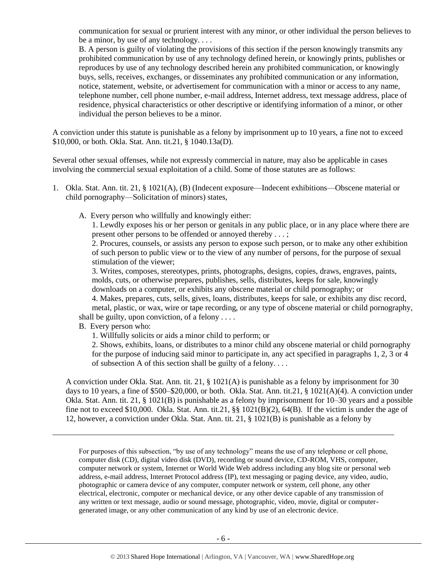communication for sexual or prurient interest with any minor, or other individual the person believes to be a minor, by use of any technology. . . .

B. A person is guilty of violating the provisions of this section if the person knowingly transmits any prohibited communication by use of any technology defined herein, or knowingly prints, publishes or reproduces by use of any technology described herein any prohibited communication, or knowingly buys, sells, receives, exchanges, or disseminates any prohibited communication or any information, notice, statement, website, or advertisement for communication with a minor or access to any name, telephone number, cell phone number, e-mail address, Internet address, text message address, place of residence, physical characteristics or other descriptive or identifying information of a minor, or other individual the person believes to be a minor.

A conviction under this statute is punishable as a felony by imprisonment up to 10 years, a fine not to exceed \$10,000, or both. Okla. Stat. Ann. tit.21, § 1040.13a(D).

Several other sexual offenses, while not expressly commercial in nature, may also be applicable in cases involving the commercial sexual exploitation of a child. Some of those statutes are as follows:

- 1. Okla. Stat. Ann. tit. 21, § 1021(A), (B) (Indecent exposure—Indecent exhibitions—Obscene material or child pornography—Solicitation of minors) states,
	- A. Every person who willfully and knowingly either:

1. Lewdly exposes his or her person or genitals in any public place, or in any place where there are present other persons to be offended or annoyed thereby . . . ;

2. Procures, counsels, or assists any person to expose such person, or to make any other exhibition of such person to public view or to the view of any number of persons, for the purpose of sexual stimulation of the viewer;

3. Writes, composes, stereotypes, prints, photographs, designs, copies, draws, engraves, paints, molds, cuts, or otherwise prepares, publishes, sells, distributes, keeps for sale, knowingly downloads on a computer, or exhibits any obscene material or child pornography; or

4. Makes, prepares, cuts, sells, gives, loans, distributes, keeps for sale, or exhibits any disc record, metal, plastic, or wax, wire or tape recording, or any type of obscene material or child pornography, shall be guilty, upon conviction, of a felony . . . .

B. Every person who:

 $\overline{\phantom{a}}$ 

1. Willfully solicits or aids a minor child to perform; or

2. Shows, exhibits, loans, or distributes to a minor child any obscene material or child pornography for the purpose of inducing said minor to participate in, any act specified in paragraphs 1, 2, 3 or 4 of subsection A of this section shall be guilty of a felony. . . .

A conviction under Okla. Stat. Ann. tit. 21, § 1021(A) is punishable as a felony by imprisonment for 30 days to 10 years, a fine of \$500–\$20,000, or both. Okla. Stat. Ann. tit.21, § 1021(A)(4). A conviction under Okla. Stat. Ann. tit. 21, § 1021(B) is punishable as a felony by imprisonment for 10–30 years and a possible fine not to exceed \$10,000. Okla. Stat. Ann. tit.21, §§ 1021(B)(2), 64(B). If the victim is under the age of 12, however, a conviction under Okla. Stat. Ann. tit. 21, § 1021(B) is punishable as a felony by

For purposes of this subsection, "by use of any technology" means the use of any telephone or cell phone, computer disk (CD), digital video disk (DVD), recording or sound device, CD-ROM, VHS, computer, computer network or system, Internet or World Wide Web address including any blog site or personal web address, e-mail address, Internet Protocol address (IP), text messaging or paging device, any video, audio, photographic or camera device of any computer, computer network or system, cell phone, any other electrical, electronic, computer or mechanical device, or any other device capable of any transmission of any written or text message, audio or sound message, photographic, video, movie, digital or computergenerated image, or any other communication of any kind by use of an electronic device.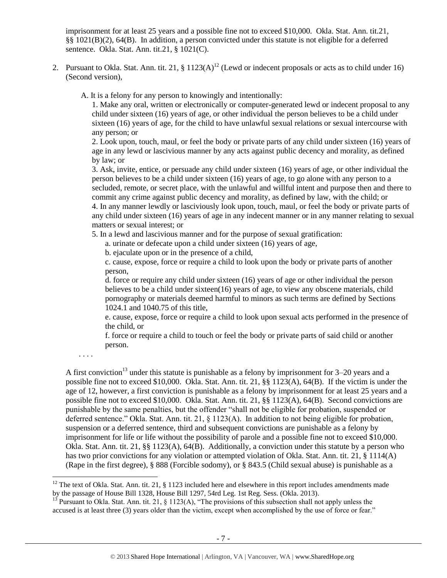imprisonment for at least 25 years and a possible fine not to exceed \$10,000. Okla. Stat. Ann. tit.21, §§ 1021(B)(2), 64(B). In addition, a person convicted under this statute is not eligible for a deferred sentence. Okla. Stat. Ann. tit.21, § 1021(C).

- 2. Pursuant to Okla. Stat. Ann. tit. 21,  $\S 1123(A)^{12}$  (Lewd or indecent proposals or acts as to child under 16) (Second version),
	- A. It is a felony for any person to knowingly and intentionally:

<span id="page-6-0"></span>1. Make any oral, written or electronically or computer-generated lewd or indecent proposal to any child under sixteen (16) years of age, or other individual the person believes to be a child under sixteen (16) years of age, for the child to have unlawful sexual relations or sexual intercourse with any person; or

2. Look upon, touch, maul, or feel the body or private parts of any child under sixteen (16) years of age in any lewd or lascivious manner by any acts against public decency and morality, as defined by law; or

3. Ask, invite, entice, or persuade any child under sixteen (16) years of age, or other individual the person believes to be a child under sixteen (16) years of age, to go alone with any person to a secluded, remote, or secret place, with the unlawful and willful intent and purpose then and there to commit any crime against public decency and morality, as defined by law, with the child; or 4. In any manner lewdly or lasciviously look upon, touch, maul, or feel the body or private parts of any child under sixteen (16) years of age in any indecent manner or in any manner relating to sexual matters or sexual interest; or

5. In a lewd and lascivious manner and for the purpose of sexual gratification:

a. urinate or defecate upon a child under sixteen (16) years of age,

b. ejaculate upon or in the presence of a child,

c. cause, expose, force or require a child to look upon the body or private parts of another person,

d. force or require any child under sixteen (16) years of age or other individual the person believes to be a child under sixteen(16) years of age, to view any obscene materials, child pornography or materials deemed harmful to minors as such terms are defined by Sections 1024.1 and 1040.75 of this title,

e. cause, expose, force or require a child to look upon sexual acts performed in the presence of the child, or

<span id="page-6-1"></span>f. force or require a child to touch or feel the body or private parts of said child or another person.

. . . .

l

A first conviction<sup>13</sup> under this statute is punishable as a felony by imprisonment for  $3-20$  years and a possible fine not to exceed \$10,000. Okla. Stat. Ann. tit. 21, §§ 1123(A), 64(B). If the victim is under the age of 12, however, a first conviction is punishable as a felony by imprisonment for at least 25 years and a possible fine not to exceed \$10,000. Okla. Stat. Ann. tit. 21, §§ 1123(A), 64(B). Second convictions are punishable by the same penalties, but the offender "shall not be eligible for probation, suspended or deferred sentence." Okla. Stat. Ann. tit. 21, § 1123(A). In addition to not being eligible for probation, suspension or a deferred sentence, third and subsequent convictions are punishable as a felony by imprisonment for life or life without the possibility of parole and a possible fine not to exceed \$10,000. Okla. Stat. Ann. tit. 21, §§ 1123(A), 64(B). Additionally, a conviction under this statute by a person who has two prior convictions for any violation or attempted violation of Okla. Stat. Ann. tit. 21, § 1114(A) (Rape in the first degree), § 888 (Forcible sodomy), or § 843.5 (Child sexual abuse) is punishable as a

 $12$  The text of Okla. Stat. Ann. tit. 21, § 1123 included here and elsewhere in this report includes amendments made by the passage of House Bill 1328, House Bill 1297, 54rd Leg. 1st Reg. Sess. (Okla. 2013).

Pursuant to Okla. Stat. Ann. tit. 21, § 1123(A), "The provisions of this subsection shall not apply unless the accused is at least three (3) years older than the victim, except when accomplished by the use of force or fear."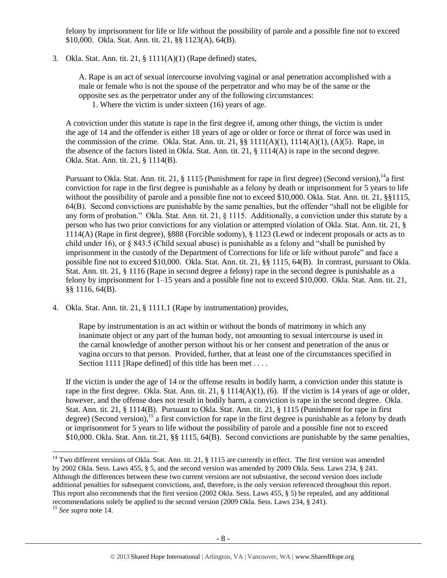felony by imprisonment for life or life without the possibility of parole and a possible fine not to exceed \$10,000. Okla. Stat. Ann. tit. 21, §§ 1123(A), 64(B).

3. Okla. Stat. Ann. tit. 21, § 1111(A)(1) (Rape defined) states,

A. Rape is an act of sexual intercourse involving vaginal or anal penetration accomplished with a male or female who is not the spouse of the perpetrator and who may be of the same or the opposite sex as the perpetrator under any of the following circumstances:

<span id="page-7-0"></span>1. Where the victim is under sixteen (16) years of age.

A conviction under this statute is rape in the first degree if, among other things, the victim is under the age of 14 and the offender is either 18 years of age or older or force or threat of force was used in the commission of the crime. Okla. Stat. Ann. tit. 21,  $\S$  1111(A)(1), 1114(A)(1), (A)(5). Rape, in the absence of the factors listed in Okla. Stat. Ann. tit. 21, § 1114(A) is rape in the second degree. Okla. Stat. Ann. tit. 21, § 1114(B).

Pursuant to Okla. Stat. Ann. tit. 21,  $\S$  1115 (Punishment for rape in first degree) (Second version),  $^{14}$ a first conviction for rape in the first degree is punishable as a felony by death or imprisonment for 5 years to life without the possibility of parole and a possible fine not to exceed \$10,000. Okla. Stat. Ann. tit. 21, §§1115, 64(B). Second convictions are punishable by the same penalties, but the offender "shall not be eligible for any form of probation." Okla. Stat. Ann. tit. 21, § 1115. Additionally, a conviction under this statute by a person who has two prior convictions for any violation or attempted violation of Okla. Stat. Ann. tit. 21, § 1114(A) (Rape in first degree), §888 (Forcible sodomy), § 1123 (Lewd or indecent proposals or acts as to child under 16), or § 843.5 (Child sexual abuse) is punishable as a felony and "shall be punished by imprisonment in the custody of the Department of Corrections for life or life without parole" and face a possible fine not to exceed \$10,000. Okla. Stat. Ann. tit. 21, §§ 1115, 64(B). In contrast, pursuant to Okla. Stat. Ann. tit. 21, § 1116 (Rape in second degree a felony) rape in the second degree is punishable as a felony by imprisonment for 1–15 years and a possible fine not to exceed \$10,000. Okla. Stat. Ann. tit. 21, §§ 1116, 64(B).

4. Okla. Stat. Ann. tit. 21, § 1111.1 (Rape by instrumentation) provides,

Rape by instrumentation is an act within or without the bonds of matrimony in which any inanimate object or any part of the human body, not amounting to sexual intercourse is used in the carnal knowledge of another person without his or her consent and penetration of the anus or vagina occurs to that person. Provided, further, that at least one of the circumstances specified in Section 1111 [Rape defined] of this title has been met ....

If the victim is under the age of 14 or the offense results in bodily harm, a conviction under this statute is rape in the first degree. Okla. Stat. Ann. tit. 21,  $\S$  1114(A)(1), (6). If the victim is 14 years of age or older, however, and the offense does not result in bodily harm, a conviction is rape in the second degree. Okla. Stat. Ann. tit. 21, § 1114(B). Pursuant to Okla. Stat. Ann. tit. 21, § 1115 (Punishment for rape in first degree) (Second version),<sup>15</sup> a first conviction for rape in the first degree is punishable as a felony by death or imprisonment for 5 years to life without the possibility of parole and a possible fine not to exceed \$10,000. Okla. Stat. Ann. tit.21, §§ 1115, 64(B). Second convictions are punishable by the same penalties,

l

<sup>&</sup>lt;sup>14</sup> Two different versions of Okla. Stat. Ann. tit. 21, § 1115 are currently in effect. The first version was amended by 2002 Okla. Sess. Laws 455, § 5, and the second version was amended by 2009 Okla. Sess. Laws 234, § 241. Although the differences between these two current versions are not substantive, the second version does include additional penalties for subsequent convictions, and, therefore, is the only version referenced throughout this report. This report also recommends that the first version (2002 Okla. Sess. Laws 455, § 5) be repealed, and any additional recommendations solely be applied to the second version (2009 Okla. Sess. Laws 234, § 241).

<sup>15</sup> *See supra* note [14.](#page-7-0)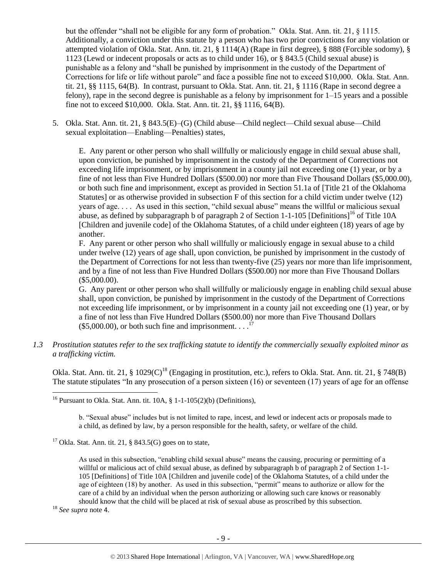but the offender "shall not be eligible for any form of probation." Okla. Stat. Ann. tit. 21, § 1115. Additionally, a conviction under this statute by a person who has two prior convictions for any violation or attempted violation of Okla. Stat. Ann. tit. 21, § 1114(A) (Rape in first degree), § 888 (Forcible sodomy), § 1123 (Lewd or indecent proposals or acts as to child under 16), or § 843.5 (Child sexual abuse) is punishable as a felony and "shall be punished by imprisonment in the custody of the Department of Corrections for life or life without parole" and face a possible fine not to exceed \$10,000. Okla. Stat. Ann. tit. 21, §§ 1115, 64(B). In contrast, pursuant to Okla. Stat. Ann. tit. 21, § 1116 (Rape in second degree a felony), rape in the second degree is punishable as a felony by imprisonment for 1–15 years and a possible fine not to exceed \$10,000. Okla. Stat. Ann. tit. 21, §§ 1116, 64(B).

5. Okla. Stat. Ann. tit. 21, § 843.5(E)–(G) (Child abuse—Child neglect—Child sexual abuse—Child sexual exploitation—Enabling—Penalties) states,

E. Any parent or other person who shall willfully or maliciously engage in child sexual abuse shall, upon conviction, be punished by imprisonment in the custody of the Department of Corrections not exceeding life imprisonment, or by imprisonment in a county jail not exceeding one (1) year, or by a fine of not less than Five Hundred Dollars (\$500.00) nor more than Five Thousand Dollars (\$5,000.00), or both such fine and imprisonment, except as provided in Section 51.1a of [Title 21 of the Oklahoma Statutes] or as otherwise provided in subsection F of this section for a child victim under twelve (12) years of age. . . . As used in this section, "child sexual abuse" means the willful or malicious sexual abuse, as defined by subparagraph b of paragraph 2 of Section 1-1-105 [Definitions]<sup>16</sup> of Title 10A [Children and juvenile code] of the Oklahoma Statutes, of a child under eighteen (18) years of age by another.

F. Any parent or other person who shall willfully or maliciously engage in sexual abuse to a child under twelve (12) years of age shall, upon conviction, be punished by imprisonment in the custody of the Department of Corrections for not less than twenty-five (25) years nor more than life imprisonment, and by a fine of not less than Five Hundred Dollars (\$500.00) nor more than Five Thousand Dollars (\$5,000.00).

G. Any parent or other person who shall willfully or maliciously engage in enabling child sexual abuse shall, upon conviction, be punished by imprisonment in the custody of the Department of Corrections not exceeding life imprisonment, or by imprisonment in a county jail not exceeding one (1) year, or by a fine of not less than Five Hundred Dollars (\$500.00) nor more than Five Thousand Dollars  $($5,000.00)$ , or both such fine and imprisonment. . .<sup>17</sup>

*1.3 Prostitution statutes refer to the sex trafficking statute to identify the commercially sexually exploited minor as a trafficking victim.* 

Okla. Stat. Ann. tit. 21,  $\S 1029(C)^{18}$  (Engaging in prostitution, etc.), refers to Okla. Stat. Ann. tit. 21,  $\S 748(B)$ The statute stipulates "In any prosecution of a person sixteen (16) or seventeen (17) years of age for an offense

b. "Sexual abuse" includes but is not limited to rape, incest, and lewd or indecent acts or proposals made to a child, as defined by law, by a person responsible for the health, safety, or welfare of the child.

<sup>17</sup> Okla. Stat. Ann. tit. 21, § 843.5(G) goes on to state,

As used in this subsection, "enabling child sexual abuse" means the causing, procuring or permitting of a willful or malicious act of child sexual abuse, as defined by subparagraph b of paragraph 2 of Section 1-1- 105 [Definitions] of Title 10A [Children and juvenile code] of the Oklahoma Statutes, of a child under the age of eighteen (18) by another. As used in this subsection, "permit" means to authorize or allow for the care of a child by an individual when the person authorizing or allowing such care knows or reasonably should know that the child will be placed at risk of sexual abuse as proscribed by this subsection.

<sup>18</sup> *See supra* note [4](#page-1-0).

<sup>&</sup>lt;sup>16</sup> Pursuant to Okla. Stat. Ann. tit.  $10A$ , §  $1-1-105(2)(b)$  (Definitions),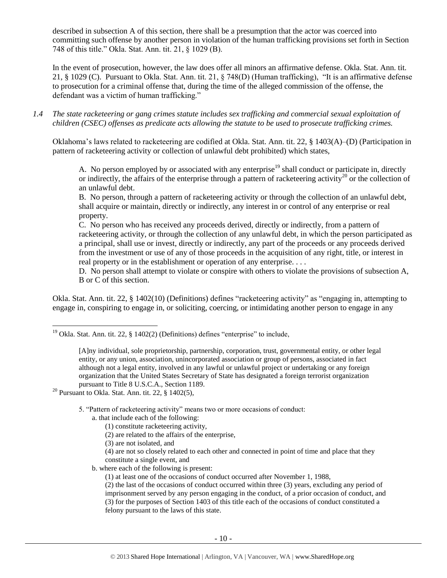described in subsection A of this section, there shall be a presumption that the actor was coerced into committing such offense by another person in violation of the human trafficking provisions set forth in Section 748 of this title." Okla. Stat. Ann. tit. 21, § 1029 (B).

In the event of prosecution, however, the law does offer all minors an affirmative defense. Okla. Stat. Ann. tit. 21, § 1029 (C). Pursuant to Okla. Stat. Ann. tit. 21, § 748(D) (Human trafficking), "It is an affirmative defense to prosecution for a criminal offense that, during the time of the alleged commission of the offense, the defendant was a victim of human trafficking."

*1.4 The state racketeering or gang crimes statute includes sex trafficking and commercial sexual exploitation of children (CSEC) offenses as predicate acts allowing the statute to be used to prosecute trafficking crimes.* 

Oklahoma's laws related to racketeering are codified at Okla. Stat. Ann. tit. 22, § 1403(A)–(D) (Participation in pattern of racketeering activity or collection of unlawful debt prohibited) which states,

A. No person employed by or associated with any enterprise<sup>19</sup> shall conduct or participate in, directly or indirectly, the affairs of the enterprise through a pattern of racketeering activity<sup>20</sup> or the collection of an unlawful debt.

B. No person, through a pattern of racketeering activity or through the collection of an unlawful debt, shall acquire or maintain, directly or indirectly, any interest in or control of any enterprise or real property.

C. No person who has received any proceeds derived, directly or indirectly, from a pattern of racketeering activity, or through the collection of any unlawful debt, in which the person participated as a principal, shall use or invest, directly or indirectly, any part of the proceeds or any proceeds derived from the investment or use of any of those proceeds in the acquisition of any right, title, or interest in real property or in the establishment or operation of any enterprise. ...

D. No person shall attempt to violate or conspire with others to violate the provisions of subsection A, B or C of this section.

Okla. Stat. Ann. tit. 22, § 1402(10) (Definitions) defines "racketeering activity" as "engaging in, attempting to engage in, conspiring to engage in, or soliciting, coercing, or intimidating another person to engage in any

<sup>20</sup> Pursuant to Okla. Stat. Ann. tit. 22,  $§$  1402(5),

l

5. "Pattern of racketeering activity" means two or more occasions of conduct:

- a. that include each of the following:
	- (1) constitute racketeering activity,
	- (2) are related to the affairs of the enterprise,
	- (3) are not isolated, and

(4) are not so closely related to each other and connected in point of time and place that they constitute a single event, and

b. where each of the following is present:

(1) at least one of the occasions of conduct occurred after November 1, 1988,

(2) the last of the occasions of conduct occurred within three (3) years, excluding any period of imprisonment served by any person engaging in the conduct, of a prior occasion of conduct, and (3) for the purposes of Section 1403 of this title each of the occasions of conduct constituted a felony pursuant to the laws of this state.

<sup>&</sup>lt;sup>19</sup> Okla. Stat. Ann. tit. 22, § 1402(2) (Definitions) defines "enterprise" to include,

<sup>[</sup>A]ny individual, sole proprietorship, partnership, corporation, trust, governmental entity, or other legal entity, or any union, association, unincorporated association or group of persons, associated in fact although not a legal entity, involved in any lawful or unlawful project or undertaking or any foreign organization that the United States Secretary of State has designated a foreign terrorist organization pursuant to Title 8 U.S.C.A., Section 1189.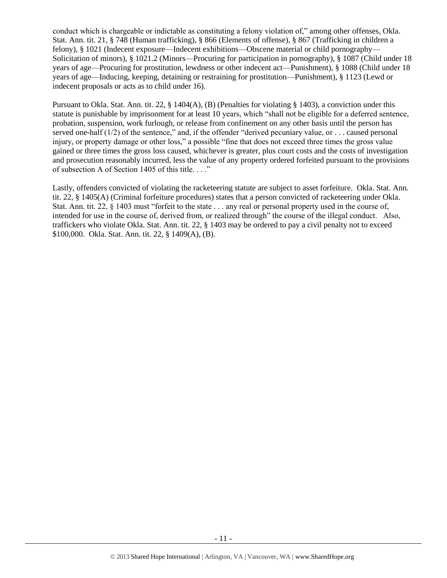conduct which is chargeable or indictable as constituting a felony violation of," among other offenses, Okla. Stat. Ann. tit. 21, § 748 (Human trafficking), § 866 (Elements of offense), § 867 (Trafficking in children a felony), § 1021 (Indecent exposure—Indecent exhibitions—Obscene material or child pornography— Solicitation of minors), § 1021.2 (Minors—Procuring for participation in pornography), § 1087 (Child under 18 years of age—Procuring for prostitution, lewdness or other indecent act—Punishment), § 1088 (Child under 18 years of age—Inducing, keeping, detaining or restraining for prostitution—Punishment), § 1123 (Lewd or indecent proposals or acts as to child under 16).

Pursuant to Okla. Stat. Ann. tit. 22, § 1404(A), (B) (Penalties for violating § 1403), a conviction under this statute is punishable by imprisonment for at least 10 years, which "shall not be eligible for a deferred sentence, probation, suspension, work furlough, or release from confinement on any other basis until the person has served one-half (1/2) of the sentence," and, if the offender "derived pecuniary value, or . . . caused personal injury, or property damage or other loss," a possible "fine that does not exceed three times the gross value gained or three times the gross loss caused, whichever is greater, plus court costs and the costs of investigation and prosecution reasonably incurred, less the value of any property ordered forfeited pursuant to the provisions of subsection A of Section 1405 of this title. . . ."

Lastly, offenders convicted of violating the racketeering statute are subject to asset forfeiture. Okla. Stat. Ann. tit. 22, § 1405(A) (Criminal forfeiture procedures) states that a person convicted of racketeering under Okla. Stat. Ann. tit. 22,  $\frac{8}{1403}$  must "forfeit to the state ... any real or personal property used in the course of, intended for use in the course of, derived from, or realized through" the course of the illegal conduct. Also, traffickers who violate Okla. Stat. Ann. tit. 22, § 1403 may be ordered to pay a civil penalty not to exceed \$100,000. Okla. Stat. Ann. tit. 22, § 1409(A), (B).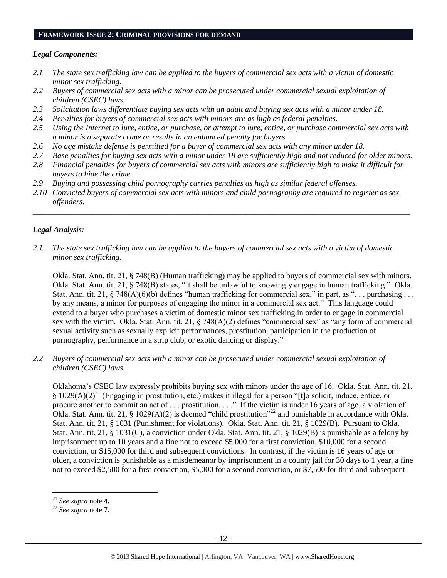#### **FRAMEWORK ISSUE 2: CRIMINAL PROVISIONS FOR DEMAND**

#### *Legal Components:*

- *2.1 The state sex trafficking law can be applied to the buyers of commercial sex acts with a victim of domestic minor sex trafficking.*
- *2.2 Buyers of commercial sex acts with a minor can be prosecuted under commercial sexual exploitation of children (CSEC) laws.*
- *2.3 Solicitation laws differentiate buying sex acts with an adult and buying sex acts with a minor under 18.*
- *2.4 Penalties for buyers of commercial sex acts with minors are as high as federal penalties.*
- *2.5 Using the Internet to lure, entice, or purchase, or attempt to lure, entice, or purchase commercial sex acts with a minor is a separate crime or results in an enhanced penalty for buyers.*
- *2.6 No age mistake defense is permitted for a buyer of commercial sex acts with any minor under 18.*
- *2.7 Base penalties for buying sex acts with a minor under 18 are sufficiently high and not reduced for older minors.*
- *2.8 Financial penalties for buyers of commercial sex acts with minors are sufficiently high to make it difficult for buyers to hide the crime.*
- *2.9 Buying and possessing child pornography carries penalties as high as similar federal offenses.*
- *2.10 Convicted buyers of commercial sex acts with minors and child pornography are required to register as sex offenders.*

\_\_\_\_\_\_\_\_\_\_\_\_\_\_\_\_\_\_\_\_\_\_\_\_\_\_\_\_\_\_\_\_\_\_\_\_\_\_\_\_\_\_\_\_\_\_\_\_\_\_\_\_\_\_\_\_\_\_\_\_\_\_\_\_\_\_\_\_\_\_\_\_\_\_\_\_\_\_\_\_\_\_\_\_\_\_\_\_\_\_\_\_\_\_

## *Legal Analysis:*

*2.1 The state sex trafficking law can be applied to the buyers of commercial sex acts with a victim of domestic minor sex trafficking.*

Okla. Stat. Ann. tit. 21, § 748(B) (Human trafficking) may be applied to buyers of commercial sex with minors. Okla. Stat. Ann. tit. 21, § 748(B) states, "It shall be unlawful to knowingly engage in human trafficking." Okla. Stat. Ann. tit. 21,  $\S$  748(A)(6)(b) defines "human trafficking for commercial sex," in part, as "... purchasing ... by any means, a minor for purposes of engaging the minor in a commercial sex act." This language could extend to a buyer who purchases a victim of domestic minor sex trafficking in order to engage in commercial sex with the victim. Okla. Stat. Ann. tit. 21, § 748(A)(2) defines "commercial sex" as "any form of commercial sexual activity such as sexually explicit performances, prostitution, participation in the production of pornography, performance in a strip club, or exotic dancing or display."

*2.2 Buyers of commercial sex acts with a minor can be prosecuted under commercial sexual exploitation of children (CSEC) laws.*

Oklahoma's CSEC law expressly prohibits buying sex with minors under the age of 16. Okla. Stat. Ann. tit. 21, § 1029(A)(2)<sup>21</sup> (Engaging in prostitution, etc.) makes it illegal for a person "[t]o solicit, induce, entice, or procure another to commit an act of . . . prostitution. . . ." If the victim is under 16 years of age, a violation of Okla. Stat. Ann. tit. 21, § 1029(A)(2) is deemed "child prostitution"<sup>22</sup> and punishable in accordance with Okla. Stat. Ann. tit. 21, § 1031 (Punishment for violations). Okla. Stat. Ann. tit. 21, § 1029(B). Pursuant to Okla. Stat. Ann. tit. 21, § 1031(C), a conviction under Okla. Stat. Ann. tit. 21, § 1029(B) is punishable as a felony by imprisonment up to 10 years and a fine not to exceed \$5,000 for a first conviction, \$10,000 for a second conviction, or \$15,000 for third and subsequent convictions. In contrast, if the victim is 16 years of age or older, a conviction is punishable as a misdemeanor by imprisonment in a county jail for 30 days to 1 year, a fine not to exceed \$2,500 for a first conviction, \$5,000 for a second conviction, or \$7,500 for third and subsequent

<sup>21</sup> *See supra* note [4](#page-1-0).

<sup>22</sup> *See supra* note [7](#page-2-0).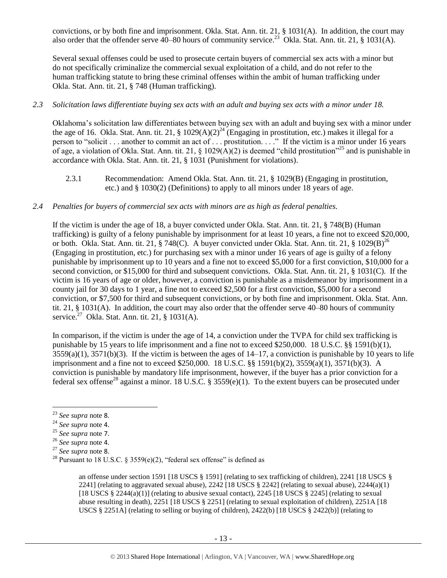convictions, or by both fine and imprisonment. Okla. Stat. Ann. tit. 21, § 1031(A). In addition, the court may also order that the offender serve  $40-80$  hours of community service.<sup>23</sup> Okla. Stat. Ann. tit. 21, § 1031(A).

Several sexual offenses could be used to prosecute certain buyers of commercial sex acts with a minor but do not specifically criminalize the commercial sexual exploitation of a child, and do not refer to the human trafficking statute to bring these criminal offenses within the ambit of human trafficking under Okla. Stat. Ann. tit. 21, § 748 (Human trafficking).

#### *2.3 Solicitation laws differentiate buying sex acts with an adult and buying sex acts with a minor under 18.*

Oklahoma's solicitation law differentiates between buying sex with an adult and buying sex with a minor under the age of 16. Okla. Stat. Ann. tit. 21, § 1029(A)(2)<sup>24</sup> (Engaging in prostitution, etc.) makes it illegal for a person to "solicit . . . another to commit an act of . . . prostitution. . . ." If the victim is a minor under 16 years of age, a violation of Okla. Stat. Ann. tit. 21, § 1029( $\hat{A}$ )(2) is deemed "child prostitution"<sup>25</sup> and is punishable in accordance with Okla. Stat. Ann. tit. 21, § 1031 (Punishment for violations).

2.3.1 Recommendation: Amend Okla. Stat. Ann. tit. 21, § 1029(B) (Engaging in prostitution, etc.) and § 1030(2) (Definitions) to apply to all minors under 18 years of age.

## *2.4 Penalties for buyers of commercial sex acts with minors are as high as federal penalties.*

If the victim is under the age of 18, a buyer convicted under Okla. Stat. Ann. tit. 21, § 748(B) (Human trafficking) is guilty of a felony punishable by imprisonment for at least 10 years, a fine not to exceed \$20,000, or both. Okla. Stat. Ann. tit. 21, § 748(C). A buyer convicted under Okla. Stat. Ann. tit. 21, § 1029(B)<sup>26</sup> (Engaging in prostitution, etc.) for purchasing sex with a minor under 16 years of age is guilty of a felony punishable by imprisonment up to 10 years and a fine not to exceed \$5,000 for a first conviction, \$10,000 for a second conviction, or \$15,000 for third and subsequent convictions. Okla. Stat. Ann. tit. 21, § 1031(C). If the victim is 16 years of age or older, however, a conviction is punishable as a misdemeanor by imprisonment in a county jail for 30 days to 1 year, a fine not to exceed \$2,500 for a first conviction, \$5,000 for a second conviction, or \$7,500 for third and subsequent convictions, or by both fine and imprisonment. Okla. Stat. Ann. tit. 21, § 1031(A). In addition, the court may also order that the offender serve 40–80 hours of community service. $^{27}$  Okla. Stat. Ann. tit. 21, § 1031(A).

In comparison, if the victim is under the age of 14, a conviction under the TVPA for child sex trafficking is punishable by 15 years to life imprisonment and a fine not to exceed \$250,000. 18 U.S.C. §§ 1591(b)(1),  $3559(a)(1)$ ,  $3571(b)(3)$ . If the victim is between the ages of  $14-17$ , a conviction is punishable by 10 years to life imprisonment and a fine not to exceed \$250,000. 18 U.S.C. §§ 1591(b)(2), 3559(a)(1), 3571(b)(3). A conviction is punishable by mandatory life imprisonment, however, if the buyer has a prior conviction for a federal sex offense<sup>28</sup> against a minor. 18 U.S.C. § 3559(e)(1). To the extent buyers can be prosecuted under

<span id="page-12-0"></span>l

an offense under section 1591 [18 USCS § 1591] (relating to sex trafficking of children), 2241 [18 USCS § 2241] (relating to aggravated sexual abuse),  $2242$  [18 USCS § 2242] (relating to sexual abuse),  $2244(a)(1)$ [18 USCS  $\S 2244(a)(1)$ ] (relating to abusive sexual contact), 2245 [18 USCS  $\S 2245$ ] (relating to sexual abuse resulting in death), 2251 [18 USCS § 2251] (relating to sexual exploitation of children), 2251A [18 USCS § 2251A] (relating to selling or buying of children), 2422(b) [18 USCS § 2422(b)] (relating to

<sup>23</sup> *See supra* note [8](#page-2-1).

<sup>24</sup> *See supra* note [4](#page-1-0).

<sup>25</sup> *See supra* note [7](#page-2-0).

<sup>26</sup> *See supra* note [4](#page-1-0).

<sup>27</sup> *See supra* note [8](#page-2-1).

<sup>&</sup>lt;sup>28</sup> Pursuant to 18 U.S.C. § 3559(e)(2), "federal sex offense" is defined as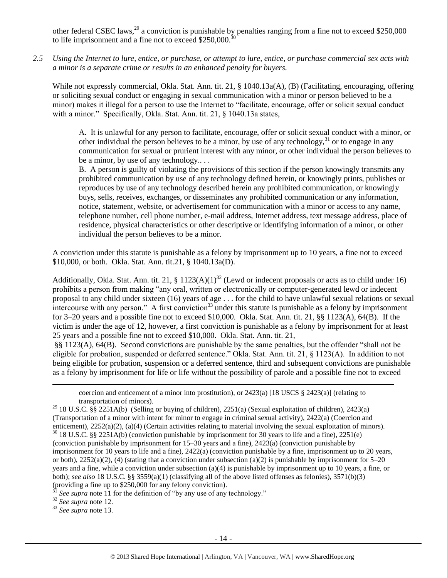other federal CSEC laws,<sup>29</sup> a conviction is punishable by penalties ranging from a fine not to exceed \$250,000 to life imprisonment and a fine not to exceed \$250,000.

*2.5 Using the Internet to lure, entice, or purchase, or attempt to lure, entice, or purchase commercial sex acts with a minor is a separate crime or results in an enhanced penalty for buyers.*

While not expressly commercial, Okla. Stat. Ann. tit. 21, § 1040.13a(A), (B) (Facilitating, encouraging, offering or soliciting sexual conduct or engaging in sexual communication with a minor or person believed to be a minor) makes it illegal for a person to use the Internet to "facilitate, encourage, offer or solicit sexual conduct with a minor." Specifically, Okla. Stat. Ann. tit. 21, 8 1040.13a states,

A. It is unlawful for any person to facilitate, encourage, offer or solicit sexual conduct with a minor, or other individual the person believes to be a minor, by use of any technology,  $31$  or to engage in any communication for sexual or prurient interest with any minor, or other individual the person believes to be a minor, by use of any technology....

B. A person is guilty of violating the provisions of this section if the person knowingly transmits any prohibited communication by use of any technology defined herein, or knowingly prints, publishes or reproduces by use of any technology described herein any prohibited communication, or knowingly buys, sells, receives, exchanges, or disseminates any prohibited communication or any information, notice, statement, website, or advertisement for communication with a minor or access to any name, telephone number, cell phone number, e-mail address, Internet address, text message address, place of residence, physical characteristics or other descriptive or identifying information of a minor, or other individual the person believes to be a minor.

A conviction under this statute is punishable as a felony by imprisonment up to 10 years, a fine not to exceed \$10,000, or both. Okla. Stat. Ann. tit.21, § 1040.13a(D).

Additionally, Okla. Stat. Ann. tit. 21, § 1123(A)(1)<sup>32</sup> (Lewd or indecent proposals or acts as to child under 16) prohibits a person from making "any oral, written or electronically or computer-generated lewd or indecent proposal to any child under sixteen (16) years of age . . . for the child to have unlawful sexual relations or sexual intercourse with any person." A first conviction<sup>33</sup> under this statute is punishable as a felony by imprisonment for 3–20 years and a possible fine not to exceed \$10,000. Okla. Stat. Ann. tit. 21, §§ 1123(A), 64(B). If the victim is under the age of 12, however, a first conviction is punishable as a felony by imprisonment for at least 25 years and a possible fine not to exceed \$10,000. Okla. Stat. Ann. tit. 21,

§§ 1123(A), 64(B). Second convictions are punishable by the same penalties, but the offender "shall not be eligible for probation, suspended or deferred sentence." Okla. Stat. Ann. tit. 21, § 1123(A). In addition to not being eligible for probation, suspension or a deferred sentence, third and subsequent convictions are punishable as a felony by imprisonment for life or life without the possibility of parole and a possible fine not to exceed

coercion and enticement of a minor into prostitution), or  $2423(a)$  [18 USCS §  $2423(a)$ ] (relating to transportation of minors).

<sup>29</sup> 18 U.S.C.  $\frac{1}{8}$  2251A(b) (Selling or buying of children), 2251(a) (Sexual exploitation of children), 2423(a) (Transportation of a minor with intent for minor to engage in criminal sexual activity), 2422(a) (Coercion and enticement), 2252(a)(2), (a)(4) (Certain activities relating to material involving the sexual exploitation of minors).  $30$  18 U.S.C. §§ 2251A(b) (conviction punishable by imprisonment for 30 years to life and a fine), 2251(e)

(conviction punishable by imprisonment for 15–30 years and a fine), 2423(a) (conviction punishable by imprisonment for 10 years to life and a fine), 2422(a) (conviction punishable by a fine, imprisonment up to 20 years, or both),  $2252(a)(2)$ , (4) (stating that a conviction under subsection (a)(2) is punishable by imprisonment for 5–20 years and a fine, while a conviction under subsection (a)(4) is punishable by imprisonment up to 10 years, a fine, or both); *see also* 18 U.S.C. §§ 3559(a)(1) (classifying all of the above listed offenses as felonies), 3571(b)(3) (providing a fine up to \$250,000 for any felony conviction).

See supra note [11](#page-4-0) for the definition of "by any use of any technology."

<sup>32</sup> *See supra* note [12.](#page-6-0)

 $\overline{\phantom{a}}$ 

<sup>33</sup> *See supra* note [13.](#page-6-1)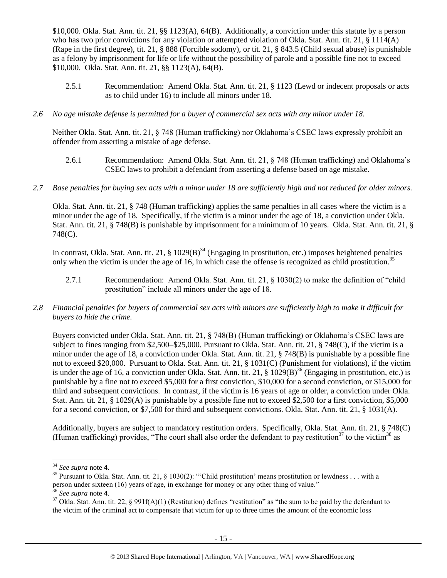\$10,000. Okla. Stat. Ann. tit. 21, §§ 1123(A), 64(B). Additionally, a conviction under this statute by a person who has two prior convictions for any violation or attempted violation of Okla. Stat. Ann. tit. 21, § 1114(A) (Rape in the first degree), tit. 21, § 888 (Forcible sodomy), or tit. 21, § 843.5 (Child sexual abuse) is punishable as a felony by imprisonment for life or life without the possibility of parole and a possible fine not to exceed \$10,000. Okla. Stat. Ann. tit. 21, §§ 1123(A), 64(B).

- 2.5.1 Recommendation: Amend Okla. Stat. Ann. tit. 21, § 1123 (Lewd or indecent proposals or acts as to child under 16) to include all minors under 18.
- *2.6 No age mistake defense is permitted for a buyer of commercial sex acts with any minor under 18.*

Neither Okla. Stat. Ann. tit. 21, § 748 (Human trafficking) nor Oklahoma's CSEC laws expressly prohibit an offender from asserting a mistake of age defense.

- 2.6.1 Recommendation: Amend Okla. Stat. Ann. tit. 21, § 748 (Human trafficking) and Oklahoma's CSEC laws to prohibit a defendant from asserting a defense based on age mistake.
- *2.7 Base penalties for buying sex acts with a minor under 18 are sufficiently high and not reduced for older minors.*

Okla. Stat. Ann. tit. 21, § 748 (Human trafficking) applies the same penalties in all cases where the victim is a minor under the age of 18. Specifically, if the victim is a minor under the age of 18, a conviction under Okla. Stat. Ann. tit. 21, § 748(B) is punishable by imprisonment for a minimum of 10 years. Okla. Stat. Ann. tit. 21, § 748(C).

In contrast, Okla. Stat. Ann. tit. 21,  $\S 1029(B)^{34}$  (Engaging in prostitution, etc.) imposes heightened penalties only when the victim is under the age of 16, in which case the offense is recognized as child prostitution.<sup>35</sup>

- 2.7.1 Recommendation: Amend Okla. Stat. Ann. tit. 21, § 1030(2) to make the definition of "child prostitution" include all minors under the age of 18.
- *2.8 Financial penalties for buyers of commercial sex acts with minors are sufficiently high to make it difficult for buyers to hide the crime.*

Buyers convicted under Okla. Stat. Ann. tit. 21, § 748(B) (Human trafficking) or Oklahoma's CSEC laws are subject to fines ranging from \$2,500–\$25,000. Pursuant to Okla. Stat. Ann. tit. 21, § 748(C), if the victim is a minor under the age of 18, a conviction under Okla. Stat. Ann. tit. 21, § 748(B) is punishable by a possible fine not to exceed \$20,000. Pursuant to Okla. Stat. Ann. tit. 21, § 1031(C) (Punishment for violations), if the victim is under the age of 16, a conviction under Okla. Stat. Ann. tit. 21, § 1029(B)<sup>36</sup> (Engaging in prostitution, etc.) is punishable by a fine not to exceed \$5,000 for a first conviction, \$10,000 for a second conviction, or \$15,000 for third and subsequent convictions. In contrast, if the victim is 16 years of age or older, a conviction under Okla. Stat. Ann. tit. 21, § 1029(A) is punishable by a possible fine not to exceed \$2,500 for a first conviction, \$5,000 for a second conviction, or \$7,500 for third and subsequent convictions. Okla. Stat. Ann. tit. 21, § 1031(A).

Additionally, buyers are subject to mandatory restitution orders. Specifically, Okla. Stat. Ann. tit. 21, § 748(C) (Human trafficking) provides, "The court shall also order the defendant to pay restitution<sup>37</sup> to the victim<sup>38</sup> as

<span id="page-14-1"></span><span id="page-14-0"></span> $\overline{a}$ 

<sup>34</sup> *See supra* note [4](#page-1-0).

<sup>&</sup>lt;sup>35</sup> Pursuant to Okla. Stat. Ann. tit. 21, § 1030(2): "Child prostitution' means prostitution or lewdness . . . with a person under sixteen (16) years of age, in exchange for money or any other thing of value."<br> $\frac{36}{2}$  See survey and all the same state of

<sup>36</sup> *See supra* note [4](#page-1-0).

 $37$  Okla. Stat. Ann. tit. 22, § 991f(A)(1) (Restitution) defines "restitution" as "the sum to be paid by the defendant to the victim of the criminal act to compensate that victim for up to three times the amount of the economic loss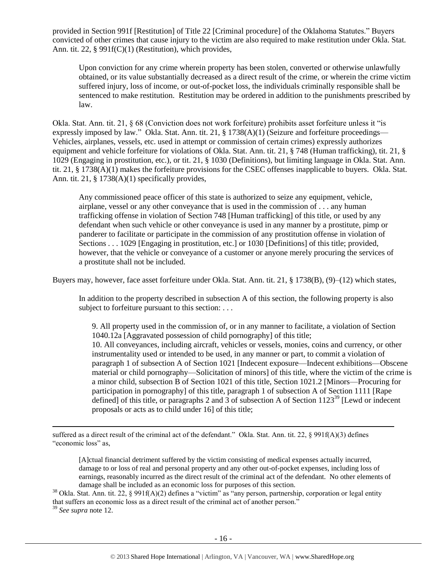provided in Section 991f [Restitution] of Title 22 [Criminal procedure] of the Oklahoma Statutes." Buyers convicted of other crimes that cause injury to the victim are also required to make restitution under Okla. Stat. Ann. tit. 22, § 991f(C)(1) (Restitution), which provides,

Upon conviction for any crime wherein property has been stolen, converted or otherwise unlawfully obtained, or its value substantially decreased as a direct result of the crime, or wherein the crime victim suffered injury, loss of income, or out-of-pocket loss, the individuals criminally responsible shall be sentenced to make restitution. Restitution may be ordered in addition to the punishments prescribed by law.

Okla. Stat. Ann. tit. 21, § 68 (Conviction does not work forfeiture) prohibits asset forfeiture unless it "is expressly imposed by law." Okla. Stat. Ann. tit. 21, § 1738(A)(1) (Seizure and forfeiture proceedings— Vehicles, airplanes, vessels, etc. used in attempt or commission of certain crimes) expressly authorizes equipment and vehicle forfeiture for violations of Okla. Stat. Ann. tit. 21, § 748 (Human trafficking), tit. 21, § 1029 (Engaging in prostitution, etc.), or tit. 21, § 1030 (Definitions), but limiting language in Okla. Stat. Ann. tit. 21, § 1738(A)(1) makes the forfeiture provisions for the CSEC offenses inapplicable to buyers. Okla. Stat. Ann. tit. 21, § 1738(A)(1) specifically provides,

Any commissioned peace officer of this state is authorized to seize any equipment, vehicle, airplane, vessel or any other conveyance that is used in the commission of . . . any human trafficking offense in violation of Section 748 [Human trafficking] of this title, or used by any defendant when such vehicle or other conveyance is used in any manner by a prostitute, pimp or panderer to facilitate or participate in the commission of any prostitution offense in violation of Sections . . . 1029 [Engaging in prostitution, etc.] or 1030 [Definitions] of this title; provided, however, that the vehicle or conveyance of a customer or anyone merely procuring the services of a prostitute shall not be included.

Buyers may, however, face asset forfeiture under Okla. Stat. Ann. tit. 21, § 1738(B), (9)–(12) which states,

In addition to the property described in subsection A of this section, the following property is also subject to forfeiture pursuant to this section: . . .

9. All property used in the commission of, or in any manner to facilitate, a violation of Section 1040.12a [Aggravated possession of child pornography] of this title; 10. All conveyances, including aircraft, vehicles or vessels, monies, coins and currency, or other instrumentality used or intended to be used, in any manner or part, to commit a violation of paragraph 1 of subsection A of Section 1021 [Indecent exposure—Indecent exhibitions—Obscene material or child pornography—Solicitation of minors] of this title, where the victim of the crime is a minor child, subsection B of Section 1021 of this title, Section 1021.2 [Minors—Procuring for participation in pornography] of this title, paragraph 1 of subsection A of Section 1111 [Rape defined] of this title, or paragraphs 2 and 3 of subsection A of Section  $1123^{39}$  [Lewd or indecent

l suffered as a direct result of the criminal act of the defendant." Okla. Stat. Ann. tit. 22, § 991f(A)(3) defines "economic loss" as,

proposals or acts as to child under 16] of this title;

[A]ctual financial detriment suffered by the victim consisting of medical expenses actually incurred, damage to or loss of real and personal property and any other out-of-pocket expenses, including loss of earnings, reasonably incurred as the direct result of the criminal act of the defendant. No other elements of damage shall be included as an economic loss for purposes of this section.

 $38$  Okla. Stat. Ann. tit. 22, § 991f(A)(2) defines a "victim" as "any person, partnership, corporation or legal entity that suffers an economic loss as a direct result of the criminal act of another person."

<sup>39</sup> *See supra* note [12.](#page-6-0)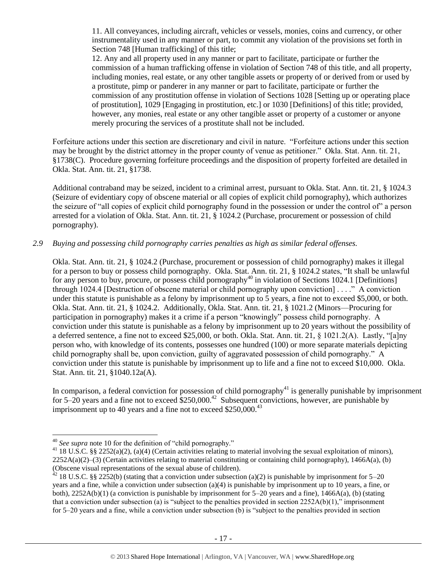11. All conveyances, including aircraft, vehicles or vessels, monies, coins and currency, or other instrumentality used in any manner or part, to commit any violation of the provisions set forth in Section 748 [Human trafficking] of this title:

12. Any and all property used in any manner or part to facilitate, participate or further the commission of a human trafficking offense in violation of Section 748 of this title, and all property, including monies, real estate, or any other tangible assets or property of or derived from or used by a prostitute, pimp or panderer in any manner or part to facilitate, participate or further the commission of any prostitution offense in violation of Sections 1028 [Setting up or operating place of prostitution], 1029 [Engaging in prostitution, etc.] or 1030 [Definitions] of this title; provided, however, any monies, real estate or any other tangible asset or property of a customer or anyone merely procuring the services of a prostitute shall not be included.

Forfeiture actions under this section are discretionary and civil in nature. "Forfeiture actions under this section may be brought by the district attorney in the proper county of venue as petitioner." Okla. Stat. Ann. tit. 21, §1738(C). Procedure governing forfeiture proceedings and the disposition of property forfeited are detailed in Okla. Stat. Ann. tit. 21, §1738.

Additional contraband may be seized, incident to a criminal arrest, pursuant to Okla. Stat. Ann. tit. 21, § 1024.3 (Seizure of evidentiary copy of obscene material or all copies of explicit child pornography), which authorizes the seizure of "all copies of explicit child pornography found in the possession or under the control of" a person arrested for a violation of Okla. Stat. Ann. tit. 21, § 1024.2 (Purchase, procurement or possession of child pornography).

#### *2.9 Buying and possessing child pornography carries penalties as high as similar federal offenses.*

Okla. Stat. Ann. tit. 21, § 1024.2 (Purchase, procurement or possession of child pornography) makes it illegal for a person to buy or possess child pornography. Okla. Stat. Ann. tit. 21, § 1024.2 states, "It shall be unlawful for any person to buy, procure, or possess child pornography<sup>40</sup> in violation of Sections 1024.1 [Definitions] through 1024.4 [Destruction of obscene material or child pornography upon conviction] . . . ." A conviction under this statute is punishable as a felony by imprisonment up to 5 years, a fine not to exceed \$5,000, or both. Okla. Stat. Ann. tit. 21, § 1024.2. Additionally, Okla. Stat. Ann. tit. 21, § 1021.2 (Minors—Procuring for participation in pornography) makes it a crime if a person "knowingly" possess child pornography. A conviction under this statute is punishable as a felony by imprisonment up to 20 years without the possibility of a deferred sentence, a fine not to exceed \$25,000, or both. Okla. Stat. Ann. tit. 21, § 1021.2(A). Lastly, "[a]ny person who, with knowledge of its contents, possesses one hundred (100) or more separate materials depicting child pornography shall be, upon conviction, guilty of aggravated possession of child pornography." A conviction under this statute is punishable by imprisonment up to life and a fine not to exceed \$10,000. Okla. Stat. Ann. tit. 21, §1040.12a(A).

In comparison, a federal conviction for possession of child pornography<sup>41</sup> is generally punishable by imprisonment for 5–20 years and a fine not to exceed  $$250,000.<sup>42</sup>$  Subsequent convictions, however, are punishable by imprisonment up to 40 years and a fine not to exceed  $$250,000.<sup>43</sup>$ 

<sup>40</sup> *See supra* note [10](#page-3-0) for the definition of "child pornography."

<sup>&</sup>lt;sup>41</sup> 18 U.S.C. §§ 2252(a)(2), (a)(4) (Certain activities relating to material involving the sexual exploitation of minors),  $2252A(a)(2)$ –(3) (Certain activities relating to material constituting or containing child pornography), 1466A(a), (b) (Obscene visual representations of the sexual abuse of children).

 $^{42}$  18 U.S.C. §§ 2252(b) (stating that a conviction under subsection (a)(2) is punishable by imprisonment for 5–20 years and a fine, while a conviction under subsection (a)(4) is punishable by imprisonment up to 10 years, a fine, or both),  $2252A(b)(1)$  (a conviction is punishable by imprisonment for  $5-20$  years and a fine),  $1466A(a)$ , (b) (stating that a conviction under subsection (a) is "subject to the penalties provided in section  $2252A(b)(1)$ ," imprisonment for 5–20 years and a fine, while a conviction under subsection (b) is "subject to the penalties provided in section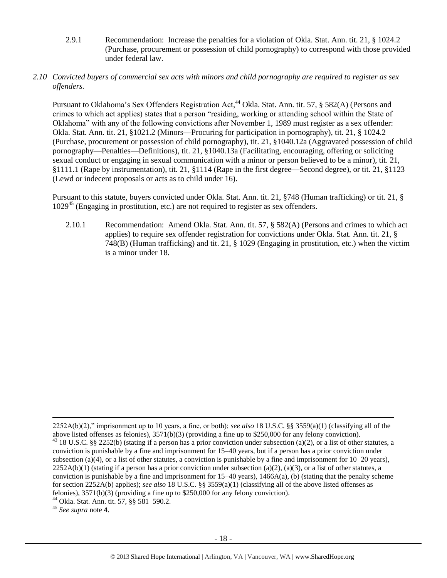2.9.1 Recommendation: Increase the penalties for a violation of Okla. Stat. Ann. tit. 21, § 1024.2 (Purchase, procurement or possession of child pornography) to correspond with those provided under federal law.

#### *2.10 Convicted buyers of commercial sex acts with minors and child pornography are required to register as sex offenders.*

Pursuant to Oklahoma's Sex Offenders Registration Act,<sup>44</sup> Okla. Stat. Ann. tit. 57, § 582(A) (Persons and crimes to which act applies) states that a person "residing, working or attending school within the State of Oklahoma" with any of the following convictions after November 1, 1989 must register as a sex offender: Okla. Stat. Ann. tit. 21, §1021.2 (Minors—Procuring for participation in pornography), tit. 21, § 1024.2 (Purchase, procurement or possession of child pornography), tit. 21, §1040.12a (Aggravated possession of child pornography—Penalties—Definitions), tit. 21, §1040.13a (Facilitating, encouraging, offering or soliciting sexual conduct or engaging in sexual communication with a minor or person believed to be a minor), tit. 21, §1111.1 (Rape by instrumentation), tit. 21, §1114 (Rape in the first degree—Second degree), or tit. 21, §1123 (Lewd or indecent proposals or acts as to child under 16).

Pursuant to this statute, buyers convicted under Okla. Stat. Ann. tit. 21, §748 (Human trafficking) or tit. 21, §  $1029<sup>45</sup>$  (Engaging in prostitution, etc.) are not required to register as sex offenders.

2.10.1 Recommendation: Amend Okla. Stat. Ann. tit. 57, § 582(A) (Persons and crimes to which act applies) to require sex offender registration for convictions under Okla. Stat. Ann. tit. 21, § 748(B) (Human trafficking) and tit. 21, § 1029 (Engaging in prostitution, etc.) when the victim is a minor under 18.

<sup>45</sup> *See supra* note [4](#page-1-0).

<sup>2252</sup>A(b)(2)," imprisonment up to 10 years, a fine, or both); *see also* 18 U.S.C. §§ 3559(a)(1) (classifying all of the above listed offenses as felonies), 3571(b)(3) (providing a fine up to \$250,000 for any felony conviction).  $43$  18 U.S.C. §§ 2252(b) (stating if a person has a prior conviction under subsection (a)(2), or a list of other statutes, a conviction is punishable by a fine and imprisonment for 15–40 years, but if a person has a prior conviction under subsection (a)(4), or a list of other statutes, a conviction is punishable by a fine and imprisonment for  $10-20$  years),  $2252A(b)(1)$  (stating if a person has a prior conviction under subsection (a)(2), (a)(3), or a list of other statutes, a conviction is punishable by a fine and imprisonment for  $15-40$  years),  $1466A(a)$ , (b) (stating that the penalty scheme for section 2252A(b) applies); *see also* 18 U.S.C. §§ 3559(a)(1) (classifying all of the above listed offenses as felonies), 3571(b)(3) (providing a fine up to \$250,000 for any felony conviction).

<sup>44</sup> Okla. Stat. Ann. tit. 57, §§ 581–590.2.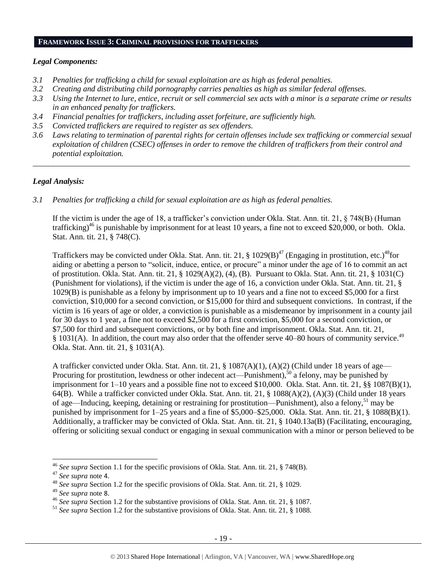#### **FRAMEWORK ISSUE 3: CRIMINAL PROVISIONS FOR TRAFFICKERS**

#### *Legal Components:*

- *3.1 Penalties for trafficking a child for sexual exploitation are as high as federal penalties.*
- *3.2 Creating and distributing child pornography carries penalties as high as similar federal offenses.*
- *3.3 Using the Internet to lure, entice, recruit or sell commercial sex acts with a minor is a separate crime or results in an enhanced penalty for traffickers.*
- *3.4 Financial penalties for traffickers, including asset forfeiture, are sufficiently high.*
- *3.5 Convicted traffickers are required to register as sex offenders.*
- *3.6 Laws relating to termination of parental rights for certain offenses include sex trafficking or commercial sexual exploitation of children (CSEC) offenses in order to remove the children of traffickers from their control and potential exploitation.*

*\_\_\_\_\_\_\_\_\_\_\_\_\_\_\_\_\_\_\_\_\_\_\_\_\_\_\_\_\_\_\_\_\_\_\_\_\_\_\_\_\_\_\_\_\_\_\_\_\_\_\_\_\_\_\_\_\_\_\_\_\_\_\_\_\_\_\_\_\_\_\_\_\_\_\_\_\_\_\_\_\_\_\_\_\_\_\_\_\_\_\_\_\_\_*

#### *Legal Analysis:*

*3.1 Penalties for trafficking a child for sexual exploitation are as high as federal penalties.* 

If the victim is under the age of 18, a trafficker's conviction under Okla. Stat. Ann. tit. 21, § 748(B) (Human trafficking)<sup>46</sup> is punishable by imprisonment for at least 10 years, a fine not to exceed \$20,000, or both. Okla. Stat. Ann. tit. 21, § 748(C).

Traffickers may be convicted under Okla. Stat. Ann. tit. 21,  $\S$  1029(B)<sup>47</sup> (Engaging in prostitution, etc.)<sup>48</sup>for aiding or abetting a person to "solicit, induce, entice, or procure" a minor under the age of 16 to commit an act of prostitution. Okla. Stat. Ann. tit. 21, § 1029(A)(2), (4), (B). Pursuant to Okla. Stat. Ann. tit. 21, § 1031(C) (Punishment for violations), if the victim is under the age of 16, a conviction under Okla. Stat. Ann. tit. 21, § 1029(B) is punishable as a felony by imprisonment up to 10 years and a fine not to exceed \$5,000 for a first conviction, \$10,000 for a second conviction, or \$15,000 for third and subsequent convictions. In contrast, if the victim is 16 years of age or older, a conviction is punishable as a misdemeanor by imprisonment in a county jail for 30 days to 1 year, a fine not to exceed \$2,500 for a first conviction, \$5,000 for a second conviction, or \$7,500 for third and subsequent convictions, or by both fine and imprisonment. Okla. Stat. Ann. tit. 21, § 1031(A). In addition, the court may also order that the offender serve 40–80 hours of community service.<sup>49</sup> Okla. Stat. Ann. tit. 21, § 1031(A).

A trafficker convicted under Okla. Stat. Ann. tit. 21, § 1087(A)(1), (A)(2) (Child under 18 years of age— Procuring for prostitution, lewdness or other indecent act—Punishment),<sup>50</sup> a felony, may be punished by imprisonment for 1–10 years and a possible fine not to exceed \$10,000. Okla. Stat. Ann. tit. 21, §§ 1087(B)(1), 64(B). While a trafficker convicted under Okla. Stat. Ann. tit. 21, § 1088(A)(2), (A)(3) (Child under 18 years of age—Inducing, keeping, detaining or restraining for prostitution—Punishment), also a felony,<sup>51</sup> may be punished by imprisonment for 1–25 years and a fine of \$5,000–\$25,000. Okla. Stat. Ann. tit. 21, § 1088(B)(1). Additionally, a trafficker may be convicted of Okla. Stat. Ann. tit. 21, § 1040.13a(B) (Facilitating, encouraging, offering or soliciting sexual conduct or engaging in sexual communication with a minor or person believed to be

 $\overline{a}$ 

<sup>46</sup> *See supra* Section 1.1 for the specific provisions of Okla. Stat. Ann. tit. 21, § 748(B).

<sup>47</sup> *See supra* note [4](#page-1-0).

<sup>48</sup> *See supra* Section 1.2 for the specific provisions of Okla. Stat. Ann. tit. 21, § 1029.

<sup>49</sup> *See supra* note [8](#page-2-1).

<sup>46</sup> *See supra* Section 1.2 for the substantive provisions of Okla. Stat. Ann. tit. 21, § 1087.

<sup>51</sup> *See supra* Section 1.2 for the substantive provisions of Okla. Stat. Ann. tit. 21, § 1088.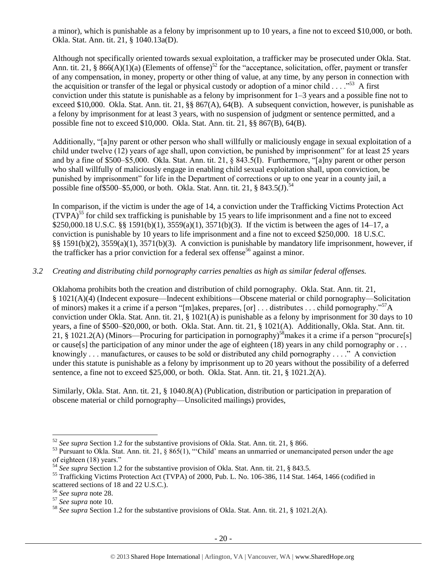a minor), which is punishable as a felony by imprisonment up to 10 years, a fine not to exceed \$10,000, or both. Okla. Stat. Ann. tit. 21, § 1040.13a(D).

Although not specifically oriented towards sexual exploitation, a trafficker may be prosecuted under Okla. Stat. Ann. tit. 21, § 866(A)(1)(a) (Elements of offense)<sup>52</sup> for the "acceptance, solicitation, offer, payment or transfer of any compensation, in money, property or other thing of value, at any time, by any person in connection with the acquisition or transfer of the legal or physical custody or adoption of a minor child  $\ldots$ .<sup>553</sup> A first conviction under this statute is punishable as a felony by imprisonment for 1–3 years and a possible fine not to exceed \$10,000. Okla. Stat. Ann. tit. 21, §§ 867(A), 64(B). A subsequent conviction, however, is punishable as a felony by imprisonment for at least 3 years, with no suspension of judgment or sentence permitted, and a possible fine not to exceed \$10,000. Okla. Stat. Ann. tit. 21, §§ 867(B), 64(B).

Additionally, "[a]ny parent or other person who shall willfully or maliciously engage in sexual exploitation of a child under twelve (12) years of age shall, upon conviction, be punished by imprisonment" for at least 25 years and by a fine of \$500–\$5,000. Okla. Stat. Ann. tit. 21, § 843.5(I). Furthermore, "[a]ny parent or other person who shall willfully of maliciously engage in enabling child sexual exploitation shall, upon conviction, be punished by imprisonment" for life in the Department of corrections or up to one year in a county jail, a possible fine of \$500–\$5,000, or both. Okla. Stat. Ann. tit. 21, § 843.5(J).<sup>54</sup>

In comparison, if the victim is under the age of 14, a conviction under the Trafficking Victims Protection Act  $(TVPA)^{55}$  for child sex trafficking is punishable by 15 years to life imprisonment and a fine not to exceed \$250,000.18 U.S.C. §§ 1591(b)(1), 3559(a)(1), 3571(b)(3). If the victim is between the ages of 14–17, a conviction is punishable by 10 years to life imprisonment and a fine not to exceed \$250,000. 18 U.S.C. §§ 1591(b)(2), 3559(a)(1), 3571(b)(3). A conviction is punishable by mandatory life imprisonment, however, if the trafficker has a prior conviction for a federal sex offense<sup>56</sup> against a minor.

#### *3.2 Creating and distributing child pornography carries penalties as high as similar federal offenses.*

Oklahoma prohibits both the creation and distribution of child pornography. Okla. Stat. Ann. tit. 21, § 1021(A)(4) (Indecent exposure—Indecent exhibitions—Obscene material or child pornography—Solicitation of minors) makes it a crime if a person "[m]akes, prepares, [or] ... distributes ... child pornography."<sup>57</sup>A conviction under Okla. Stat. Ann. tit. 21, § 1021(A) is punishable as a felony by imprisonment for 30 days to 10 years, a fine of \$500–\$20,000, or both. Okla. Stat. Ann. tit. 21, § 1021(A). Additionally, Okla. Stat. Ann. tit. 21, § 1021.2(A) (Minors—Procuring for participation in pornography)<sup>58</sup> makes it a crime if a person "procure[s] or cause[s] the participation of any minor under the age of eighteen (18) years in any child pornography or . . . knowingly . . . manufactures, or causes to be sold or distributed any child pornography . . . ." A conviction under this statute is punishable as a felony by imprisonment up to 20 years without the possibility of a deferred sentence, a fine not to exceed \$25,000, or both. Okla. Stat. Ann. tit. 21, § 1021.2(A).

Similarly, Okla. Stat. Ann. tit. 21, § 1040.8(A) (Publication, distribution or participation in preparation of obscene material or child pornography—Unsolicited mailings) provides,

<sup>52</sup> *See supra* Section 1.2 for the substantive provisions of Okla. Stat. Ann. tit. 21, § 866.

 $53$  Pursuant to Okla. Stat. Ann. tit. 21, § 865(1), "Child' means an unmarried or unemancipated person under the age of eighteen (18) years."

<sup>54</sup> *See supra* Section 1.2 for the substantive provision of Okla. Stat. Ann. tit. 21, § 843.5.

<sup>&</sup>lt;sup>55</sup> Trafficking Victims Protection Act (TVPA) of 2000, Pub. L. No. 106-386, 114 Stat. 1464, 1466 (codified in scattered sections of 18 and 22 U.S.C.).

<sup>56</sup> *See supra* note [28.](#page-12-0)

<sup>57</sup> *See supra* note [10.](#page-3-0) 

<sup>58</sup> *See supra* Section 1.2 for the substantive provisions of Okla. Stat. Ann. tit. 21, § 1021.2(A).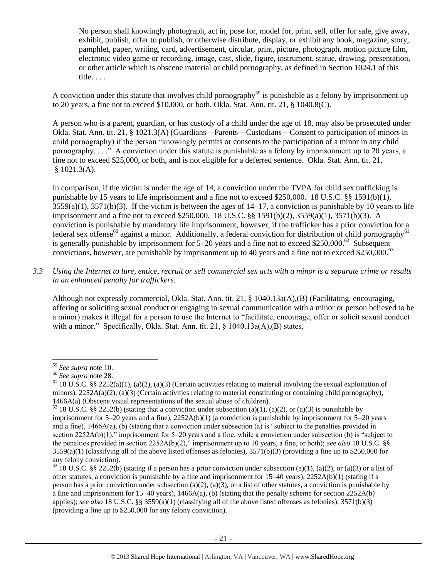No person shall knowingly photograph, act in, pose for, model for, print, sell, offer for sale, give away, exhibit, publish, offer to publish, or otherwise distribute, display, or exhibit any book, magazine, story, pamphlet, paper, writing, card, advertisement, circular, print, picture, photograph, motion picture film, electronic video game or recording, image, cast, slide, figure, instrument, statue, drawing, presentation, or other article which is obscene material or child pornography, as defined in Section 1024.1 of this title. . . .

A conviction under this statute that involves child pornography<sup>59</sup> is punishable as a felony by imprisonment up to 20 years, a fine not to exceed \$10,000, or both. Okla. Stat. Ann. tit. 21, § 1040.8(C).

A person who is a parent, guardian, or has custody of a child under the age of 18, may also be prosecuted under Okla. Stat. Ann. tit. 21, § 1021.3(A) (Guardians—Parents—Custodians—Consent to participation of minors in child pornography) if the person "knowingly permits or consents to the participation of a minor in any child pornography. . . ." A conviction under this statute is punishable as a felony by imprisonment up to 20 years, a fine not to exceed \$25,000, or both, and is not eligible for a deferred sentence. Okla. Stat. Ann. tit. 21, § 1021.3(A).

In comparison, if the victim is under the age of 14, a conviction under the TVPA for child sex trafficking is punishable by 15 years to life imprisonment and a fine not to exceed \$250,000. 18 U.S.C. §§ 1591(b)(1),  $3559(a)(1)$ ,  $3571(b)(3)$ . If the victim is between the ages of  $14-17$ , a conviction is punishable by 10 years to life imprisonment and a fine not to exceed \$250,000. 18 U.S.C. §§ 1591(b)(2), 3559(a)(1), 3571(b)(3). A conviction is punishable by mandatory life imprisonment, however, if the trafficker has a prior conviction for a federal sex offense<sup>60</sup> against a minor. Additionally, a federal conviction for distribution of child pornography<sup>61</sup> is generally punishable by imprisonment for  $5-20$  years and a fine not to exceed \$250,000.<sup>62</sup> Subsequent convictions, however, are punishable by imprisonment up to 40 years and a fine not to exceed \$250,000.<sup>63</sup>

*3.3 Using the Internet to lure, entice, recruit or sell commercial sex acts with a minor is a separate crime or results in an enhanced penalty for traffickers.*

Although not expressly commercial, Okla. Stat. Ann. tit. 21, § 1040.13a(A),(B) (Facilitating, encouraging, offering or soliciting sexual conduct or engaging in sexual communication with a minor or person believed to be a minor) makes it illegal for a person to use the Internet to "facilitate, encourage, offer or solicit sexual conduct with a minor." Specifically, Okla. Stat. Ann. tit. 21, § 1040.13a(A),(B) states,

<sup>59</sup> *See supra* note [10.](#page-3-0)

<sup>60</sup> *See supra* note [28.](#page-12-0)

<sup>&</sup>lt;sup>61</sup> 18 U.S.C. §§ 2252(a)(1), (a)(2), (a)(3) (Certain activities relating to material involving the sexual exploitation of minors),  $2252A(a)(2)$ ,  $(a)(3)$  (Certain activities relating to material constituting or containing child pornography), 1466A(a) (Obscene visual representations of the sexual abuse of children).

 $62$  18 U.S.C. §§ 2252(b) (stating that a conviction under subsection (a)(1), (a)(2), or (a)(3) is punishable by imprisonment for  $5-20$  years and a fine),  $2252A(b)(1)$  (a conviction is punishable by imprisonment for  $5-20$  years and a fine), 1466A(a), (b) (stating that a conviction under subsection (a) is "subject to the penalties provided in section 2252A(b)(1)," imprisonment for 5–20 years and a fine, while a conviction under subsection (b) is "subject to the penalties provided in section 2252A(b)(2)," imprisonment up to 10 years, a fine, or both); *see also* 18 U.S.C. §§  $3559(a)(1)$  (classifying all of the above listed offenses as felonies),  $3571(b)(3)$  (providing a fine up to \$250,000 for any felony conviction).

 $63$  18 U.S.C. §§ 2252(b) (stating if a person has a prior conviction under subsection (a)(1), (a)(2), or (a)(3) or a list of other statutes, a conviction is punishable by a fine and imprisonment for 15–40 years), 2252A(b)(1) (stating if a person has a prior conviction under subsection (a)(2), (a)(3), or a list of other statutes, a conviction is punishable by a fine and imprisonment for 15–40 years), 1466A(a), (b) (stating that the penalty scheme for section 2252A(b) applies); *see also* 18 U.S.C. §§ 3559(a)(1) (classifying all of the above listed offenses as felonies), 3571(b)(3) (providing a fine up to \$250,000 for any felony conviction).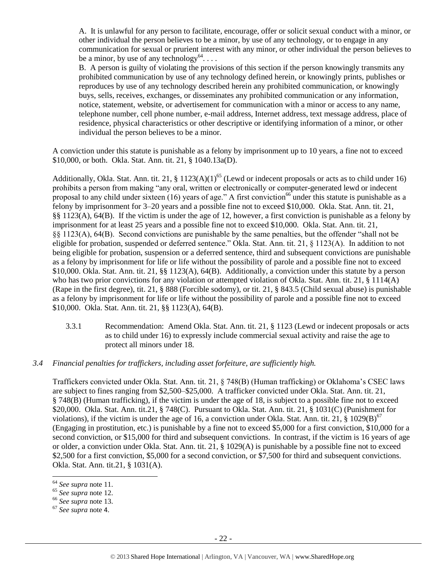A. It is unlawful for any person to facilitate, encourage, offer or solicit sexual conduct with a minor, or other individual the person believes to be a minor, by use of any technology, or to engage in any communication for sexual or prurient interest with any minor, or other individual the person believes to be a minor, by use of any technology<sup>64</sup>...

B. A person is guilty of violating the provisions of this section if the person knowingly transmits any prohibited communication by use of any technology defined herein, or knowingly prints, publishes or reproduces by use of any technology described herein any prohibited communication, or knowingly buys, sells, receives, exchanges, or disseminates any prohibited communication or any information, notice, statement, website, or advertisement for communication with a minor or access to any name, telephone number, cell phone number, e-mail address, Internet address, text message address, place of residence, physical characteristics or other descriptive or identifying information of a minor, or other individual the person believes to be a minor.

A conviction under this statute is punishable as a felony by imprisonment up to 10 years, a fine not to exceed \$10,000, or both. Okla. Stat. Ann. tit. 21, § 1040.13a(D).

Additionally, Okla. Stat. Ann. tit. 21, § 1123(A)(1)<sup>65</sup> (Lewd or indecent proposals or acts as to child under 16) prohibits a person from making "any oral, written or electronically or computer-generated lewd or indecent proposal to any child under sixteen (16) years of age." A first conviction<sup>66</sup> under this statute is punishable as a felony by imprisonment for 3–20 years and a possible fine not to exceed \$10,000. Okla. Stat. Ann. tit. 21, §§ 1123(A), 64(B). If the victim is under the age of 12, however, a first conviction is punishable as a felony by imprisonment for at least 25 years and a possible fine not to exceed \$10,000. Okla. Stat. Ann. tit. 21, §§ 1123(A), 64(B). Second convictions are punishable by the same penalties, but the offender "shall not be eligible for probation, suspended or deferred sentence." Okla. Stat. Ann. tit. 21, § 1123(A). In addition to not being eligible for probation, suspension or a deferred sentence, third and subsequent convictions are punishable as a felony by imprisonment for life or life without the possibility of parole and a possible fine not to exceed \$10,000. Okla. Stat. Ann. tit. 21, §§ 1123(A), 64(B). Additionally, a conviction under this statute by a person who has two prior convictions for any violation or attempted violation of Okla. Stat. Ann. tit. 21, § 1114(A) (Rape in the first degree), tit. 21, § 888 (Forcible sodomy), or tit. 21, § 843.5 (Child sexual abuse) is punishable as a felony by imprisonment for life or life without the possibility of parole and a possible fine not to exceed \$10,000. Okla. Stat. Ann. tit. 21, §§ 1123(A), 64(B).

- 3.3.1 Recommendation: Amend Okla. Stat. Ann. tit. 21, § 1123 (Lewd or indecent proposals or acts as to child under 16) to expressly include commercial sexual activity and raise the age to protect all minors under 18.
- *3.4 Financial penalties for traffickers, including asset forfeiture, are sufficiently high.*

Traffickers convicted under Okla. Stat. Ann. tit. 21, § 748(B) (Human trafficking) or Oklahoma's CSEC laws are subject to fines ranging from \$2,500–\$25,000. A trafficker convicted under Okla. Stat. Ann. tit. 21, § 748(B) (Human trafficking), if the victim is under the age of 18, is subject to a possible fine not to exceed \$20,000. Okla. Stat. Ann. tit.21, § 748(C). Pursuant to Okla. Stat. Ann. tit. 21, § 1031(C) (Punishment for violations), if the victim is under the age of 16, a conviction under Okla. Stat. Ann. tit. 21,  $\S$  1029(B)<sup>67</sup> (Engaging in prostitution, etc.) is punishable by a fine not to exceed \$5,000 for a first conviction, \$10,000 for a second conviction, or \$15,000 for third and subsequent convictions. In contrast, if the victim is 16 years of age or older, a conviction under Okla. Stat. Ann. tit. 21, § 1029(A) is punishable by a possible fine not to exceed \$2,500 for a first conviction, \$5,000 for a second conviction, or \$7,500 for third and subsequent convictions. Okla. Stat. Ann. tit.21, § 1031(A).

<sup>64</sup> *See supra* note [11.](#page-4-0) 

<sup>65</sup> *See supra* note [12.](#page-6-0) 

<sup>66</sup> *See supra* note [13.](#page-6-1) 

<sup>67</sup> *See supra* note [4](#page-1-0).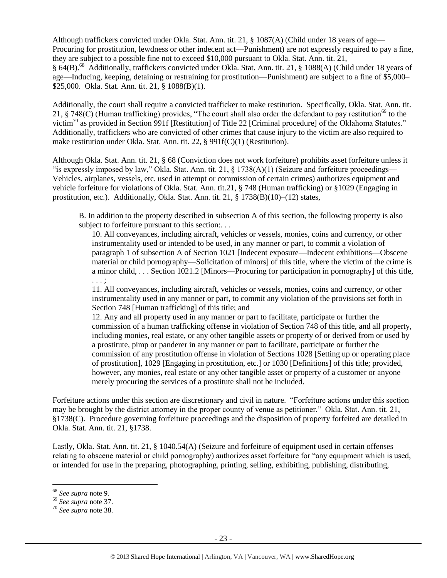Although traffickers convicted under Okla. Stat. Ann. tit. 21, § 1087(A) (Child under 18 years of age— Procuring for prostitution, lewdness or other indecent act—Punishment) are not expressly required to pay a fine, they are subject to a possible fine not to exceed \$10,000 pursuant to Okla. Stat. Ann. tit. 21, § 64(B).<sup>68</sup> Additionally, traffickers convicted under Okla. Stat. Ann. tit. 21, § 1088(A) (Child under 18 years of age—Inducing, keeping, detaining or restraining for prostitution—Punishment) are subject to a fine of \$5,000– \$25,000. Okla. Stat. Ann. tit. 21, § 1088(B)(1).

Additionally, the court shall require a convicted trafficker to make restitution. Specifically, Okla. Stat. Ann. tit. 21, § 748(C) (Human trafficking) provides, "The court shall also order the defendant to pay restitution<sup>69</sup> to the victim<sup>70</sup> as provided in Section 991f [Restitution] of Title 22 [Criminal procedure] of the Oklahoma Statutes." Additionally, traffickers who are convicted of other crimes that cause injury to the victim are also required to make restitution under Okla. Stat. Ann. tit. 22, § 991f(C)(1) (Restitution).

Although Okla. Stat. Ann. tit. 21, § 68 (Conviction does not work forfeiture) prohibits asset forfeiture unless it "is expressly imposed by law," Okla. Stat. Ann. tit. 21,  $\S$  1738(A)(1) (Seizure and forfeiture proceedings— Vehicles, airplanes, vessels, etc. used in attempt or commission of certain crimes) authorizes equipment and vehicle forfeiture for violations of Okla. Stat. Ann. tit.21, § 748 (Human trafficking) or §1029 (Engaging in prostitution, etc.). Additionally, Okla. Stat. Ann. tit. 21, § 1738(B)(10)–(12) states,

B. In addition to the property described in subsection A of this section, the following property is also subject to forfeiture pursuant to this section:...

10. All conveyances, including aircraft, vehicles or vessels, monies, coins and currency, or other instrumentality used or intended to be used, in any manner or part, to commit a violation of paragraph 1 of subsection A of Section 1021 [Indecent exposure—Indecent exhibitions—Obscene material or child pornography—Solicitation of minors] of this title, where the victim of the crime is a minor child, . . . Section 1021.2 [Minors—Procuring for participation in pornography] of this title, . . . ;

11. All conveyances, including aircraft, vehicles or vessels, monies, coins and currency, or other instrumentality used in any manner or part, to commit any violation of the provisions set forth in Section 748 [Human trafficking] of this title; and

12. Any and all property used in any manner or part to facilitate, participate or further the commission of a human trafficking offense in violation of Section 748 of this title, and all property, including monies, real estate, or any other tangible assets or property of or derived from or used by a prostitute, pimp or panderer in any manner or part to facilitate, participate or further the commission of any prostitution offense in violation of Sections 1028 [Setting up or operating place of prostitution], 1029 [Engaging in prostitution, etc.] or 1030 [Definitions] of this title; provided, however, any monies, real estate or any other tangible asset or property of a customer or anyone merely procuring the services of a prostitute shall not be included.

Forfeiture actions under this section are discretionary and civil in nature. "Forfeiture actions under this section may be brought by the district attorney in the proper county of venue as petitioner." Okla. Stat. Ann. tit. 21, §1738(C). Procedure governing forfeiture proceedings and the disposition of property forfeited are detailed in Okla. Stat. Ann. tit. 21, §1738.

Lastly, Okla. Stat. Ann. tit. 21, § 1040.54(A) (Seizure and forfeiture of equipment used in certain offenses relating to obscene material or child pornography) authorizes asset forfeiture for "any equipment which is used, or intended for use in the preparing, photographing, printing, selling, exhibiting, publishing, distributing,

<sup>68</sup> *See supra* note [9](#page-2-2).

<sup>69</sup> *See supra* note [37.](#page-14-0) 

<sup>70</sup> *See supra* note [38.](#page-14-1)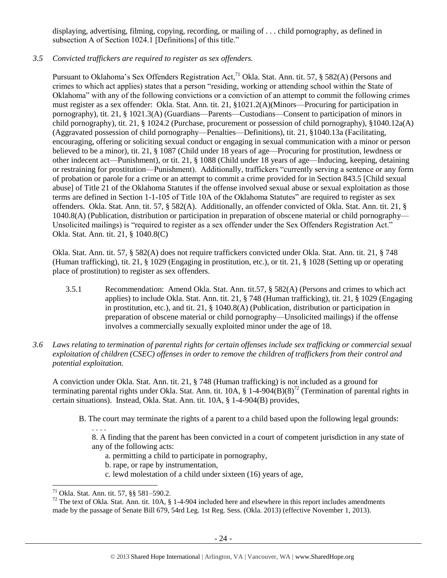displaying, advertising, filming, copying, recording, or mailing of . . . child pornography, as defined in subsection A of Section 1024.1 [Definitions] of this title."

## *3.5 Convicted traffickers are required to register as sex offenders.*

Pursuant to Oklahoma's Sex Offenders Registration Act,<sup>71</sup> Okla. Stat. Ann. tit. 57, § 582(A) (Persons and crimes to which act applies) states that a person "residing, working or attending school within the State of Oklahoma" with any of the following convictions or a conviction of an attempt to commit the following crimes must register as a sex offender: Okla. Stat. Ann. tit. 21, §1021.2(A)(Minors—Procuring for participation in pornography), tit. 21, § 1021.3(A) (Guardians—Parents—Custodians—Consent to participation of minors in child pornography), tit. 21, § 1024.2 (Purchase, procurement or possession of child pornography), §1040.12a(A) (Aggravated possession of child pornography—Penalties—Definitions), tit. 21, §1040.13a (Facilitating, encouraging, offering or soliciting sexual conduct or engaging in sexual communication with a minor or person believed to be a minor), tit. 21, § 1087 (Child under 18 years of age—Procuring for prostitution, lewdness or other indecent act—Punishment), or tit. 21, § 1088 (Child under 18 years of age—Inducing, keeping, detaining or restraining for prostitution—Punishment). Additionally, traffickers "currently serving a sentence or any form of probation or parole for a crime or an attempt to commit a crime provided for in Section 843.5 [Child sexual abuse] of Title 21 of the Oklahoma Statutes if the offense involved sexual abuse or sexual exploitation as those terms are defined in Section 1-1-105 of Title 10A of the Oklahoma Statutes" are required to register as sex offenders. Okla. Stat. Ann. tit. 57, § 582(A). Additionally, an offender convicted of Okla. Stat. Ann. tit. 21, § 1040.8(A) (Publication, distribution or participation in preparation of obscene material or child pornography— Unsolicited mailings) is "required to register as a sex offender under the Sex Offenders Registration Act." Okla. Stat. Ann. tit. 21, § 1040.8(C)

Okla. Stat. Ann. tit. 57, § 582(A) does not require traffickers convicted under Okla. Stat. Ann. tit. 21, § 748 (Human trafficking), tit. 21, § 1029 (Engaging in prostitution, etc.), or tit. 21, § 1028 (Setting up or operating place of prostitution) to register as sex offenders.

- 3.5.1 Recommendation: Amend Okla. Stat. Ann. tit.57, § 582(A) (Persons and crimes to which act applies) to include Okla. Stat. Ann. tit. 21, § 748 (Human trafficking), tit. 21, § 1029 (Engaging in prostitution, etc.), and tit. 21, § 1040.8(A) (Publication, distribution or participation in preparation of obscene material or child pornography—Unsolicited mailings) if the offense involves a commercially sexually exploited minor under the age of 18.
- *3.6 Laws relating to termination of parental rights for certain offenses include sex trafficking or commercial sexual exploitation of children (CSEC) offenses in order to remove the children of traffickers from their control and potential exploitation.*

A conviction under Okla. Stat. Ann. tit. 21, § 748 (Human trafficking) is not included as a ground for terminating parental rights under Okla. Stat. Ann. tit.  $10A$ , §  $1-4-904(B)(8)^{72}$  (Termination of parental rights in certain situations). Instead, Okla. Stat. Ann. tit. 10A, § 1-4-904(B) provides,

B. The court may terminate the rights of a parent to a child based upon the following legal grounds:

. . . . 8. A finding that the parent has been convicted in a court of competent jurisdiction in any state of any of the following acts:

- a. permitting a child to participate in pornography,
- b. rape, or rape by instrumentation,
- c. lewd molestation of a child under sixteen (16) years of age,

 $\overline{\phantom{a}}$ <sup>71</sup> Okla. Stat. Ann. tit. 57, §§ 581–590.2.

 $72$  The text of Okla. Stat. Ann. tit. 10A, § 1-4-904 included here and elsewhere in this report includes amendments made by the passage of Senate Bill 679, 54rd Leg. 1st Reg. Sess. (Okla. 2013) (effective November 1, 2013).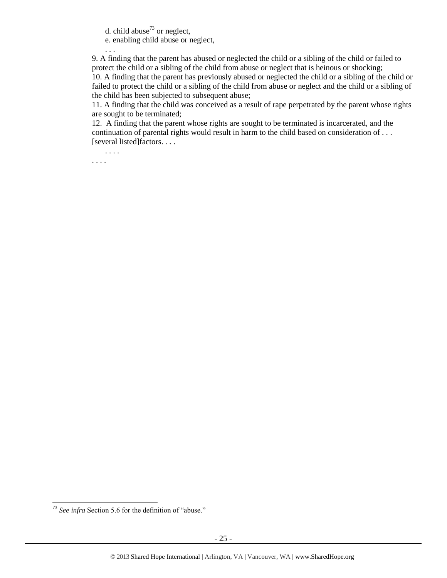d. child abuse<sup>73</sup> or neglect,

e. enabling child abuse or neglect,

9. A finding that the parent has abused or neglected the child or a sibling of the child or failed to protect the child or a sibling of the child from abuse or neglect that is heinous or shocking; 10. A finding that the parent has previously abused or neglected the child or a sibling of the child or failed to protect the child or a sibling of the child from abuse or neglect and the child or a sibling of the child has been subjected to subsequent abuse;

11. A finding that the child was conceived as a result of rape perpetrated by the parent whose rights are sought to be terminated;

12. A finding that the parent whose rights are sought to be terminated is incarcerated, and the continuation of parental rights would result in harm to the child based on consideration of . . . [several listed]factors. . . .

. . . . . . . .

. . .

l

<sup>73</sup> *See infra* Section 5.6 for the definition of "abuse."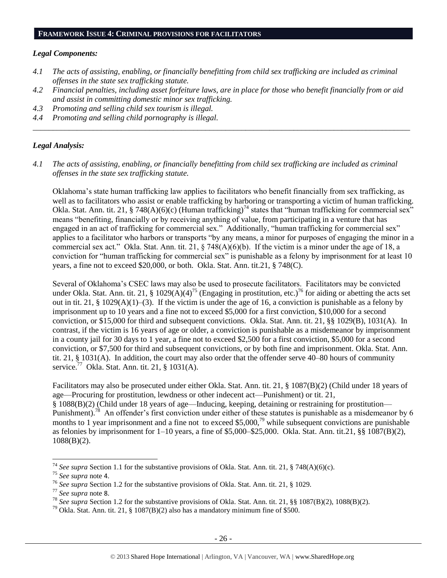#### *Legal Components:*

- *4.1 The acts of assisting, enabling, or financially benefitting from child sex trafficking are included as criminal offenses in the state sex trafficking statute.*
- *4.2 Financial penalties, including asset forfeiture laws, are in place for those who benefit financially from or aid and assist in committing domestic minor sex trafficking.*

*\_\_\_\_\_\_\_\_\_\_\_\_\_\_\_\_\_\_\_\_\_\_\_\_\_\_\_\_\_\_\_\_\_\_\_\_\_\_\_\_\_\_\_\_\_\_\_\_\_\_\_\_\_\_\_\_\_\_\_\_\_\_\_\_\_\_\_\_\_\_\_\_\_\_\_\_\_\_\_\_\_\_\_\_\_\_\_\_\_\_\_\_\_\_*

- *4.3 Promoting and selling child sex tourism is illegal.*
- *4.4 Promoting and selling child pornography is illegal.*

#### *Legal Analysis:*

*4.1 The acts of assisting, enabling, or financially benefitting from child sex trafficking are included as criminal offenses in the state sex trafficking statute.*

Oklahoma's state human trafficking law applies to facilitators who benefit financially from sex trafficking, as well as to facilitators who assist or enable trafficking by harboring or transporting a victim of human trafficking. Okla. Stat. Ann. tit. 21, § 748(A)(6)(c) (Human trafficking)<sup>74</sup> states that "human trafficking for commercial sex" means "benefiting, financially or by receiving anything of value, from participating in a venture that has engaged in an act of trafficking for commercial sex." Additionally, "human trafficking for commercial sex" applies to a facilitator who harbors or transports "by any means, a minor for purposes of engaging the minor in a commercial sex act." Okla. Stat. Ann. tit. 21, § 748(A)(6)(b). If the victim is a minor under the age of 18, a conviction for "human trafficking for commercial sex" is punishable as a felony by imprisonment for at least 10 years, a fine not to exceed \$20,000, or both. Okla. Stat. Ann. tit.21, § 748(C).

Several of Oklahoma's CSEC laws may also be used to prosecute facilitators. Facilitators may be convicted under Okla. Stat. Ann. tit. 21, § 1029(A)(4)<sup>75</sup> (Engaging in prostitution, etc.)<sup>76</sup> for aiding or abetting the acts set out in tit. 21, § 1029(A)(1)–(3). If the victim is under the age of 16, a conviction is punishable as a felony by imprisonment up to 10 years and a fine not to exceed \$5,000 for a first conviction, \$10,000 for a second conviction, or \$15,000 for third and subsequent convictions. Okla. Stat. Ann. tit. 21, §§ 1029(B), 1031(A). In contrast, if the victim is 16 years of age or older, a conviction is punishable as a misdemeanor by imprisonment in a county jail for 30 days to 1 year, a fine not to exceed \$2,500 for a first conviction, \$5,000 for a second conviction, or \$7,500 for third and subsequent convictions, or by both fine and imprisonment. Okla. Stat. Ann. tit. 21, § 1031(A). In addition, the court may also order that the offender serve 40–80 hours of community service.<sup>77</sup> Okla. Stat. Ann. tit. 21, § 1031(A).

Facilitators may also be prosecuted under either Okla. Stat. Ann. tit. 21, § 1087(B)(2) (Child under 18 years of age—Procuring for prostitution, lewdness or other indecent act—Punishment) or tit. 21, § 1088(B)(2) (Child under 18 years of age—Inducing, keeping, detaining or restraining for prostitution— Punishment).<sup>78</sup> An offender's first conviction under either of these statutes is punishable as a misdemeanor by 6 months to 1 year imprisonment and a fine not to exceed \$5,000,<sup>79</sup> while subsequent convictions are punishable as felonies by imprisonment for 1–10 years, a fine of \$5,000–\$25,000. Okla. Stat. Ann. tit.21, §§ 1087(B)(2), 1088(B)(2).

 $\overline{a}$ 

<sup>74</sup> *See supra* Section 1.1 for the substantive provisions of Okla. Stat. Ann. tit. 21, § 748(A)(6)(c).

<sup>75</sup> *See supra* note [4](#page-1-0).

<sup>76</sup> *See supra* Section 1.2 for the substantive provisions of Okla. Stat. Ann. tit. 21, § 1029.

<sup>77</sup> *See supra* note [8](#page-2-1).

<sup>78</sup> *See supra* Section 1.2 for the substantive provisions of Okla. Stat. Ann. tit. 21, §§ 1087(B)(2), 1088(B)(2).

<sup>&</sup>lt;sup>79</sup> Okla. Stat. Ann. tit. 21, § 1087(B)(2) also has a mandatory minimum fine of \$500.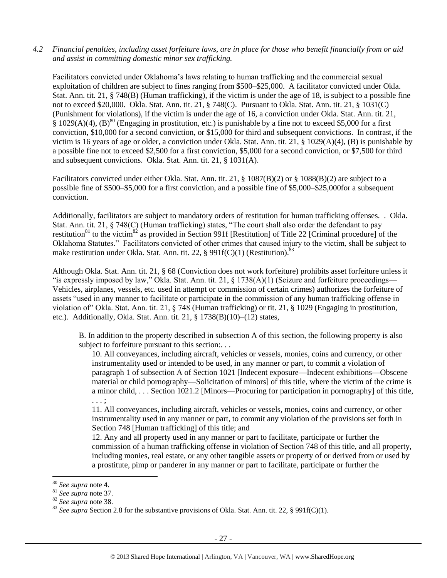#### *4.2 Financial penalties, including asset forfeiture laws, are in place for those who benefit financially from or aid and assist in committing domestic minor sex trafficking.*

Facilitators convicted under Oklahoma's laws relating to human trafficking and the commercial sexual exploitation of children are subject to fines ranging from \$500–\$25,000. A facilitator convicted under Okla. Stat. Ann. tit. 21, § 748(B) (Human trafficking), if the victim is under the age of 18, is subject to a possible fine not to exceed \$20,000. Okla. Stat. Ann. tit. 21, § 748(C). Pursuant to Okla. Stat. Ann. tit. 21, § 1031(C) (Punishment for violations), if the victim is under the age of 16, a conviction under Okla. Stat. Ann. tit. 21, § 1029(A)(4),  $(B)$ <sup>80</sup> (Engaging in prostitution, etc.) is punishable by a fine not to exceed \$5,000 for a first conviction, \$10,000 for a second conviction, or \$15,000 for third and subsequent convictions. In contrast, if the victim is 16 years of age or older, a conviction under Okla. Stat. Ann. tit. 21, § 1029(A)(4), (B) is punishable by a possible fine not to exceed \$2,500 for a first conviction, \$5,000 for a second conviction, or \$7,500 for third and subsequent convictions. Okla. Stat. Ann. tit. 21, § 1031(A).

Facilitators convicted under either Okla. Stat. Ann. tit. 21, § 1087(B)(2) or § 1088(B)(2) are subject to a possible fine of \$500–\$5,000 for a first conviction, and a possible fine of \$5,000–\$25,000for a subsequent conviction.

Additionally, facilitators are subject to mandatory orders of restitution for human trafficking offenses. . Okla. Stat. Ann. tit. 21, § 748(C) (Human trafficking) states, "The court shall also order the defendant to pay restitution<sup>81</sup> to the victim<sup>82</sup> as provided in Section 991f [Restitution] of Title 22 [Criminal procedure] of the Oklahoma Statutes." Facilitators convicted of other crimes that caused injury to the victim, shall be subject to make restitution under Okla. Stat. Ann. tit. 22, § 991 $f(C)(1)$  (Restitution).<sup>83</sup>

Although Okla. Stat. Ann. tit. 21, § 68 (Conviction does not work forfeiture) prohibits asset forfeiture unless it "is expressly imposed by law," Okla. Stat. Ann. tit. 21,  $\S$  1738(A)(1) (Seizure and forfeiture proceedings— Vehicles, airplanes, vessels, etc. used in attempt or commission of certain crimes) authorizes the forfeiture of assets "used in any manner to facilitate or participate in the commission of any human trafficking offense in violation of" Okla. Stat. Ann. tit. 21, § 748 (Human trafficking) or tit. 21, § 1029 (Engaging in prostitution, etc.). Additionally, Okla. Stat. Ann. tit. 21, § 1738(B)(10)–(12) states,

B. In addition to the property described in subsection A of this section, the following property is also subject to forfeiture pursuant to this section:...

10. All conveyances, including aircraft, vehicles or vessels, monies, coins and currency, or other instrumentality used or intended to be used, in any manner or part, to commit a violation of paragraph 1 of subsection A of Section 1021 [Indecent exposure—Indecent exhibitions—Obscene material or child pornography—Solicitation of minors] of this title, where the victim of the crime is a minor child, . . . Section 1021.2 [Minors—Procuring for participation in pornography] of this title, . . . ;

11. All conveyances, including aircraft, vehicles or vessels, monies, coins and currency, or other instrumentality used in any manner or part, to commit any violation of the provisions set forth in Section 748 [Human trafficking] of this title; and

12. Any and all property used in any manner or part to facilitate, participate or further the commission of a human trafficking offense in violation of Section 748 of this title, and all property, including monies, real estate, or any other tangible assets or property of or derived from or used by a prostitute, pimp or panderer in any manner or part to facilitate, participate or further the

<sup>80</sup> *See supra* note [4](#page-1-0).

<sup>81</sup> *See supra* note [37.](#page-14-0) 

<sup>82</sup> *See supra* note [38.](#page-14-1) 

<sup>83</sup> *See supra* Section 2.8 for the substantive provisions of Okla. Stat. Ann. tit. 22, § 991f(C)(1).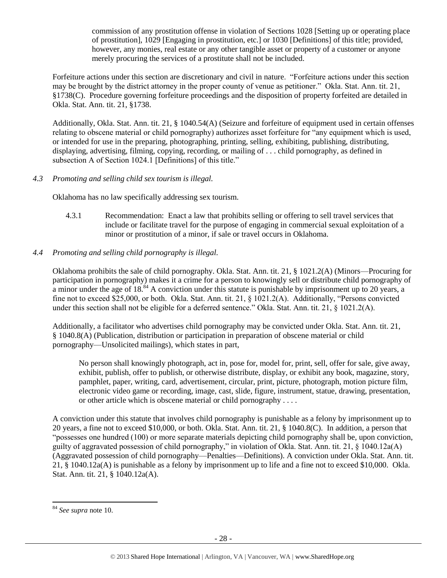commission of any prostitution offense in violation of Sections 1028 [Setting up or operating place of prostitution], 1029 [Engaging in prostitution, etc.] or 1030 [Definitions] of this title; provided, however, any monies, real estate or any other tangible asset or property of a customer or anyone merely procuring the services of a prostitute shall not be included.

Forfeiture actions under this section are discretionary and civil in nature. "Forfeiture actions under this section may be brought by the district attorney in the proper county of venue as petitioner." Okla. Stat. Ann. tit. 21, §1738(C). Procedure governing forfeiture proceedings and the disposition of property forfeited are detailed in Okla. Stat. Ann. tit. 21, §1738.

Additionally, Okla. Stat. Ann. tit. 21, § 1040.54(A) (Seizure and forfeiture of equipment used in certain offenses relating to obscene material or child pornography) authorizes asset forfeiture for "any equipment which is used, or intended for use in the preparing, photographing, printing, selling, exhibiting, publishing, distributing, displaying, advertising, filming, copying, recording, or mailing of . . . child pornography, as defined in subsection A of Section 1024.1 [Definitions] of this title."

## *4.3 Promoting and selling child sex tourism is illegal.*

Oklahoma has no law specifically addressing sex tourism.

4.3.1 Recommendation: Enact a law that prohibits selling or offering to sell travel services that include or facilitate travel for the purpose of engaging in commercial sexual exploitation of a minor or prostitution of a minor, if sale or travel occurs in Oklahoma.

# *4.4 Promoting and selling child pornography is illegal.*

Oklahoma prohibits the sale of child pornography. Okla. Stat. Ann. tit. 21, § 1021.2(A) (Minors—Procuring for participation in pornography) makes it a crime for a person to knowingly sell or distribute child pornography of a minor under the age of 18.<sup>84</sup> A conviction under this statute is punishable by imprisonment up to 20 years, a fine not to exceed \$25,000, or both. Okla. Stat. Ann. tit. 21, § 1021.2(A). Additionally, "Persons convicted under this section shall not be eligible for a deferred sentence." Okla. Stat. Ann. tit. 21, § 1021.2(A).

Additionally, a facilitator who advertises child pornography may be convicted under Okla. Stat. Ann. tit. 21, § 1040.8(A) (Publication, distribution or participation in preparation of obscene material or child pornography—Unsolicited mailings), which states in part,

No person shall knowingly photograph, act in, pose for, model for, print, sell, offer for sale, give away, exhibit, publish, offer to publish, or otherwise distribute, display, or exhibit any book, magazine, story, pamphlet, paper, writing, card, advertisement, circular, print, picture, photograph, motion picture film, electronic video game or recording, image, cast, slide, figure, instrument, statue, drawing, presentation, or other article which is obscene material or child pornography . . . .

A conviction under this statute that involves child pornography is punishable as a felony by imprisonment up to 20 years, a fine not to exceed \$10,000, or both. Okla. Stat. Ann. tit. 21, § 1040.8(C). In addition, a person that "possesses one hundred (100) or more separate materials depicting child pornography shall be, upon conviction, guilty of aggravated possession of child pornography," in violation of Okla. Stat. Ann. tit. 21, § 1040.12a(A) (Aggravated possession of child pornography—Penalties—Definitions). A conviction under Okla. Stat. Ann. tit. 21, § 1040.12a(A) is punishable as a felony by imprisonment up to life and a fine not to exceed \$10,000. Okla. Stat. Ann. tit. 21, § 1040.12a(A).

l

<sup>84</sup> *See supra* note [10.](#page-3-0)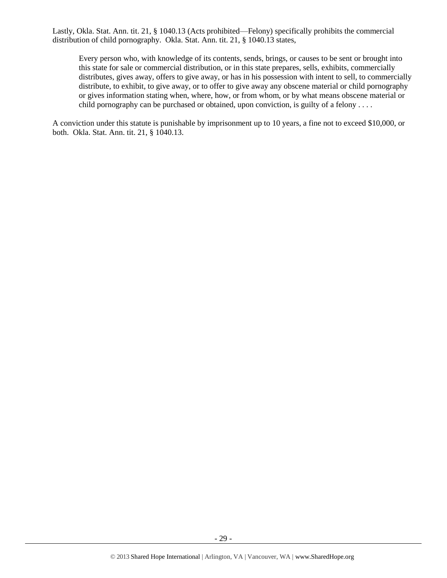Lastly, Okla. Stat. Ann. tit. 21, § 1040.13 (Acts prohibited—Felony) specifically prohibits the commercial distribution of child pornography. Okla. Stat. Ann. tit. 21, § 1040.13 states,

Every person who, with knowledge of its contents, sends, brings, or causes to be sent or brought into this state for sale or commercial distribution, or in this state prepares, sells, exhibits, commercially distributes, gives away, offers to give away, or has in his possession with intent to sell, to commercially distribute, to exhibit, to give away, or to offer to give away any obscene material or child pornography or gives information stating when, where, how, or from whom, or by what means obscene material or child pornography can be purchased or obtained, upon conviction, is guilty of a felony . . . .

A conviction under this statute is punishable by imprisonment up to 10 years, a fine not to exceed \$10,000, or both. Okla. Stat. Ann. tit. 21, § 1040.13.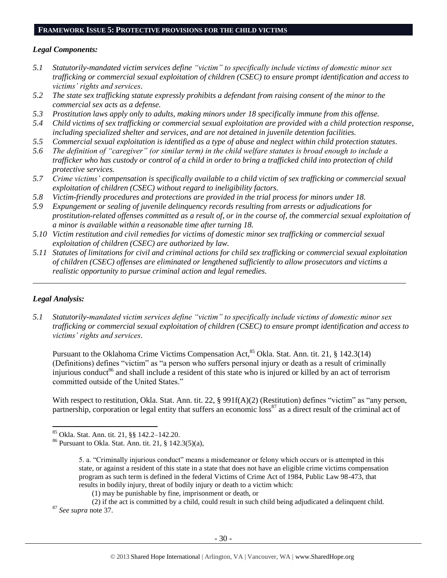## **FRAMEWORK ISSUE 5: PROTECTIVE PROVISIONS FOR THE CHILD VICTIMS**

#### *Legal Components:*

- *5.1 Statutorily-mandated victim services define "victim" to specifically include victims of domestic minor sex trafficking or commercial sexual exploitation of children (CSEC) to ensure prompt identification and access to victims' rights and services.*
- *5.2 The state sex trafficking statute expressly prohibits a defendant from raising consent of the minor to the commercial sex acts as a defense.*
- *5.3 Prostitution laws apply only to adults, making minors under 18 specifically immune from this offense.*
- *5.4 Child victims of sex trafficking or commercial sexual exploitation are provided with a child protection response, including specialized shelter and services, and are not detained in juvenile detention facilities.*
- *5.5 Commercial sexual exploitation is identified as a type of abuse and neglect within child protection statutes.*
- *5.6 The definition of "caregiver" (or similar term) in the child welfare statutes is broad enough to include a trafficker who has custody or control of a child in order to bring a trafficked child into protection of child protective services.*
- *5.7 Crime victims' compensation is specifically available to a child victim of sex trafficking or commercial sexual exploitation of children (CSEC) without regard to ineligibility factors.*
- *5.8 Victim-friendly procedures and protections are provided in the trial process for minors under 18.*
- *5.9 Expungement or sealing of juvenile delinquency records resulting from arrests or adjudications for prostitution-related offenses committed as a result of, or in the course of, the commercial sexual exploitation of a minor is available within a reasonable time after turning 18.*
- *5.10 Victim restitution and civil remedies for victims of domestic minor sex trafficking or commercial sexual exploitation of children (CSEC) are authorized by law.*
- *5.11 Statutes of limitations for civil and criminal actions for child sex trafficking or commercial sexual exploitation of children (CSEC) offenses are eliminated or lengthened sufficiently to allow prosecutors and victims a realistic opportunity to pursue criminal action and legal remedies.*

*\_\_\_\_\_\_\_\_\_\_\_\_\_\_\_\_\_\_\_\_\_\_\_\_\_\_\_\_\_\_\_\_\_\_\_\_\_\_\_\_\_\_\_\_\_\_\_\_\_\_\_\_\_\_\_\_\_\_\_\_\_\_\_\_\_\_\_\_\_\_\_\_\_\_\_\_\_\_\_\_\_\_\_\_\_\_\_\_\_\_\_\_\_*

#### *Legal Analysis:*

l

*5.1 Statutorily-mandated victim services define "victim" to specifically include victims of domestic minor sex trafficking or commercial sexual exploitation of children (CSEC) to ensure prompt identification and access to victims' rights and services.*

<span id="page-29-0"></span>Pursuant to the Oklahoma Crime Victims Compensation Act,<sup>85</sup> Okla. Stat. Ann. tit. 21, § 142.3(14) (Definitions) defines "victim" as "a person who suffers personal injury or death as a result of criminally injurious conduct<sup>86</sup> and shall include a resident of this state who is injured or killed by an act of terrorism committed outside of the United States."

With respect to restitution, Okla. Stat. Ann. tit. 22, § 991f(A)(2) (Restitution) defines "victim" as "any person, partnership, corporation or legal entity that suffers an economic  $\cos^{87}$  as a direct result of the criminal act of

<sup>85</sup> Okla. Stat. Ann. tit. 21, §§ 142.2–142.20.

<sup>86</sup> Pursuant to Okla. Stat. Ann. tit. 21, § 142.3(5)(a),

<sup>5.</sup> a. "Criminally injurious conduct" means a misdemeanor or felony which occurs or is attempted in this state, or against a resident of this state in a state that does not have an eligible crime victims compensation program as such term is defined in the federal Victims of Crime Act of 1984, Public Law 98-473, that results in bodily injury, threat of bodily injury or death to a victim which:

<sup>(1)</sup> may be punishable by fine, imprisonment or death, or

<sup>(2)</sup> if the act is committed by a child, could result in such child being adjudicated a delinquent child. <sup>87</sup> *See supra* note [37.](#page-14-0)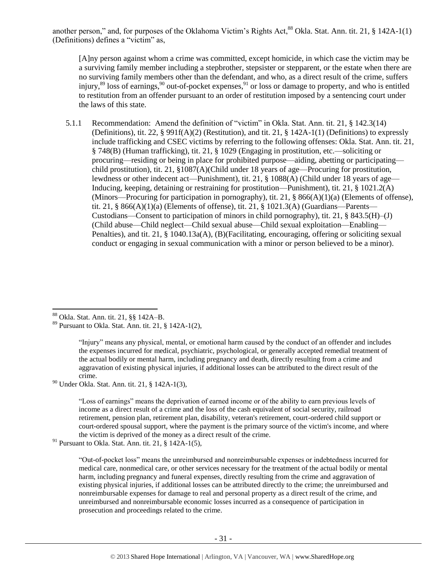another person," and, for purposes of the Oklahoma Victim's Rights Act,<sup>88</sup> Okla. Stat. Ann. tit. 21, § 142A-1(1) (Definitions) defines a "victim" as,

<span id="page-30-0"></span>[A]ny person against whom a crime was committed, except homicide, in which case the victim may be a surviving family member including a stepbrother, stepsister or stepparent, or the estate when there are no surviving family members other than the defendant, and who, as a direct result of the crime, suffers injury,  $89$  loss of earnings,  $90$  out-of-pocket expenses,  $91$  or loss or damage to property, and who is entitled to restitution from an offender pursuant to an order of restitution imposed by a sentencing court under the laws of this state.

5.1.1 Recommendation: Amend the definition of "victim" in Okla. Stat. Ann. tit. 21, § 142.3(14) (Definitions), tit. 22, § 991f(A)(2) (Restitution), and tit. 21, § 142A-1(1) (Definitions) to expressly include trafficking and CSEC victims by referring to the following offenses: Okla. Stat. Ann. tit. 21, § 748(B) (Human trafficking), tit. 21, § 1029 (Engaging in prostitution, etc.—soliciting or procuring—residing or being in place for prohibited purpose—aiding, abetting or participating child prostitution), tit. 21, §1087(A)(Child under 18 years of age—Procuring for prostitution, lewdness or other indecent act—Punishment), tit. 21, § 1088(A) (Child under 18 years of age— Inducing, keeping, detaining or restraining for prostitution—Punishment), tit. 21, § 1021.2(A) (Minors—Procuring for participation in pornography), tit. 21, § 866(A)(1)(a) (Elements of offense), tit. 21, § 866(A)(1)(a) (Elements of offense), tit. 21, § 1021.3(A) (Guardians—Parents— Custodians—Consent to participation of minors in child pornography), tit. 21,  $\S$  843.5(H)–(J) (Child abuse—Child neglect—Child sexual abuse—Child sexual exploitation—Enabling— Penalties), and tit. 21, § 1040.13a(A), (B)(Facilitating, encouraging, offering or soliciting sexual conduct or engaging in sexual communication with a minor or person believed to be a minor).

<sup>88</sup> Okla. Stat. Ann. tit. 21, §§ 142A–B.

 $\overline{\phantom{a}}$ 

<sup>90</sup> Under Okla. Stat. Ann. tit. 21, § 142A-1(3),

"Loss of earnings" means the deprivation of earned income or of the ability to earn previous levels of income as a direct result of a crime and the loss of the cash equivalent of social security, railroad retirement, pension plan, retirement plan, disability, veteran's retirement, court-ordered child support or court-ordered spousal support, where the payment is the primary source of the victim's income, and where the victim is deprived of the money as a direct result of the crime.

<sup>91</sup> Pursuant to Okla. Stat. Ann. tit. 21, § 142A-1(5),

"Out-of-pocket loss" means the unreimbursed and nonreimbursable expenses or indebtedness incurred for medical care, nonmedical care, or other services necessary for the treatment of the actual bodily or mental harm, including pregnancy and funeral expenses, directly resulting from the crime and aggravation of existing physical injuries, if additional losses can be attributed directly to the crime; the unreimbursed and nonreimbursable expenses for damage to real and personal property as a direct result of the crime, and unreimbursed and nonreimbursable economic losses incurred as a consequence of participation in prosecution and proceedings related to the crime.

 $89$  Pursuant to Okla. Stat. Ann. tit. 21, § 142A-1(2),

<sup>&</sup>quot;Injury" means any physical, mental, or emotional harm caused by the conduct of an offender and includes the expenses incurred for medical, psychiatric, psychological, or generally accepted remedial treatment of the actual bodily or mental harm, including pregnancy and death, directly resulting from a crime and aggravation of existing physical injuries, if additional losses can be attributed to the direct result of the crime.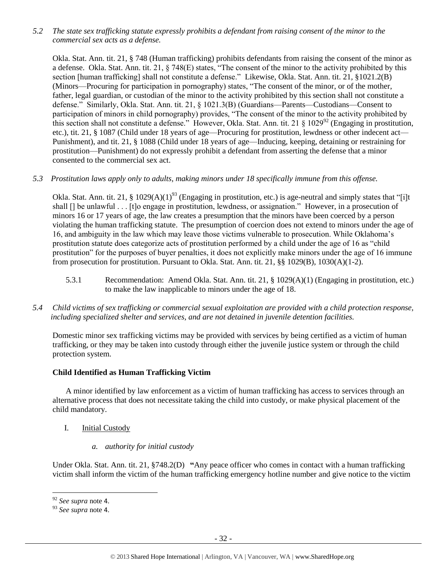*5.2 The state sex trafficking statute expressly prohibits a defendant from raising consent of the minor to the commercial sex acts as a defense.*

Okla. Stat. Ann. tit. 21, § 748 (Human trafficking) prohibits defendants from raising the consent of the minor as a defense. Okla. Stat. Ann. tit. 21, § 748(E) states, "The consent of the minor to the activity prohibited by this section [human trafficking] shall not constitute a defense." Likewise, Okla. Stat. Ann. tit. 21, §1021.2(B) (Minors—Procuring for participation in pornography) states, "The consent of the minor, or of the mother, father, legal guardian, or custodian of the minor to the activity prohibited by this section shall not constitute a defense." Similarly, Okla. Stat. Ann. tit. 21, § 1021.3(B) (Guardians—Parents—Custodians—Consent to participation of minors in child pornography) provides, "The consent of the minor to the activity prohibited by this section shall not constitute a defense." However, Okla. Stat. Ann. tit. 21 § 1029<sup>92</sup> (Engaging in prostitution, etc.), tit. 21, § 1087 (Child under 18 years of age—Procuring for prostitution, lewdness or other indecent act— Punishment), and tit. 21, § 1088 (Child under 18 years of age—Inducing, keeping, detaining or restraining for prostitution—Punishment) do not expressly prohibit a defendant from asserting the defense that a minor consented to the commercial sex act.

## *5.3 Prostitution laws apply only to adults, making minors under 18 specifically immune from this offense.*

Okla. Stat. Ann. tit. 21, § 1029(A)(1)<sup>93</sup> (Engaging in prostitution, etc.) is age-neutral and simply states that "[i]t shall [] be unlawful . . . [t]o engage in prostitution, lewdness, or assignation." However, in a prosecution of minors 16 or 17 years of age, the law creates a presumption that the minors have been coerced by a person violating the human trafficking statute. The presumption of coercion does not extend to minors under the age of 16, and ambiguity in the law which may leave those victims vulnerable to prosecution. While Oklahoma's prostitution statute does categorize acts of prostitution performed by a child under the age of 16 as "child prostitution" for the purposes of buyer penalties, it does not explicitly make minors under the age of 16 immune from prosecution for prostitution. Pursuant to Okla. Stat. Ann. tit. 21, §§ 1029(B), 1030(A)(1-2).

- 5.3.1 Recommendation: Amend Okla. Stat. Ann. tit. 21, § 1029(A)(1) (Engaging in prostitution, etc.) to make the law inapplicable to minors under the age of 18.
- *5.4 Child victims of sex trafficking or commercial sexual exploitation are provided with a child protection response, including specialized shelter and services, and are not detained in juvenile detention facilities.*

Domestic minor sex trafficking victims may be provided with services by being certified as a victim of human trafficking, or they may be taken into custody through either the juvenile justice system or through the child protection system.

## **Child Identified as Human Trafficking Victim**

A minor identified by law enforcement as a victim of human trafficking has access to services through an alternative process that does not necessitate taking the child into custody, or make physical placement of the child mandatory.

- I. **Initial Custody** 
	- *a. authority for initial custody*

Under Okla. Stat. Ann. tit. 21, §748.2(D) **"**Any peace officer who comes in contact with a human trafficking victim shall inform the victim of the human trafficking emergency hotline number and give notice to the victim

<sup>92</sup> *See supra* note [4](#page-1-0).

<sup>93</sup> *See supra* note [4](#page-1-0).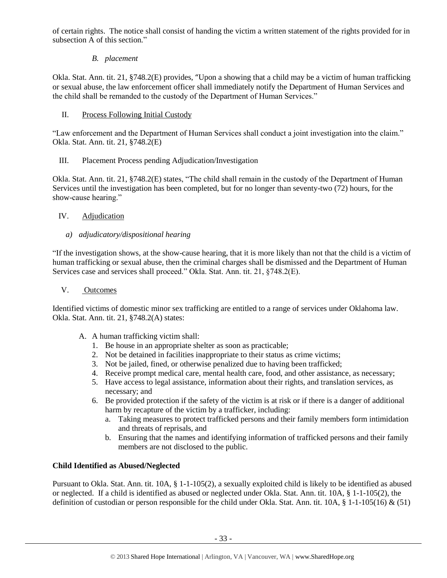of certain rights. The notice shall consist of handing the victim a written statement of the rights provided for in subsection A of this section."

# *B. placement*

Okla. Stat. Ann. tit. 21, §748.2(E) provides, "Upon a showing that a child may be a victim of human trafficking or sexual abuse, the law enforcement officer shall immediately notify the Department of Human Services and the child shall be remanded to the custody of the Department of Human Services."

# II. Process Following Initial Custody

"Law enforcement and the Department of Human Services shall conduct a joint investigation into the claim." Okla. Stat. Ann. tit. 21, §748.2(E)

# III. Placement Process pending Adjudication/Investigation

Okla. Stat. Ann. tit. 21, §748.2(E) states, "The child shall remain in the custody of the Department of Human Services until the investigation has been completed, but for no longer than seventy-two (72) hours, for the show-cause hearing."

# IV. Adjudication

# *a) adjudicatory/dispositional hearing*

"If the investigation shows, at the show-cause hearing, that it is more likely than not that the child is a victim of human trafficking or sexual abuse, then the criminal charges shall be dismissed and the Department of Human Services case and services shall proceed." Okla. Stat. Ann. tit. 21, §748.2(E).

## V. Outcomes

Identified victims of domestic minor sex trafficking are entitled to a range of services under Oklahoma law. Okla. Stat. Ann. tit. 21, §748.2(A) states:

- A. A human trafficking victim shall:
	- 1. Be house in an appropriate shelter as soon as practicable;
	- 2. Not be detained in facilities inappropriate to their status as crime victims;
	- 3. Not be jailed, fined, or otherwise penalized due to having been trafficked;
	- 4. Receive prompt medical care, mental health care, food, and other assistance, as necessary;
	- 5. Have access to legal assistance, information about their rights, and translation services, as necessary; and
	- 6. Be provided protection if the safety of the victim is at risk or if there is a danger of additional harm by recapture of the victim by a trafficker, including:
		- a. Taking measures to protect trafficked persons and their family members form intimidation and threats of reprisals, and
		- b. Ensuring that the names and identifying information of trafficked persons and their family members are not disclosed to the public.

# **Child Identified as Abused/Neglected**

Pursuant to Okla. Stat. Ann. tit. 10A, § 1-1-105(2), a sexually exploited child is likely to be identified as abused or neglected. If a child is identified as abused or neglected under Okla. Stat. Ann. tit. 10A, § 1-1-105(2), the definition of custodian or person responsible for the child under Okla. Stat. Ann. tit. 10A, § 1-1-105(16) & (51)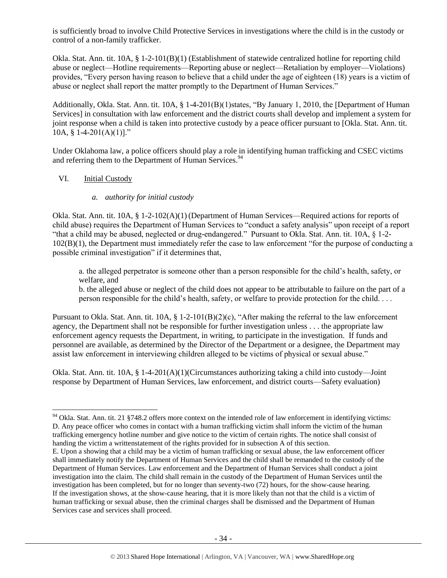is sufficiently broad to involve Child Protective Services in investigations where the child is in the custody or control of a non-family trafficker.

Okla. Stat. Ann. tit. 10A, § 1-2-101(B)(1) (Establishment of statewide centralized hotline for reporting child abuse or neglect—Hotline requirements—Reporting abuse or neglect—Retaliation by employer—Violations) provides, "Every person having reason to believe that a child under the age of eighteen (18) years is a victim of abuse or neglect shall report the matter promptly to the Department of Human Services."

Additionally, Okla. Stat. Ann. tit. 10A, § 1-4-201(B)(1)states, "By January 1, 2010, the [Department of Human Services] in consultation with law enforcement and the district courts shall develop and implement a system for joint response when a child is taken into protective custody by a peace officer pursuant to [Okla. Stat. Ann. tit. 10A,  $§$  1-4-201(A)(1)]."

Under Oklahoma law, a police officers should play a role in identifying human trafficking and CSEC victims and referring them to the Department of Human Services.<sup>94</sup>

#### VI. Initial Custody

 $\overline{\phantom{a}}$ 

#### <span id="page-33-0"></span>*a. authority for initial custody*

Okla. Stat. Ann. tit. 10A, § 1-2-102(A)(1) (Department of Human Services—Required actions for reports of child abuse) requires the Department of Human Services to "conduct a safety analysis" upon receipt of a report "that a child may be abused, neglected or drug-endangered." Pursuant to Okla. Stat. Ann. tit. 10A, § 1-2- 102(B)(1), the Department must immediately refer the case to law enforcement "for the purpose of conducting a possible criminal investigation" if it determines that,

a. the alleged perpetrator is someone other than a person responsible for the child's health, safety, or welfare, and

b. the alleged abuse or neglect of the child does not appear to be attributable to failure on the part of a person responsible for the child's health, safety, or welfare to provide protection for the child. . . .

Pursuant to Okla. Stat. Ann. tit. 10A, § 1-2-101(B)(2)(c), "After making the referral to the law enforcement agency, the Department shall not be responsible for further investigation unless . . . the appropriate law enforcement agency requests the Department, in writing, to participate in the investigation. If funds and personnel are available, as determined by the Director of the Department or a designee, the Department may assist law enforcement in interviewing children alleged to be victims of physical or sexual abuse."

Okla. Stat. Ann. tit. 10A, § 1-4-201(A)(1)(Circumstances authorizing taking a child into custody—Joint response by Department of Human Services, law enforcement, and district courts—Safety evaluation)

 $94$  Okla. Stat. Ann. tit. 21 §748.2 offers more context on the intended role of law enforcement in identifying victims: D. Any peace officer who comes in contact with a human trafficking victim shall inform the victim of the human trafficking emergency hotline number and give notice to the victim of certain rights. The notice shall consist of handing the victim a writtenstatement of the rights provided for in subsection A of this section.

E. Upon a showing that a child may be a victim of human trafficking or sexual abuse, the law enforcement officer shall immediately notify the Department of Human Services and the child shall be remanded to the custody of the Department of Human Services. Law enforcement and the Department of Human Services shall conduct a joint investigation into the claim. The child shall remain in the custody of the Department of Human Services until the investigation has been completed, but for no longer than seventy-two (72) hours, for the show-cause hearing. If the investigation shows, at the show-cause hearing, that it is more likely than not that the child is a victim of human trafficking or sexual abuse, then the criminal charges shall be dismissed and the Department of Human Services case and services shall proceed.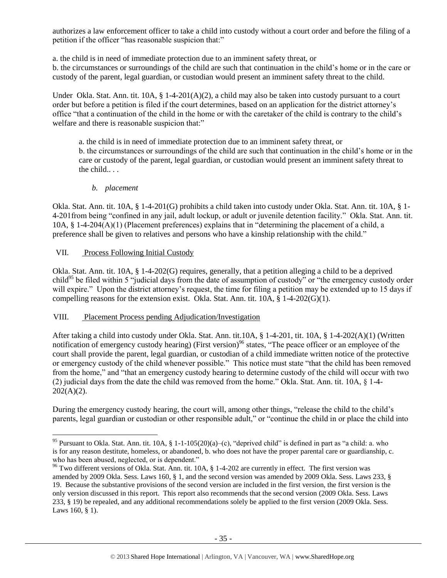authorizes a law enforcement officer to take a child into custody without a court order and before the filing of a petition if the officer "has reasonable suspicion that:"

a. the child is in need of immediate protection due to an imminent safety threat, or

b. the circumstances or surroundings of the child are such that continuation in the child's home or in the care or custody of the parent, legal guardian, or custodian would present an imminent safety threat to the child.

Under Okla. Stat. Ann. tit. 10A, § 1-4-201(A)(2), a child may also be taken into custody pursuant to a court order but before a petition is filed if the court determines, based on an application for the district attorney's office "that a continuation of the child in the home or with the caretaker of the child is contrary to the child's welfare and there is reasonable suspicion that:"

a. the child is in need of immediate protection due to an imminent safety threat, or b. the circumstances or surroundings of the child are such that continuation in the child's home or in the care or custody of the parent, legal guardian, or custodian would present an imminent safety threat to the child.. . .

## *b. placement*

Okla. Stat. Ann. tit. 10A, § 1-4-201(G) prohibits a child taken into custody under Okla. Stat. Ann. tit. 10A, § 1- 4-201from being "confined in any jail, adult lockup, or adult or juvenile detention facility." Okla. Stat. Ann. tit. 10A, § 1-4-204(A)(1) (Placement preferences) explains that in "determining the placement of a child, a preference shall be given to relatives and persons who have a kinship relationship with the child."

## VII. Process Following Initial Custody

 $\overline{\phantom{a}}$ 

Okla. Stat. Ann. tit. 10A, § 1-4-202(G) requires, generally, that a petition alleging a child to be a deprived child<sup>95</sup> be filed within 5 "judicial days from the date of assumption of custody" or "the emergency custody order will expire." Upon the district attorney's request, the time for filing a petition may be extended up to 15 days if compelling reasons for the extension exist. Okla. Stat. Ann. tit.  $10\overline{A}$ ,  $\overline{\hat{S}}$  1-4-202(G)(1).

#### VIII. Placement Process pending Adjudication/Investigation

After taking a child into custody under Okla. Stat. Ann. tit.10A, § 1-4-201, tit. 10A, § 1-4-202(A)(1) (Written notification of emergency custody hearing) (First version)<sup>96</sup> states, "The peace officer or an employee of the court shall provide the parent, legal guardian, or custodian of a child immediate written notice of the protective or emergency custody of the child whenever possible." This notice must state "that the child has been removed from the home," and "that an emergency custody hearing to determine custody of the child will occur with two (2) judicial days from the date the child was removed from the home." Okla. Stat. Ann. tit. 10A, § 1-4-  $202(A)(2)$ .

During the emergency custody hearing, the court will, among other things, "release the child to the child's parents, legal guardian or custodian or other responsible adult," or "continue the child in or place the child into

<sup>&</sup>lt;sup>95</sup> Pursuant to Okla. Stat. Ann. tit. 10A, § 1-1-105(20)(a)–(c), "deprived child" is defined in part as "a child: a. who is for any reason destitute, homeless, or abandoned, b. who does not have the proper parental care or guardianship, c. who has been abused, neglected, or is dependent."

<sup>&</sup>lt;sup>96</sup> Two different versions of Okla. Stat. Ann. tit. 10A, § 1-4-202 are currently in effect. The first version was amended by 2009 Okla. Sess. Laws 160, § 1, and the second version was amended by 2009 Okla. Sess. Laws 233, § 19. Because the substantive provisions of the second version are included in the first version, the first version is the only version discussed in this report. This report also recommends that the second version (2009 Okla. Sess. Laws 233, § 19) be repealed, and any additional recommendations solely be applied to the first version (2009 Okla. Sess. Laws 160, § 1).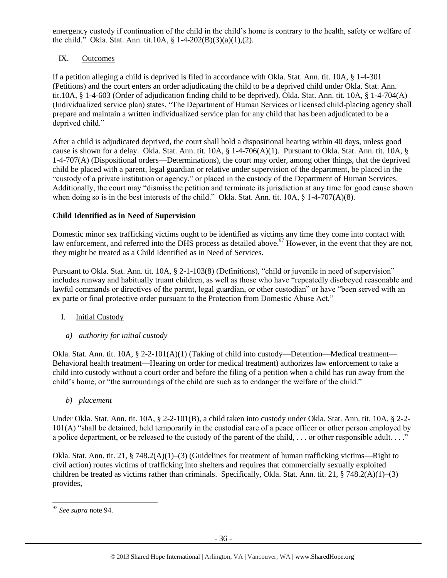emergency custody if continuation of the child in the child's home is contrary to the health, safety or welfare of the child." Okla. Stat. Ann. tit.10A,  $\S$  1-4-202(B)(3)(a)(1),(2).

## IX. Outcomes

If a petition alleging a child is deprived is filed in accordance with Okla. Stat. Ann. tit. 10A, § 1-4-301 (Petitions) and the court enters an order adjudicating the child to be a deprived child under Okla. Stat. Ann. tit.10A, § 1-4-603 (Order of adjudication finding child to be deprived), Okla. Stat. Ann. tit. 10A, § 1-4-704(A) (Individualized service plan) states, "The Department of Human Services or licensed child-placing agency shall prepare and maintain a written individualized service plan for any child that has been adjudicated to be a deprived child."

After a child is adjudicated deprived, the court shall hold a dispositional hearing within 40 days, unless good cause is shown for a delay. Okla. Stat. Ann. tit. 10A, § 1-4-706(A)(1). Pursuant to Okla. Stat. Ann. tit. 10A, § 1-4-707(A) (Dispositional orders—Determinations), the court may order, among other things, that the deprived child be placed with a parent, legal guardian or relative under supervision of the department, be placed in the "custody of a private institution or agency," or placed in the custody of the Department of Human Services. Additionally, the court may "dismiss the petition and terminate its jurisdiction at any time for good cause shown when doing so is in the best interests of the child." Okla. Stat. Ann. tit. 10A, § 1-4-707(A)(8).

## **Child Identified as in Need of Supervision**

Domestic minor sex trafficking victims ought to be identified as victims any time they come into contact with law enforcement, and referred into the DHS process as detailed above.<sup>97</sup> However, in the event that they are not, they might be treated as a Child Identified as in Need of Services.

Pursuant to Okla. Stat. Ann. tit. 10A, § 2-1-103(8) (Definitions), "child or juvenile in need of supervision" includes runway and habitually truant children, as well as those who have "repeatedly disobeyed reasonable and lawful commands or directives of the parent, legal guardian, or other custodian" or have "been served with an ex parte or final protective order pursuant to the Protection from Domestic Abuse Act."

## I. Initial Custody

#### *a) authority for initial custody*

Okla. Stat. Ann. tit. 10A, § 2-2-101(A)(1) (Taking of child into custody—Detention—Medical treatment— Behavioral health treatment—Hearing on order for medical treatment) authorizes law enforcement to take a child into custody without a court order and before the filing of a petition when a child has run away from the child's home, or "the surroundings of the child are such as to endanger the welfare of the child."

#### *b) placement*

Under Okla. Stat. Ann. tit. 10A, § 2-2-101(B), a child taken into custody under Okla. Stat. Ann. tit. 10A, § 2-2- 101(A) "shall be detained, held temporarily in the custodial care of a peace officer or other person employed by a police department, or be released to the custody of the parent of the child, ... or other responsible adult..."

Okla. Stat. Ann. tit. 21, § 748.2(A)(1)–(3) (Guidelines for treatment of human trafficking victims—Right to civil action) routes victims of trafficking into shelters and requires that commercially sexually exploited children be treated as victims rather than criminals. Specifically, Okla. Stat. Ann. tit. 21, § 748.2(A)(1)–(3) provides,

l

<sup>97</sup> *See supra* note [94.](#page-33-0)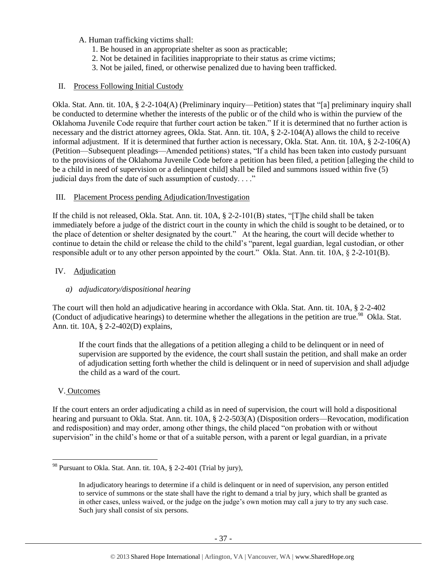- A. Human trafficking victims shall:
	- 1. Be housed in an appropriate shelter as soon as practicable;
	- 2. Not be detained in facilities inappropriate to their status as crime victims;
	- 3. Not be jailed, fined, or otherwise penalized due to having been trafficked.

#### II. Process Following Initial Custody

Okla. Stat. Ann. tit. 10A, § 2-2-104(A) (Preliminary inquiry—Petition) states that "[a] preliminary inquiry shall be conducted to determine whether the interests of the public or of the child who is within the purview of the Oklahoma Juvenile Code require that further court action be taken." If it is determined that no further action is necessary and the district attorney agrees, Okla. Stat. Ann. tit. 10A, § 2-2-104(A) allows the child to receive informal adjustment. If it is determined that further action is necessary, Okla. Stat. Ann. tit. 10A, § 2-2-106(A) (Petition—Subsequent pleadings—Amended petitions) states, "If a child has been taken into custody pursuant to the provisions of the Oklahoma Juvenile Code before a petition has been filed, a petition [alleging the child to be a child in need of supervision or a delinquent child] shall be filed and summons issued within five (5) judicial days from the date of such assumption of custody. . . ."

## III. Placement Process pending Adjudication/Investigation

If the child is not released, Okla. Stat. Ann. tit. 10A, § 2-2-101(B) states, "[T]he child shall be taken immediately before a judge of the district court in the county in which the child is sought to be detained, or to the place of detention or shelter designated by the court." At the hearing, the court will decide whether to continue to detain the child or release the child to the child's "parent, legal guardian, legal custodian, or other responsible adult or to any other person appointed by the court." Okla. Stat. Ann. tit. 10A, § 2-2-101(B).

## IV. Adjudication

## *a) adjudicatory/dispositional hearing*

The court will then hold an adjudicative hearing in accordance with Okla. Stat. Ann. tit. 10A, § 2-2-402 (Conduct of adjudicative hearings) to determine whether the allegations in the petition are true.<sup>98</sup> Okla. Stat. Ann. tit. 10A, § 2-2-402(D) explains,

If the court finds that the allegations of a petition alleging a child to be delinquent or in need of supervision are supported by the evidence, the court shall sustain the petition, and shall make an order of adjudication setting forth whether the child is delinquent or in need of supervision and shall adjudge the child as a ward of the court.

## V. Outcomes

 $\overline{a}$ 

If the court enters an order adjudicating a child as in need of supervision, the court will hold a dispositional hearing and pursuant to Okla. Stat. Ann. tit. 10A, § 2-2-503(A) (Disposition orders—Revocation, modification and redisposition) and may order, among other things, the child placed "on probation with or without supervision" in the child's home or that of a suitable person, with a parent or legal guardian, in a private

 $98$  Pursuant to Okla. Stat. Ann. tit. 10A,  $\S$  2-2-401 (Trial by jury),

In adjudicatory hearings to determine if a child is delinquent or in need of supervision, any person entitled to service of summons or the state shall have the right to demand a trial by jury, which shall be granted as in other cases, unless waived, or the judge on the judge's own motion may call a jury to try any such case. Such jury shall consist of six persons.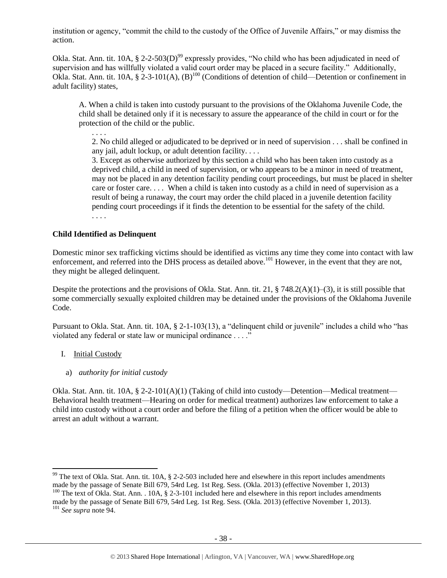institution or agency, "commit the child to the custody of the Office of Juvenile Affairs," or may dismiss the action.

Okla. Stat. Ann. tit. 10A,  $\S 2$ -2-503(D)<sup>99</sup> expressly provides, "No child who has been adjudicated in need of supervision and has willfully violated a valid court order may be placed in a secure facility." Additionally, Okla. Stat. Ann. tit. 10A,  $\S 2-3-101(A)$ ,  $(B)^{100}$  (Conditions of detention of child—Detention or confinement in adult facility) states,

A. When a child is taken into custody pursuant to the provisions of the Oklahoma Juvenile Code, the child shall be detained only if it is necessary to assure the appearance of the child in court or for the protection of the child or the public.

. . . .

2. No child alleged or adjudicated to be deprived or in need of supervision . . . shall be confined in any jail, adult lockup, or adult detention facility. . . .

3. Except as otherwise authorized by this section a child who has been taken into custody as a deprived child, a child in need of supervision, or who appears to be a minor in need of treatment, may not be placed in any detention facility pending court proceedings, but must be placed in shelter care or foster care. . . . When a child is taken into custody as a child in need of supervision as a result of being a runaway, the court may order the child placed in a juvenile detention facility pending court proceedings if it finds the detention to be essential for the safety of the child. . . . .

## **Child Identified as Delinquent**

Domestic minor sex trafficking victims should be identified as victims any time they come into contact with law enforcement, and referred into the DHS process as detailed above.<sup>101</sup> However, in the event that they are not, they might be alleged delinquent.

Despite the protections and the provisions of Okla. Stat. Ann. tit. 21, § 748.2(A)(1)–(3), it is still possible that some commercially sexually exploited children may be detained under the provisions of the Oklahoma Juvenile Code.

Pursuant to Okla. Stat. Ann. tit. 10A, § 2-1-103(13), a "delinquent child or juvenile" includes a child who "has violated any federal or state law or municipal ordinance . . . ."

- I. Initial Custody
	- a) *authority for initial custody*

Okla. Stat. Ann. tit. 10A, § 2-2-101(A)(1) (Taking of child into custody—Detention—Medical treatment— Behavioral health treatment—Hearing on order for medical treatment) authorizes law enforcement to take a child into custody without a court order and before the filing of a petition when the officer would be able to arrest an adult without a warrant.

 $99$  The text of Okla. Stat. Ann. tit. 10A, § 2-2-503 included here and elsewhere in this report includes amendments made by the passage of Senate Bill 679, 54rd Leg. 1st Reg. Sess. (Okla. 2013) (effective November 1, 2013) <sup>100</sup> The text of Okla. Stat. Ann. . 10A, § 2-3-101 included here and elsewhere in this report includes amendments made by the passage of Senate Bill 679, 54rd Leg. 1st Reg. Sess. (Okla. 2013) (effective November 1, 2013).

<sup>101</sup> *See supra* not[e 94.](#page-33-0)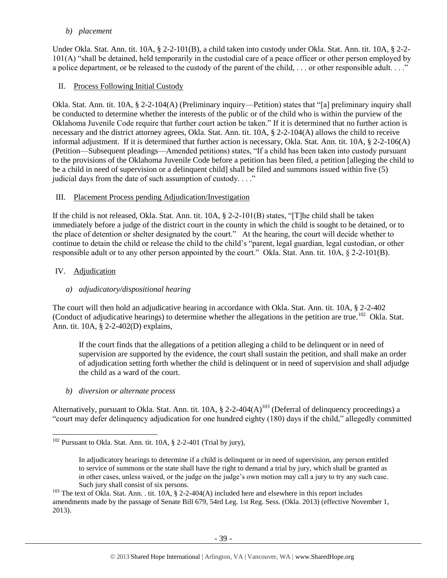#### *b) placement*

Under Okla. Stat. Ann. tit. 10A, § 2-2-101(B), a child taken into custody under Okla. Stat. Ann. tit. 10A, § 2-2- 101(A) "shall be detained, held temporarily in the custodial care of a peace officer or other person employed by a police department, or be released to the custody of the parent of the child, ... or other responsible adult...."

## II. Process Following Initial Custody

Okla. Stat. Ann. tit. 10A, § 2-2-104(A) (Preliminary inquiry—Petition) states that "[a] preliminary inquiry shall be conducted to determine whether the interests of the public or of the child who is within the purview of the Oklahoma Juvenile Code require that further court action be taken." If it is determined that no further action is necessary and the district attorney agrees, Okla. Stat. Ann. tit. 10A, § 2-2-104(A) allows the child to receive informal adjustment. If it is determined that further action is necessary, Okla. Stat. Ann. tit. 10A, § 2-2-106(A) (Petition—Subsequent pleadings—Amended petitions) states, "If a child has been taken into custody pursuant to the provisions of the Oklahoma Juvenile Code before a petition has been filed, a petition [alleging the child to be a child in need of supervision or a delinquent child] shall be filed and summons issued within five (5) judicial days from the date of such assumption of custody. . . ."

## III. Placement Process pending Adjudication/Investigation

If the child is not released, Okla. Stat. Ann. tit. 10A, § 2-2-101(B) states, "[T]he child shall be taken immediately before a judge of the district court in the county in which the child is sought to be detained, or to the place of detention or shelter designated by the court." At the hearing, the court will decide whether to continue to detain the child or release the child to the child's "parent, legal guardian, legal custodian, or other responsible adult or to any other person appointed by the court." Okla. Stat. Ann. tit. 10A, § 2-2-101(B).

# IV. Adjudication

# *a) adjudicatory/dispositional hearing*

The court will then hold an adjudicative hearing in accordance with Okla. Stat. Ann. tit. 10A, § 2-2-402 (Conduct of adjudicative hearings) to determine whether the allegations in the petition are true.<sup>102</sup> Okla. Stat. Ann. tit. 10A, § 2-2-402(D) explains,

If the court finds that the allegations of a petition alleging a child to be delinquent or in need of supervision are supported by the evidence, the court shall sustain the petition, and shall make an order of adjudication setting forth whether the child is delinquent or in need of supervision and shall adjudge the child as a ward of the court.

## *b) diversion or alternate process*

Alternatively, pursuant to Okla. Stat. Ann. tit.  $10A$ , § 2-2-404(A)<sup>103</sup> (Deferral of delinquency proceedings) a "court may defer delinquency adjudication for one hundred eighty (180) days if the child," allegedly committed

 $\overline{a}$  $102$  Pursuant to Okla. Stat. Ann. tit. 10A, § 2-2-401 (Trial by jury),

In adjudicatory hearings to determine if a child is delinquent or in need of supervision, any person entitled to service of summons or the state shall have the right to demand a trial by jury, which shall be granted as in other cases, unless waived, or the judge on the judge's own motion may call a jury to try any such case. Such jury shall consist of six persons.

<sup>&</sup>lt;sup>103</sup> The text of Okla. Stat. Ann. . tit. 10A, § 2-2-404(A) included here and elsewhere in this report includes amendments made by the passage of Senate Bill 679, 54rd Leg. 1st Reg. Sess. (Okla. 2013) (effective November 1, 2013).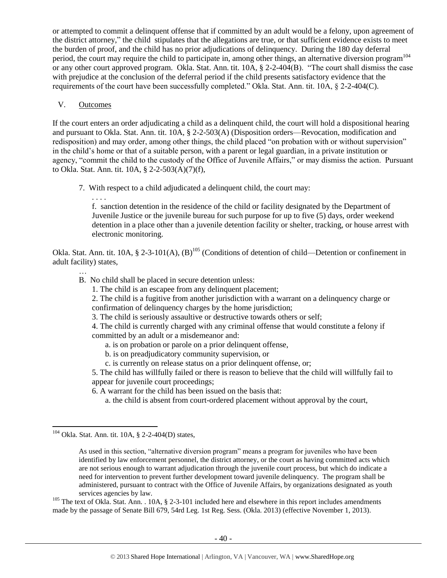or attempted to commit a delinquent offense that if committed by an adult would be a felony, upon agreement of the district attorney," the child stipulates that the allegations are true, or that sufficient evidence exists to meet the burden of proof, and the child has no prior adjudications of delinquency. During the 180 day deferral period, the court may require the child to participate in, among other things, an alternative diversion program<sup>104</sup> or any other court approved program. Okla. Stat. Ann. tit. 10A, § 2-2-404(B). "The court shall dismiss the case with prejudice at the conclusion of the deferral period if the child presents satisfactory evidence that the requirements of the court have been successfully completed." Okla. Stat. Ann. tit. 10A, § 2-2-404(C).

#### V. Outcomes

…

l

If the court enters an order adjudicating a child as a delinquent child, the court will hold a dispositional hearing and pursuant to Okla. Stat. Ann. tit. 10A, § 2-2-503(A) (Disposition orders—Revocation, modification and redisposition) and may order, among other things, the child placed "on probation with or without supervision" in the child's home or that of a suitable person, with a parent or legal guardian, in a private institution or agency, "commit the child to the custody of the Office of Juvenile Affairs," or may dismiss the action. Pursuant to Okla. Stat. Ann. tit. 10A, § 2-2-503(A)(7)(f),

7. With respect to a child adjudicated a delinquent child, the court may:

. . . . f. sanction detention in the residence of the child or facility designated by the Department of Juvenile Justice or the juvenile bureau for such purpose for up to five (5) days, order weekend detention in a place other than a juvenile detention facility or shelter, tracking, or house arrest with electronic monitoring.

Okla. Stat. Ann. tit. 10A, § 2-3-101(A),  $(B)$ <sup>105</sup> (Conditions of detention of child—Detention or confinement in adult facility) states,

- B. No child shall be placed in secure detention unless:
	- 1. The child is an escapee from any delinquent placement;

2. The child is a fugitive from another jurisdiction with a warrant on a delinquency charge or confirmation of delinquency charges by the home jurisdiction;

3. The child is seriously assaultive or destructive towards others or self;

4. The child is currently charged with any criminal offense that would constitute a felony if committed by an adult or a misdemeanor and:

- a. is on probation or parole on a prior delinquent offense,
- b. is on preadjudicatory community supervision, or
- c. is currently on release status on a prior delinquent offense, or;

5. The child has willfully failed or there is reason to believe that the child will willfully fail to appear for juvenile court proceedings;

6. A warrant for the child has been issued on the basis that:

a. the child is absent from court-ordered placement without approval by the court,

<sup>105</sup> The text of Okla. Stat. Ann. . 10A, § 2-3-101 included here and elsewhere in this report includes amendments made by the passage of Senate Bill 679, 54rd Leg. 1st Reg. Sess. (Okla. 2013) (effective November 1, 2013).

 $104$  Okla. Stat. Ann. tit. 10A, § 2-2-404(D) states,

As used in this section, "alternative diversion program" means a program for juveniles who have been identified by law enforcement personnel, the district attorney, or the court as having committed acts which are not serious enough to warrant adjudication through the juvenile court process, but which do indicate a need for intervention to prevent further development toward juvenile delinquency. The program shall be administered, pursuant to contract with the Office of Juvenile Affairs, by organizations designated as youth services agencies by law.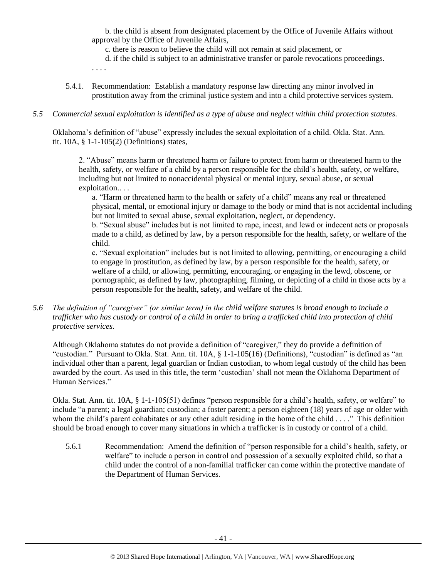b. the child is absent from designated placement by the Office of Juvenile Affairs without approval by the Office of Juvenile Affairs,

c. there is reason to believe the child will not remain at said placement, or

d. if the child is subject to an administrative transfer or parole revocations proceedings.

. . . .

5.4.1. Recommendation: Establish a mandatory response law directing any minor involved in prostitution away from the criminal justice system and into a child protective services system.

## *5.5 Commercial sexual exploitation is identified as a type of abuse and neglect within child protection statutes.*

Oklahoma's definition of "abuse" expressly includes the sexual exploitation of a child. Okla. Stat. Ann. tit. 10A, § 1-1-105(2) (Definitions) states,

2. "Abuse" means harm or threatened harm or failure to protect from harm or threatened harm to the health, safety, or welfare of a child by a person responsible for the child's health, safety, or welfare, including but not limited to nonaccidental physical or mental injury, sexual abuse, or sexual exploitation.. . .

a. "Harm or threatened harm to the health or safety of a child" means any real or threatened physical, mental, or emotional injury or damage to the body or mind that is not accidental including but not limited to sexual abuse, sexual exploitation, neglect, or dependency.

b. "Sexual abuse" includes but is not limited to rape, incest, and lewd or indecent acts or proposals made to a child, as defined by law, by a person responsible for the health, safety, or welfare of the child.

c. "Sexual exploitation" includes but is not limited to allowing, permitting, or encouraging a child to engage in prostitution, as defined by law, by a person responsible for the health, safety, or welfare of a child, or allowing, permitting, encouraging, or engaging in the lewd, obscene, or pornographic, as defined by law, photographing, filming, or depicting of a child in those acts by a person responsible for the health, safety, and welfare of the child.

*5.6 The definition of "caregiver" (or similar term) in the child welfare statutes is broad enough to include a trafficker who has custody or control of a child in order to bring a trafficked child into protection of child protective services.*

Although Oklahoma statutes do not provide a definition of "caregiver," they do provide a definition of "custodian." Pursuant to Okla. Stat. Ann. tit. 10A, § 1-1-105(16) (Definitions), "custodian" is defined as "an individual other than a parent, legal guardian or Indian custodian, to whom legal custody of the child has been awarded by the court. As used in this title, the term 'custodian' shall not mean the Oklahoma Department of Human Services."

Okla. Stat. Ann. tit. 10A, § 1-1-105(51) defines "person responsible for a child's health, safety, or welfare" to include "a parent; a legal guardian; custodian; a foster parent; a person eighteen (18) years of age or older with whom the child's parent cohabitates or any other adult residing in the home of the child . . . ." This definition should be broad enough to cover many situations in which a trafficker is in custody or control of a child.

5.6.1 Recommendation: Amend the definition of "person responsible for a child's health, safety, or welfare" to include a person in control and possession of a sexually exploited child, so that a child under the control of a non-familial trafficker can come within the protective mandate of the Department of Human Services.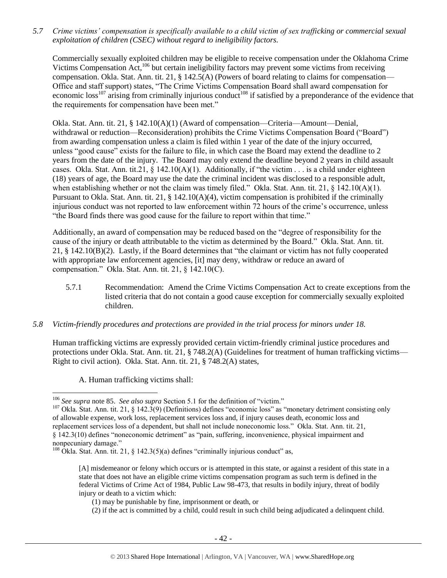*5.7 Crime victims' compensation is specifically available to a child victim of sex trafficking or commercial sexual exploitation of children (CSEC) without regard to ineligibility factors.*

Commercially sexually exploited children may be eligible to receive compensation under the Oklahoma Crime Victims Compensation Act,<sup>106</sup> but certain ineligibility factors may prevent some victims from receiving compensation. Okla. Stat. Ann. tit. 21, § 142.5(A) (Powers of board relating to claims for compensation— Office and staff support) states, "The Crime Victims Compensation Board shall award compensation for economic loss<sup>107</sup> arising from criminally injurious conduct<sup>108</sup> if satisfied by a preponderance of the evidence that the requirements for compensation have been met."

Okla. Stat. Ann. tit. 21, § 142.10(A)(1) (Award of compensation—Criteria—Amount—Denial, withdrawal or reduction—Reconsideration) prohibits the Crime Victims Compensation Board ("Board") from awarding compensation unless a claim is filed within 1 year of the date of the injury occurred, unless "good cause" exists for the failure to file, in which case the Board may extend the deadline to 2 years from the date of the injury. The Board may only extend the deadline beyond 2 years in child assault cases. Okla. Stat. Ann. tit.21,  $\S$  142.10(A)(1). Additionally, if "the victim . . . is a child under eighteen (18) years of age, the Board may use the date the criminal incident was disclosed to a responsible adult, when establishing whether or not the claim was timely filed." Okla. Stat. Ann. tit. 21, § 142.10(A)(1). Pursuant to Okla. Stat. Ann. tit. 21, § 142.10(A)(4), victim compensation is prohibited if the criminally injurious conduct was not reported to law enforcement within 72 hours of the crime's occurrence, unless "the Board finds there was good cause for the failure to report within that time."

Additionally, an award of compensation may be reduced based on the "degree of responsibility for the cause of the injury or death attributable to the victim as determined by the Board." Okla. Stat. Ann. tit. 21, § 142.10(B)(2). Lastly, if the Board determines that "the claimant or victim has not fully cooperated with appropriate law enforcement agencies, [it] may deny, withdraw or reduce an award of compensation." Okla. Stat. Ann. tit. 21, § 142.10(C).

5.7.1 Recommendation: Amend the Crime Victims Compensation Act to create exceptions from the listed criteria that do not contain a good cause exception for commercially sexually exploited children.

#### *5.8 Victim-friendly procedures and protections are provided in the trial process for minors under 18.*

Human trafficking victims are expressly provided certain victim-friendly criminal justice procedures and protections under Okla. Stat. Ann. tit. 21, § 748.2(A) (Guidelines for treatment of human trafficking victims— Right to civil action). Okla. Stat. Ann. tit. 21, § 748.2(A) states,

A. Human trafficking victims shall:

<sup>106</sup> *See supra* not[e 85.](#page-29-0) *See also supra* Section 5.1 for the definition of "victim."

 $107$  Okla. Stat. Ann. tit. 21, § 142.3(9) (Definitions) defines "economic loss" as "monetary detriment consisting only of allowable expense, work loss, replacement services loss and, if injury causes death, economic loss and replacement services loss of a dependent, but shall not include noneconomic loss." Okla. Stat. Ann. tit. 21, § 142.3(10) defines "noneconomic detriment" as "pain, suffering, inconvenience, physical impairment and nonpecuniary damage."

<sup>108</sup> Okla. Stat. Ann. tit. 21, § 142.3(5)(a) defines "criminally injurious conduct" as,

<sup>[</sup>A] misdemeanor or felony which occurs or is attempted in this state, or against a resident of this state in a state that does not have an eligible crime victims compensation program as such term is defined in the federal Victims of Crime Act of 1984, Public Law 98-473, that results in bodily injury, threat of bodily injury or death to a victim which:

<sup>(1)</sup> may be punishable by fine, imprisonment or death, or

<sup>(2)</sup> if the act is committed by a child, could result in such child being adjudicated a delinquent child.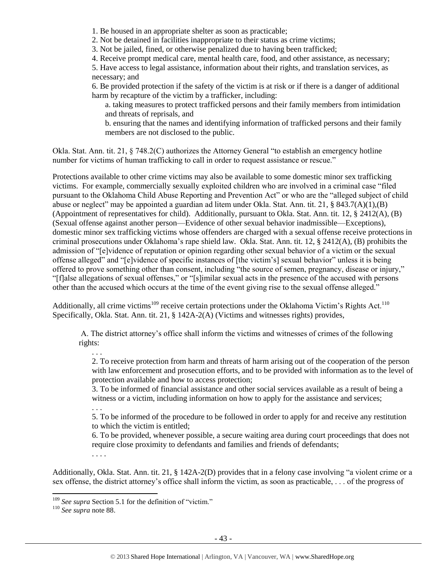1. Be housed in an appropriate shelter as soon as practicable;

2. Not be detained in facilities inappropriate to their status as crime victims;

3. Not be jailed, fined, or otherwise penalized due to having been trafficked;

4. Receive prompt medical care, mental health care, food, and other assistance, as necessary;

5. Have access to legal assistance, information about their rights, and translation services, as necessary; and

6. Be provided protection if the safety of the victim is at risk or if there is a danger of additional harm by recapture of the victim by a trafficker, including:

a. taking measures to protect trafficked persons and their family members from intimidation and threats of reprisals, and

b. ensuring that the names and identifying information of trafficked persons and their family members are not disclosed to the public.

Okla. Stat. Ann. tit. 21, § 748.2(C) authorizes the Attorney General "to establish an emergency hotline number for victims of human trafficking to call in order to request assistance or rescue."

Protections available to other crime victims may also be available to some domestic minor sex trafficking victims. For example, commercially sexually exploited children who are involved in a criminal case "filed pursuant to the Oklahoma Child Abuse Reporting and Prevention Act" or who are the "alleged subject of child abuse or neglect" may be appointed a guardian ad litem under Okla. Stat. Ann. tit. 21, § 843.7(A)(1),(B) (Appointment of representatives for child). Additionally, pursuant to Okla. Stat. Ann. tit. 12, § 2412(A), (B) (Sexual offense against another person—Evidence of other sexual behavior inadmissible—Exceptions), domestic minor sex trafficking victims whose offenders are charged with a sexual offense receive protections in criminal prosecutions under Oklahoma's rape shield law. Okla. Stat. Ann. tit. 12, § 2412(A), (B) prohibits the admission of "[e]vidence of reputation or opinion regarding other sexual behavior of a victim or the sexual offense alleged" and "[e]vidence of specific instances of [the victim's] sexual behavior" unless it is being offered to prove something other than consent, including "the source of semen, pregnancy, disease or injury," "[f]alse allegations of sexual offenses," or "[s]imilar sexual acts in the presence of the accused with persons other than the accused which occurs at the time of the event giving rise to the sexual offense alleged."

Additionally, all crime victims<sup>109</sup> receive certain protections under the Oklahoma Victim's Rights Act.<sup>110</sup> Specifically, Okla. Stat. Ann. tit. 21, § 142A-2(A) (Victims and witnesses rights) provides,

A. The district attorney's office shall inform the victims and witnesses of crimes of the following rights:

. . . 2. To receive protection from harm and threats of harm arising out of the cooperation of the person with law enforcement and prosecution efforts, and to be provided with information as to the level of protection available and how to access protection;

3. To be informed of financial assistance and other social services available as a result of being a witness or a victim, including information on how to apply for the assistance and services;

. . .

5. To be informed of the procedure to be followed in order to apply for and receive any restitution to which the victim is entitled;

6. To be provided, whenever possible, a secure waiting area during court proceedings that does not require close proximity to defendants and families and friends of defendants;

. . . .

Additionally, Okla. Stat. Ann. tit. 21, § 142A-2(D) provides that in a felony case involving "a violent crime or a sex offense, the district attorney's office shall inform the victim, as soon as practicable, . . . of the progress of

<sup>&</sup>lt;sup>109</sup> See supra Section 5.1 for the definition of "victim."

<sup>110</sup> *See supra* not[e 88.](#page-30-0)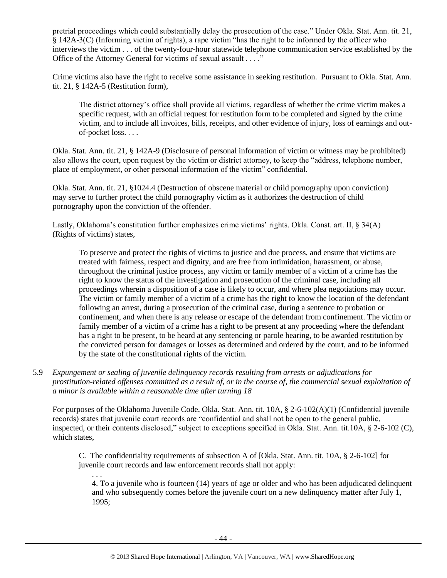pretrial proceedings which could substantially delay the prosecution of the case." Under Okla. Stat. Ann. tit. 21, § 142A-3(C) (Informing victim of rights), a rape victim "has the right to be informed by the officer who interviews the victim . . . of the twenty-four-hour statewide telephone communication service established by the Office of the Attorney General for victims of sexual assault . . . ."

Crime victims also have the right to receive some assistance in seeking restitution. Pursuant to Okla. Stat. Ann. tit. 21, § 142A-5 (Restitution form),

The district attorney's office shall provide all victims, regardless of whether the crime victim makes a specific request, with an official request for restitution form to be completed and signed by the crime victim, and to include all invoices, bills, receipts, and other evidence of injury, loss of earnings and outof-pocket loss. . . .

Okla. Stat. Ann. tit. 21, § 142A-9 (Disclosure of personal information of victim or witness may be prohibited) also allows the court, upon request by the victim or district attorney, to keep the "address, telephone number, place of employment, or other personal information of the victim" confidential.

Okla. Stat. Ann. tit. 21, §1024.4 (Destruction of obscene material or child pornography upon conviction) may serve to further protect the child pornography victim as it authorizes the destruction of child pornography upon the conviction of the offender.

Lastly, Oklahoma's constitution further emphasizes crime victims' rights. Okla. Const. art. II, § 34(A) (Rights of victims) states,

To preserve and protect the rights of victims to justice and due process, and ensure that victims are treated with fairness, respect and dignity, and are free from intimidation, harassment, or abuse, throughout the criminal justice process, any victim or family member of a victim of a crime has the right to know the status of the investigation and prosecution of the criminal case, including all proceedings wherein a disposition of a case is likely to occur, and where plea negotiations may occur. The victim or family member of a victim of a crime has the right to know the location of the defendant following an arrest, during a prosecution of the criminal case, during a sentence to probation or confinement, and when there is any release or escape of the defendant from confinement. The victim or family member of a victim of a crime has a right to be present at any proceeding where the defendant has a right to be present, to be heard at any sentencing or parole hearing, to be awarded restitution by the convicted person for damages or losses as determined and ordered by the court, and to be informed by the state of the constitutional rights of the victim.

5.9 *Expungement or sealing of juvenile delinquency records resulting from arrests or adjudications for prostitution-related offenses committed as a result of, or in the course of, the commercial sexual exploitation of a minor is available within a reasonable time after turning 18*

For purposes of the Oklahoma Juvenile Code, Okla. Stat. Ann. tit. 10A, § 2-6-102(A)(1) (Confidential juvenile records) states that juvenile court records are "confidential and shall not be open to the general public, inspected, or their contents disclosed," subject to exceptions specified in Okla. Stat. Ann. tit.10A, § 2-6-102 (C), which states,

C. The confidentiality requirements of subsection A of [Okla. Stat. Ann. tit. 10A, § 2-6-102] for juvenile court records and law enforcement records shall not apply:

4. To a juvenile who is fourteen (14) years of age or older and who has been adjudicated delinquent and who subsequently comes before the juvenile court on a new delinquency matter after July 1, 1995;

. . .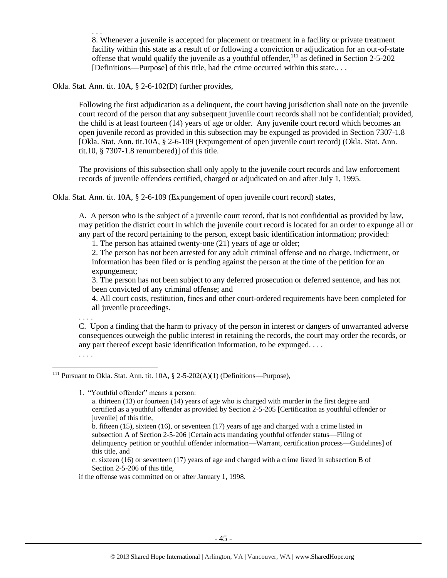. . . 8. Whenever a juvenile is accepted for placement or treatment in a facility or private treatment facility within this state as a result of or following a conviction or adjudication for an out-of-state offense that would qualify the juvenile as a youthful offender, $111$  as defined in Section 2-5-202 [Definitions—Purpose] of this title, had the crime occurred within this state...

Okla. Stat. Ann. tit. 10A, § 2-6-102(D) further provides,

Following the first adjudication as a delinquent, the court having jurisdiction shall note on the juvenile court record of the person that any subsequent juvenile court records shall not be confidential; provided, the child is at least fourteen (14) years of age or older. Any juvenile court record which becomes an open juvenile record as provided in this subsection may be expunged as provided in Section 7307-1.8 [Okla. Stat. Ann. tit.10A, § 2-6-109 (Expungement of open juvenile court record) (Okla. Stat. Ann. tit.10, § 7307-1.8 renumbered)] of this title.

The provisions of this subsection shall only apply to the juvenile court records and law enforcement records of juvenile offenders certified, charged or adjudicated on and after July 1, 1995.

Okla. Stat. Ann. tit. 10A, § 2-6-109 (Expungement of open juvenile court record) states,

A. A person who is the subject of a juvenile court record, that is not confidential as provided by law, may petition the district court in which the juvenile court record is located for an order to expunge all or any part of the record pertaining to the person, except basic identification information; provided:

1. The person has attained twenty-one (21) years of age or older;

2. The person has not been arrested for any adult criminal offense and no charge, indictment, or information has been filed or is pending against the person at the time of the petition for an expungement;

3. The person has not been subject to any deferred prosecution or deferred sentence, and has not been convicted of any criminal offense; and

4. All court costs, restitution, fines and other court-ordered requirements have been completed for all juvenile proceedings.

C. Upon a finding that the harm to privacy of the person in interest or dangers of unwarranted adverse consequences outweigh the public interest in retaining the records, the court may order the records, or any part thereof except basic identification information, to be expunged. . . .

1. "Youthful offender" means a person:

. . . .

. . . .

 $\overline{\phantom{a}}$ 

c. sixteen (16) or seventeen (17) years of age and charged with a crime listed in subsection B of Section 2-5-206 of this title,

if the offense was committed on or after January 1, 1998.

<sup>&</sup>lt;sup>111</sup> Pursuant to Okla. Stat. Ann. tit. 10A,  $\S$  2-5-202(A)(1) (Definitions—Purpose),

a. thirteen (13) or fourteen (14) years of age who is charged with murder in the first degree and certified as a youthful offender as provided by Section 2-5-205 [Certification as youthful offender or juvenile] of this title,

b. fifteen (15), sixteen (16), or seventeen (17) years of age and charged with a crime listed in subsection A of Section 2-5-206 [Certain acts mandating youthful offender status—Filing of delinquency petition or youthful offender information—Warrant, certification process—Guidelines] of this title, and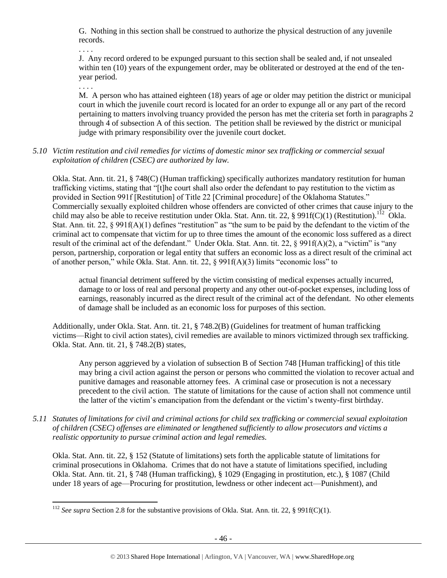G. Nothing in this section shall be construed to authorize the physical destruction of any juvenile records.

. . . .

J. Any record ordered to be expunged pursuant to this section shall be sealed and, if not unsealed within ten (10) years of the expungement order, may be obliterated or destroyed at the end of the tenyear period.

. . . .

l

M. A person who has attained eighteen (18) years of age or older may petition the district or municipal court in which the juvenile court record is located for an order to expunge all or any part of the record pertaining to matters involving truancy provided the person has met the criteria set forth in paragraphs 2 through 4 of subsection A of this section. The petition shall be reviewed by the district or municipal judge with primary responsibility over the juvenile court docket.

*5.10 Victim restitution and civil remedies for victims of domestic minor sex trafficking or commercial sexual exploitation of children (CSEC) are authorized by law.* 

Okla. Stat. Ann. tit. 21, § 748(C) (Human trafficking) specifically authorizes mandatory restitution for human trafficking victims, stating that "[t]he court shall also order the defendant to pay restitution to the victim as provided in Section 991f [Restitution] of Title 22 [Criminal procedure] of the Oklahoma Statutes." Commercially sexually exploited children whose offenders are convicted of other crimes that cause injury to the child may also be able to receive restitution under Okla. Stat. Ann. tit. 22, § 991f(C)(1) (Restitution).<sup>112</sup> Okla. Stat. Ann. tit. 22, § 991f(A)(1) defines "restitution" as "the sum to be paid by the defendant to the victim of the criminal act to compensate that victim for up to three times the amount of the economic loss suffered as a direct result of the criminal act of the defendant." Under Okla. Stat. Ann. tit. 22, § 991f(A)(2), a "victim" is "any person, partnership, corporation or legal entity that suffers an economic loss as a direct result of the criminal act of another person," while Okla. Stat. Ann. tit. 22, § 991f(A)(3) limits "economic loss" to

actual financial detriment suffered by the victim consisting of medical expenses actually incurred, damage to or loss of real and personal property and any other out-of-pocket expenses, including loss of earnings, reasonably incurred as the direct result of the criminal act of the defendant. No other elements of damage shall be included as an economic loss for purposes of this section.

Additionally, under Okla. Stat. Ann. tit. 21, § 748.2(B) (Guidelines for treatment of human trafficking victims—Right to civil action states), civil remedies are available to minors victimized through sex trafficking. Okla. Stat. Ann. tit. 21, § 748.2(B) states,

Any person aggrieved by a violation of subsection B of Section 748 [Human trafficking] of this title may bring a civil action against the person or persons who committed the violation to recover actual and punitive damages and reasonable attorney fees. A criminal case or prosecution is not a necessary precedent to the civil action. The statute of limitations for the cause of action shall not commence until the latter of the victim's emancipation from the defendant or the victim's twenty-first birthday.

*5.11 Statutes of limitations for civil and criminal actions for child sex trafficking or commercial sexual exploitation of children (CSEC) offenses are eliminated or lengthened sufficiently to allow prosecutors and victims a realistic opportunity to pursue criminal action and legal remedies.*

Okla. Stat. Ann. tit. 22, § 152 (Statute of limitations) sets forth the applicable statute of limitations for criminal prosecutions in Oklahoma. Crimes that do not have a statute of limitations specified, including Okla. Stat. Ann. tit. 21, § 748 (Human trafficking), § 1029 (Engaging in prostitution, etc.), § 1087 (Child under 18 years of age—Procuring for prostitution, lewdness or other indecent act—Punishment), and

<sup>112</sup> *See supra* Section 2.8 for the substantive provisions of Okla. Stat. Ann. tit. 22, § 991f(C)(1).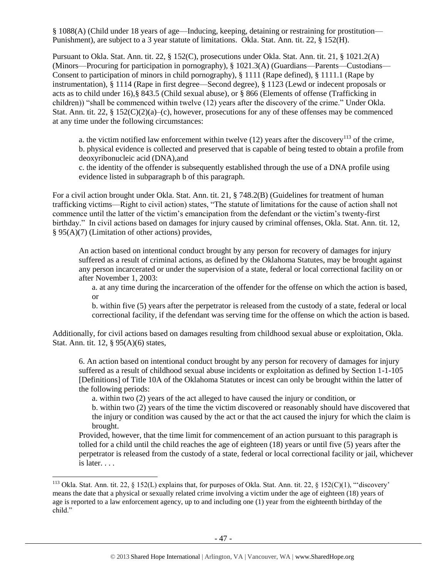§ 1088(A) (Child under 18 years of age—Inducing, keeping, detaining or restraining for prostitution— Punishment), are subject to a 3 year statute of limitations. Okla. Stat. Ann. tit. 22, § 152(H).

Pursuant to Okla. Stat. Ann. tit. 22, § 152(C), prosecutions under Okla. Stat. Ann. tit. 21, § 1021.2(A) (Minors—Procuring for participation in pornography), § 1021.3(A) (Guardians—Parents—Custodians— Consent to participation of minors in child pornography), § 1111 (Rape defined), § 1111.1 (Rape by instrumentation), § 1114 (Rape in first degree—Second degree), § 1123 (Lewd or indecent proposals or acts as to child under 16),§ 843.5 (Child sexual abuse), or § 866 (Elements of offense (Trafficking in children)) "shall be commenced within twelve (12) years after the discovery of the crime." Under Okla. Stat. Ann. tit. 22,  $\S 152(C)(2)(a)$ –(c), however, prosecutions for any of these offenses may be commenced at any time under the following circumstances:

a. the victim notified law enforcement within twelve  $(12)$  years after the discovery<sup>113</sup> of the crime, b. physical evidence is collected and preserved that is capable of being tested to obtain a profile from deoxyribonucleic acid (DNA),and

c. the identity of the offender is subsequently established through the use of a DNA profile using evidence listed in subparagraph b of this paragraph.

For a civil action brought under Okla. Stat. Ann. tit. 21, § 748.2(B) (Guidelines for treatment of human trafficking victims—Right to civil action) states, "The statute of limitations for the cause of action shall not commence until the latter of the victim's emancipation from the defendant or the victim's twenty-first birthday." In civil actions based on damages for injury caused by criminal offenses, Okla. Stat. Ann. tit. 12, § 95(A)(7) (Limitation of other actions) provides,

An action based on intentional conduct brought by any person for recovery of damages for injury suffered as a result of criminal actions, as defined by the Oklahoma Statutes, may be brought against any person incarcerated or under the supervision of a state, federal or local correctional facility on or after November 1, 2003:

a. at any time during the incarceration of the offender for the offense on which the action is based, or

b. within five (5) years after the perpetrator is released from the custody of a state, federal or local correctional facility, if the defendant was serving time for the offense on which the action is based.

Additionally, for civil actions based on damages resulting from childhood sexual abuse or exploitation, Okla. Stat. Ann. tit. 12, § 95(A)(6) states,

6. An action based on intentional conduct brought by any person for recovery of damages for injury suffered as a result of childhood sexual abuse incidents or exploitation as defined by Section 1-1-105 [Definitions] of Title 10A of the Oklahoma Statutes or incest can only be brought within the latter of the following periods:

a. within two (2) years of the act alleged to have caused the injury or condition, or

b. within two (2) years of the time the victim discovered or reasonably should have discovered that the injury or condition was caused by the act or that the act caused the injury for which the claim is brought.

Provided, however, that the time limit for commencement of an action pursuant to this paragraph is tolled for a child until the child reaches the age of eighteen (18) years or until five (5) years after the perpetrator is released from the custody of a state, federal or local correctional facility or jail, whichever is later. . . .

l

<sup>&</sup>lt;sup>113</sup> Okla. Stat. Ann. tit. 22, § 152(L) explains that, for purposes of Okla. Stat. Ann. tit. 22, § 152(C)(1), "'discovery' means the date that a physical or sexually related crime involving a victim under the age of eighteen (18) years of age is reported to a law enforcement agency, up to and including one (1) year from the eighteenth birthday of the child."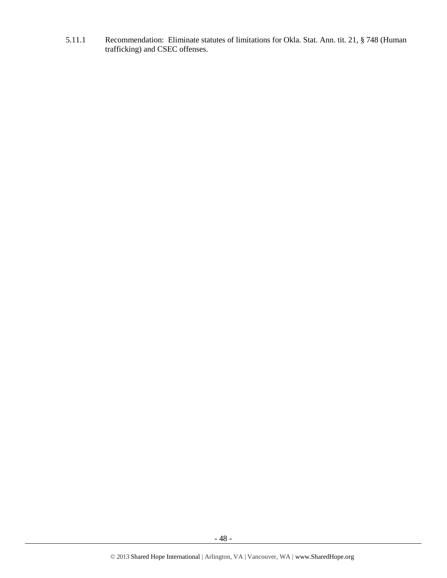5.11.1 Recommendation: Eliminate statutes of limitations for Okla. Stat. Ann. tit. 21, § 748 (Human trafficking) and CSEC offenses.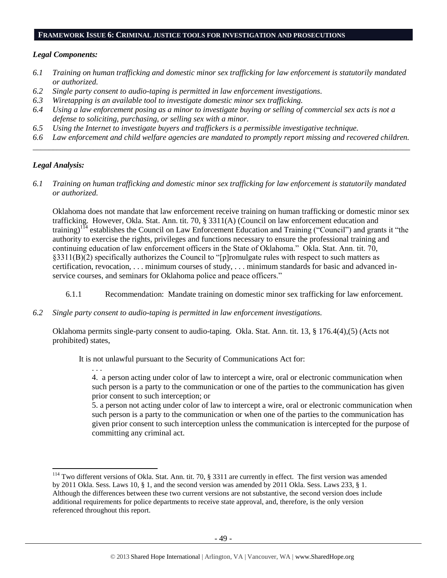#### **FRAMEWORK ISSUE 6: CRIMINAL JUSTICE TOOLS FOR INVESTIGATION AND PROSECUTIONS**

#### *Legal Components:*

- *6.1 Training on human trafficking and domestic minor sex trafficking for law enforcement is statutorily mandated or authorized.*
- *6.2 Single party consent to audio-taping is permitted in law enforcement investigations.*
- *6.3 Wiretapping is an available tool to investigate domestic minor sex trafficking.*
- *6.4 Using a law enforcement posing as a minor to investigate buying or selling of commercial sex acts is not a defense to soliciting, purchasing, or selling sex with a minor.*
- *6.5 Using the Internet to investigate buyers and traffickers is a permissible investigative technique.*
- *6.6 Law enforcement and child welfare agencies are mandated to promptly report missing and recovered children. \_\_\_\_\_\_\_\_\_\_\_\_\_\_\_\_\_\_\_\_\_\_\_\_\_\_\_\_\_\_\_\_\_\_\_\_\_\_\_\_\_\_\_\_\_\_\_\_\_\_\_\_\_\_\_\_\_\_\_\_\_\_\_\_\_\_\_\_\_\_\_\_\_\_\_\_\_\_\_\_\_\_\_\_\_\_\_\_\_\_\_\_\_\_*

#### *Legal Analysis:*

. . .

 $\overline{\phantom{a}}$ 

*6.1 Training on human trafficking and domestic minor sex trafficking for law enforcement is statutorily mandated or authorized.*

Oklahoma does not mandate that law enforcement receive training on human trafficking or domestic minor sex trafficking. However, Okla. Stat. Ann. tit. 70, § 3311(A) (Council on law enforcement education and training)<sup>114</sup> establishes the Council on Law Enforcement Education and Training ("Council") and grants it "the authority to exercise the rights, privileges and functions necessary to ensure the professional training and continuing education of law enforcement officers in the State of Oklahoma." Okla. Stat. Ann. tit. 70, §3311(B)(2) specifically authorizes the Council to "[p]romulgate rules with respect to such matters as certification, revocation, . . . minimum courses of study, . . . minimum standards for basic and advanced inservice courses, and seminars for Oklahoma police and peace officers."

- 6.1.1 Recommendation: Mandate training on domestic minor sex trafficking for law enforcement.
- *6.2 Single party consent to audio-taping is permitted in law enforcement investigations.*

Oklahoma permits single-party consent to audio-taping. Okla. Stat. Ann. tit. 13, § 176.4(4),(5) (Acts not prohibited) states,

It is not unlawful pursuant to the Security of Communications Act for:

4. a person acting under color of law to intercept a wire, oral or electronic communication when such person is a party to the communication or one of the parties to the communication has given prior consent to such interception; or

5. a person not acting under color of law to intercept a wire, oral or electronic communication when such person is a party to the communication or when one of the parties to the communication has given prior consent to such interception unless the communication is intercepted for the purpose of committing any criminal act.

 $114$  Two different versions of Okla. Stat. Ann. tit. 70, § 3311 are currently in effect. The first version was amended by 2011 Okla. Sess. Laws 10, § 1, and the second version was amended by 2011 Okla. Sess. Laws 233, § 1. Although the differences between these two current versions are not substantive, the second version does include additional requirements for police departments to receive state approval, and, therefore, is the only version referenced throughout this report.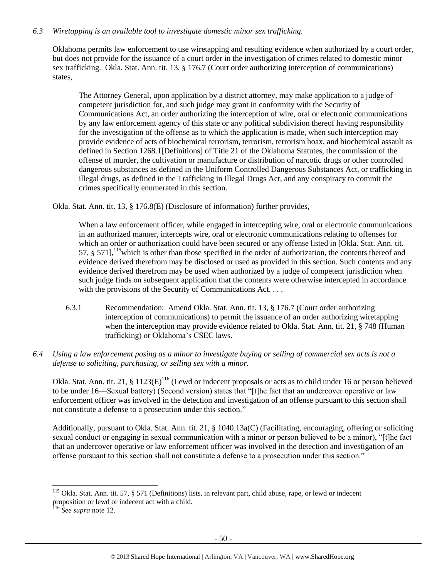## *6.3 Wiretapping is an available tool to investigate domestic minor sex trafficking.*

Oklahoma permits law enforcement to use wiretapping and resulting evidence when authorized by a court order, but does not provide for the issuance of a court order in the investigation of crimes related to domestic minor sex trafficking. Okla. Stat. Ann. tit. 13, § 176.7 (Court order authorizing interception of communications) states,

The Attorney General, upon application by a district attorney, may make application to a judge of competent jurisdiction for, and such judge may grant in conformity with the Security of Communications Act, an order authorizing the interception of wire, oral or electronic communications by any law enforcement agency of this state or any political subdivision thereof having responsibility for the investigation of the offense as to which the application is made, when such interception may provide evidence of acts of biochemical terrorism, terrorism, terrorism hoax, and biochemical assault as defined in Section 1268.1[Definitions] of Title 21 of the Oklahoma Statutes, the commission of the offense of murder, the cultivation or manufacture or distribution of narcotic drugs or other controlled dangerous substances as defined in the Uniform Controlled Dangerous Substances Act, or trafficking in illegal drugs, as defined in the Trafficking in Illegal Drugs Act, and any conspiracy to commit the crimes specifically enumerated in this section.

Okla. Stat. Ann. tit. 13, § 176.8(E) (Disclosure of information) further provides,

When a law enforcement officer, while engaged in intercepting wire, oral or electronic communications in an authorized manner, intercepts wire, oral or electronic communications relating to offenses for which an order or authorization could have been secured or any offense listed in [Okla. Stat. Ann. tit. 57,  $\S$  571], <sup>115</sup> which is other than those specified in the order of authorization, the contents thereof and evidence derived therefrom may be disclosed or used as provided in this section. Such contents and any evidence derived therefrom may be used when authorized by a judge of competent jurisdiction when such judge finds on subsequent application that the contents were otherwise intercepted in accordance with the provisions of the Security of Communications Act. . . .

- 6.3.1 Recommendation: Amend Okla. Stat. Ann. tit. 13, § 176.7 (Court order authorizing interception of communications) to permit the issuance of an order authorizing wiretapping when the interception may provide evidence related to Okla. Stat. Ann. tit. 21, § 748 (Human trafficking) or Oklahoma's CSEC laws.
- *6.4 Using a law enforcement posing as a minor to investigate buying or selling of commercial sex acts is not a defense to soliciting, purchasing, or selling sex with a minor.*

Okla. Stat. Ann. tit. 21,  $\S 1123(E)^{116}$  (Lewd or indecent proposals or acts as to child under 16 or person believed to be under 16—Sexual battery) (Second version) states that "[t]he fact that an undercover operative or law enforcement officer was involved in the detection and investigation of an offense pursuant to this section shall not constitute a defense to a prosecution under this section."

Additionally, pursuant to Okla. Stat. Ann. tit. 21, § 1040.13a(C) (Facilitating, encouraging, offering or soliciting sexual conduct or engaging in sexual communication with a minor or person believed to be a minor), "[t]he fact that an undercover operative or law enforcement officer was involved in the detection and investigation of an offense pursuant to this section shall not constitute a defense to a prosecution under this section."

<sup>&</sup>lt;sup>115</sup> Okla. Stat. Ann. tit. 57, § 571 (Definitions) lists, in relevant part, child abuse, rape, or lewd or indecent proposition or lewd or indecent act with a child.

<sup>116</sup> *See supra* not[e 12.](#page-6-0)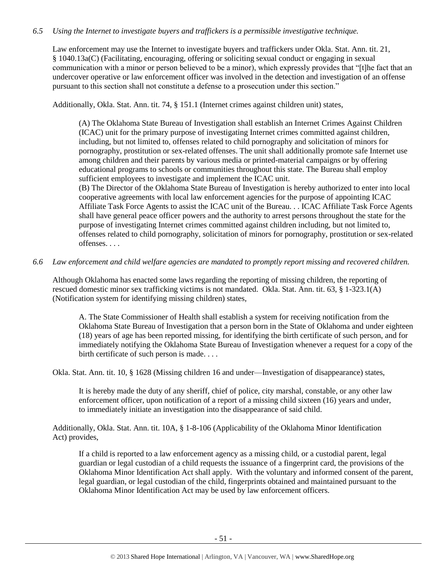## *6.5 Using the Internet to investigate buyers and traffickers is a permissible investigative technique.*

Law enforcement may use the Internet to investigate buyers and traffickers under Okla. Stat. Ann. tit. 21, § 1040.13a(C) (Facilitating, encouraging, offering or soliciting sexual conduct or engaging in sexual communication with a minor or person believed to be a minor), which expressly provides that "[t]he fact that an undercover operative or law enforcement officer was involved in the detection and investigation of an offense pursuant to this section shall not constitute a defense to a prosecution under this section."

Additionally, Okla. Stat. Ann. tit. 74, § 151.1 (Internet crimes against children unit) states,

(A) The Oklahoma State Bureau of Investigation shall establish an Internet Crimes Against Children (ICAC) unit for the primary purpose of investigating Internet crimes committed against children, including, but not limited to, offenses related to child pornography and solicitation of minors for pornography, prostitution or sex-related offenses. The unit shall additionally promote safe Internet use among children and their parents by various media or printed-material campaigns or by offering educational programs to schools or communities throughout this state. The Bureau shall employ sufficient employees to investigate and implement the ICAC unit.

(B) The Director of the Oklahoma State Bureau of Investigation is hereby authorized to enter into local cooperative agreements with local law enforcement agencies for the purpose of appointing ICAC Affiliate Task Force Agents to assist the ICAC unit of the Bureau. . . ICAC Affiliate Task Force Agents shall have general peace officer powers and the authority to arrest persons throughout the state for the purpose of investigating Internet crimes committed against children including, but not limited to, offenses related to child pornography, solicitation of minors for pornography, prostitution or sex-related offenses. . . .

*6.6 Law enforcement and child welfare agencies are mandated to promptly report missing and recovered children.*

Although Oklahoma has enacted some laws regarding the reporting of missing children, the reporting of rescued domestic minor sex trafficking victims is not mandated. Okla. Stat. Ann. tit. 63, § 1-323.1(A) (Notification system for identifying missing children) states,

A. The State Commissioner of Health shall establish a system for receiving notification from the Oklahoma State Bureau of Investigation that a person born in the State of Oklahoma and under eighteen (18) years of age has been reported missing, for identifying the birth certificate of such person, and for immediately notifying the Oklahoma State Bureau of Investigation whenever a request for a copy of the birth certificate of such person is made. . . .

Okla. Stat. Ann. tit. 10, § 1628 (Missing children 16 and under—Investigation of disappearance) states,

It is hereby made the duty of any sheriff, chief of police, city marshal, constable, or any other law enforcement officer, upon notification of a report of a missing child sixteen (16) years and under, to immediately initiate an investigation into the disappearance of said child.

Additionally, Okla. Stat. Ann. tit. 10A, § 1-8-106 (Applicability of the Oklahoma Minor Identification Act) provides,

If a child is reported to a law enforcement agency as a missing child, or a custodial parent, legal guardian or legal custodian of a child requests the issuance of a fingerprint card, the provisions of the Oklahoma Minor Identification Act shall apply. With the voluntary and informed consent of the parent, legal guardian, or legal custodian of the child, fingerprints obtained and maintained pursuant to the Oklahoma Minor Identification Act may be used by law enforcement officers.